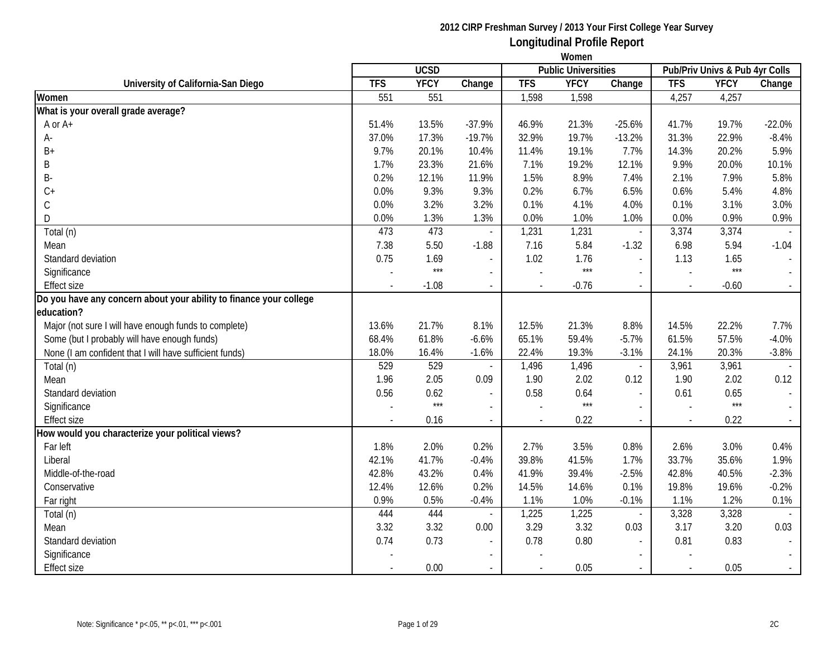|                                                                    | Women          |             |                          |            |                            |                             |            |                                |          |  |
|--------------------------------------------------------------------|----------------|-------------|--------------------------|------------|----------------------------|-----------------------------|------------|--------------------------------|----------|--|
|                                                                    |                | <b>UCSD</b> |                          |            | <b>Public Universities</b> |                             |            | Pub/Priv Univs & Pub 4yr Colls |          |  |
| University of California-San Diego                                 | <b>TFS</b>     | <b>YFCY</b> | Change                   | <b>TFS</b> | <b>YFCY</b>                | Change                      | <b>TFS</b> | <b>YFCY</b>                    | Change   |  |
| Women                                                              | 551            | 551         |                          | 1,598      | 1,598                      |                             | 4,257      | 4,257                          |          |  |
| What is your overall grade average?                                |                |             |                          |            |                            |                             |            |                                |          |  |
| A or A+                                                            | 51.4%          | 13.5%       | $-37.9%$                 | 46.9%      | 21.3%                      | $-25.6%$                    | 41.7%      | 19.7%                          | $-22.0%$ |  |
| А-                                                                 | 37.0%          | 17.3%       | $-19.7%$                 | 32.9%      | 19.7%                      | $-13.2%$                    | 31.3%      | 22.9%                          | $-8.4%$  |  |
| B+                                                                 | 9.7%           | 20.1%       | 10.4%                    | 11.4%      | 19.1%                      | 7.7%                        | 14.3%      | 20.2%                          | 5.9%     |  |
| B                                                                  | 1.7%           | 23.3%       | 21.6%                    | 7.1%       | 19.2%                      | 12.1%                       | 9.9%       | 20.0%                          | 10.1%    |  |
| B-                                                                 | 0.2%           | 12.1%       | 11.9%                    | 1.5%       | 8.9%                       | 7.4%                        | 2.1%       | 7.9%                           | 5.8%     |  |
| $C +$                                                              | 0.0%           | 9.3%        | 9.3%                     | 0.2%       | 6.7%                       | 6.5%                        | 0.6%       | 5.4%                           | 4.8%     |  |
| $\mathsf C$                                                        | 0.0%           | 3.2%        | 3.2%                     | 0.1%       | 4.1%                       | 4.0%                        | 0.1%       | 3.1%                           | 3.0%     |  |
| D                                                                  | 0.0%           | 1.3%        | 1.3%                     | $0.0\%$    | 1.0%                       | 1.0%                        | 0.0%       | 0.9%                           | 0.9%     |  |
| Total (n)                                                          | 473            | 473         | $\sim$                   | 1,231      | 1,231                      | $\blacksquare$              | 3,374      | 3,374                          |          |  |
| Mean                                                               | 7.38           | 5.50        | $-1.88$                  | 7.16       | 5.84                       | $-1.32$                     | 6.98       | 5.94                           | $-1.04$  |  |
| Standard deviation                                                 | 0.75           | 1.69        | $\overline{\phantom{a}}$ | 1.02       | 1.76                       | $\overline{a}$              | 1.13       | 1.65                           |          |  |
| Significance                                                       |                | $***$       | $\overline{\phantom{a}}$ |            | $***$                      | $\overline{a}$              |            | $***$                          |          |  |
| <b>Effect size</b>                                                 | $\blacksquare$ | $-1.08$     | $\overline{\phantom{a}}$ |            | $-0.76$                    | $\overline{\phantom{a}}$    |            | $-0.60$                        |          |  |
| Do you have any concern about your ability to finance your college |                |             |                          |            |                            |                             |            |                                |          |  |
| education?                                                         |                |             |                          |            |                            |                             |            |                                |          |  |
| Major (not sure I will have enough funds to complete)              | 13.6%          | 21.7%       | 8.1%                     | 12.5%      | 21.3%                      | 8.8%                        | 14.5%      | 22.2%                          | 7.7%     |  |
| Some (but I probably will have enough funds)                       | 68.4%          | 61.8%       | $-6.6%$                  | 65.1%      | 59.4%                      | $-5.7%$                     | 61.5%      | 57.5%                          | $-4.0%$  |  |
| None (I am confident that I will have sufficient funds)            | 18.0%          | 16.4%       | $-1.6%$                  | 22.4%      | 19.3%                      | $-3.1%$                     | 24.1%      | 20.3%                          | $-3.8%$  |  |
| Total (n)                                                          | 529            | 529         |                          | 1,496      | 1,496                      | $\blacksquare$              | 3,961      | 3,961                          |          |  |
| Mean                                                               | 1.96           | 2.05        | 0.09                     | 1.90       | 2.02                       | 0.12                        | 1.90       | 2.02                           | 0.12     |  |
| Standard deviation                                                 | 0.56           | 0.62        | $\sim$                   | 0.58       | 0.64                       | $\blacksquare$              | 0.61       | 0.65                           |          |  |
| Significance                                                       |                | $***$       | $\sim$                   |            | $***$                      | $\sim$                      |            | $***$                          |          |  |
| <b>Effect size</b>                                                 |                | 0.16        | $\sim$                   |            | 0.22                       | $\mathcal{L}_{\mathcal{A}}$ |            | 0.22                           |          |  |
| How would you characterize your political views?                   |                |             |                          |            |                            |                             |            |                                |          |  |
| Far left                                                           | 1.8%           | 2.0%        | 0.2%                     | 2.7%       | 3.5%                       | 0.8%                        | 2.6%       | 3.0%                           | 0.4%     |  |
| Liberal                                                            | 42.1%          | 41.7%       | $-0.4%$                  | 39.8%      | 41.5%                      | 1.7%                        | 33.7%      | 35.6%                          | 1.9%     |  |
| Middle-of-the-road                                                 | 42.8%          | 43.2%       | 0.4%                     | 41.9%      | 39.4%                      | $-2.5%$                     | 42.8%      | 40.5%                          | $-2.3%$  |  |
| Conservative                                                       | 12.4%          | 12.6%       | 0.2%                     | 14.5%      | 14.6%                      | 0.1%                        | 19.8%      | 19.6%                          | $-0.2%$  |  |
| Far right                                                          | 0.9%           | 0.5%        | $-0.4%$                  | 1.1%       | 1.0%                       | $-0.1%$                     | 1.1%       | 1.2%                           | 0.1%     |  |
| Total (n)                                                          | 444            | 444         |                          | 1,225      | 1,225                      | $\overline{\phantom{a}}$    | 3,328      | 3,328                          |          |  |
| Mean                                                               | 3.32           | 3.32        | 0.00                     | 3.29       | 3.32                       | 0.03                        | 3.17       | 3.20                           | 0.03     |  |
| Standard deviation                                                 | 0.74           | 0.73        |                          | 0.78       | 0.80                       | $\overline{\phantom{a}}$    | 0.81       | 0.83                           |          |  |
| Significance                                                       |                |             |                          |            |                            |                             |            |                                |          |  |
| <b>Effect size</b>                                                 |                | 0.00        |                          |            | 0.05                       |                             |            | 0.05                           |          |  |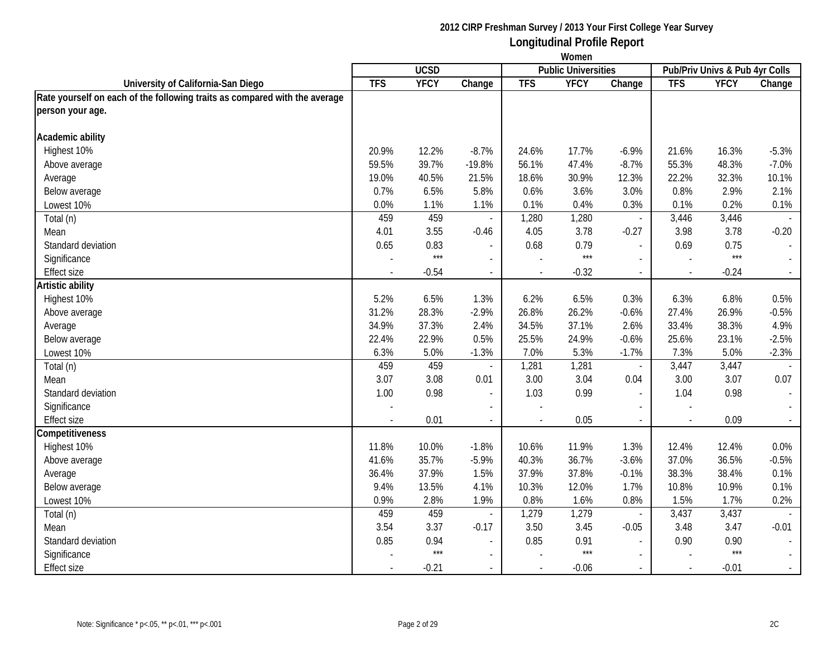|                                                                            | Women      |             |                          |            |                            |                          |                                |             |                  |
|----------------------------------------------------------------------------|------------|-------------|--------------------------|------------|----------------------------|--------------------------|--------------------------------|-------------|------------------|
|                                                                            |            | <b>UCSD</b> |                          |            | <b>Public Universities</b> |                          | Pub/Priv Univs & Pub 4yr Colls |             |                  |
| University of California-San Diego                                         | <b>TFS</b> | <b>YFCY</b> | Change                   | <b>TFS</b> | <b>YFCY</b>                | Change                   | <b>TFS</b>                     | <b>YFCY</b> | Change           |
| Rate yourself on each of the following traits as compared with the average |            |             |                          |            |                            |                          |                                |             |                  |
| person your age.                                                           |            |             |                          |            |                            |                          |                                |             |                  |
| Academic ability                                                           |            |             |                          |            |                            |                          |                                |             |                  |
| Highest 10%                                                                | 20.9%      | 12.2%       | $-8.7%$                  | 24.6%      | 17.7%                      | $-6.9%$                  | 21.6%                          | 16.3%       | $-5.3%$          |
| Above average                                                              | 59.5%      | 39.7%       | $-19.8%$                 | 56.1%      | 47.4%                      | $-8.7%$                  | 55.3%                          | 48.3%       | $-7.0%$          |
| Average                                                                    | 19.0%      | 40.5%       | 21.5%                    | 18.6%      | 30.9%                      | 12.3%                    | 22.2%                          | 32.3%       | 10.1%            |
| Below average                                                              | 0.7%       | 6.5%        | 5.8%                     | 0.6%       | 3.6%                       | 3.0%                     | 0.8%                           | 2.9%        | 2.1%             |
| Lowest 10%                                                                 | 0.0%       | 1.1%        | 1.1%                     | 0.1%       | 0.4%                       | 0.3%                     | 0.1%                           | 0.2%        | 0.1%             |
| Total (n)                                                                  | 459        | 459         |                          | 1,280      | 1,280                      | $\overline{\phantom{a}}$ | 3,446                          | 3,446       |                  |
| Mean                                                                       | 4.01       | 3.55        | $-0.46$                  | 4.05       | 3.78                       | $-0.27$                  | 3.98                           | 3.78        | $-0.20$          |
| Standard deviation                                                         | 0.65       | 0.83        |                          | 0.68       | 0.79                       | $\overline{\phantom{a}}$ | 0.69                           | 0.75        | $\blacksquare$   |
| Significance                                                               |            | $***$       | $\overline{a}$           |            | $***$                      | $\sim$                   |                                | $***$       | $\mathbb{Z}^2$   |
| <b>Effect size</b>                                                         |            | $-0.54$     | $\overline{\phantom{a}}$ | $\sim$     | $-0.32$                    | $\blacksquare$           | $\sim$                         | $-0.24$     | $\sim$           |
| Artistic ability                                                           |            |             |                          |            |                            |                          |                                |             |                  |
| Highest 10%                                                                | 5.2%       | 6.5%        | 1.3%                     | 6.2%       | 6.5%                       | 0.3%                     | 6.3%                           | 6.8%        | 0.5%             |
| Above average                                                              | 31.2%      | 28.3%       | $-2.9%$                  | 26.8%      | 26.2%                      | $-0.6%$                  | 27.4%                          | 26.9%       | $-0.5%$          |
| Average                                                                    | 34.9%      | 37.3%       | 2.4%                     | 34.5%      | 37.1%                      | 2.6%                     | 33.4%                          | 38.3%       | 4.9%             |
| Below average                                                              | 22.4%      | 22.9%       | 0.5%                     | 25.5%      | 24.9%                      | $-0.6%$                  | 25.6%                          | 23.1%       | $-2.5%$          |
| Lowest 10%                                                                 | 6.3%       | 5.0%        | $-1.3%$                  | 7.0%       | 5.3%                       | $-1.7%$                  | 7.3%                           | 5.0%        | $-2.3%$          |
| Total (n)                                                                  | 459        | 459         |                          | 1,281      | 1,281                      | $\overline{\phantom{a}}$ | 3,447                          | 3,447       |                  |
| Mean                                                                       | 3.07       | 3.08        | 0.01                     | 3.00       | 3.04                       | 0.04                     | 3.00                           | 3.07        | 0.07             |
| Standard deviation                                                         | 1.00       | 0.98        | $\overline{\phantom{a}}$ | 1.03       | 0.99                       | $\blacksquare$           | 1.04                           | 0.98        | $\mathbb{L}$     |
| Significance                                                               |            |             |                          |            |                            |                          |                                |             |                  |
| <b>Effect size</b>                                                         |            | 0.01        |                          |            | 0.05                       | $\overline{\phantom{a}}$ |                                | 0.09        | $\sim$           |
| Competitiveness                                                            |            |             |                          |            |                            |                          |                                |             |                  |
| Highest 10%                                                                | 11.8%      | 10.0%       | $-1.8%$                  | 10.6%      | 11.9%                      | 1.3%                     | 12.4%                          | 12.4%       | 0.0%             |
| Above average                                                              | 41.6%      | 35.7%       | $-5.9%$                  | 40.3%      | 36.7%                      | $-3.6%$                  | 37.0%                          | 36.5%       | $-0.5%$          |
| Average                                                                    | 36.4%      | 37.9%       | 1.5%                     | 37.9%      | 37.8%                      | $-0.1%$                  | 38.3%                          | 38.4%       | 0.1%             |
| Below average                                                              | 9.4%       | 13.5%       | 4.1%                     | 10.3%      | 12.0%                      | 1.7%                     | 10.8%                          | 10.9%       | 0.1%             |
| Lowest 10%                                                                 | 0.9%       | 2.8%        | 1.9%                     | 0.8%       | 1.6%                       | 0.8%                     | 1.5%                           | 1.7%        | 0.2%             |
| Total (n)                                                                  | 459        | 459         |                          | 1,279      | 1,279                      | $\overline{\phantom{a}}$ | 3,437                          | 3,437       |                  |
| Mean                                                                       | 3.54       | 3.37        | $-0.17$                  | 3.50       | 3.45                       | $-0.05$                  | 3.48                           | 3.47        | $-0.01$          |
| Standard deviation                                                         | 0.85       | 0.94        | $\overline{a}$           | 0.85       | 0.91                       | $\overline{a}$           | 0.90                           | 0.90        | $\mathbb{L}$     |
| Significance                                                               |            | $***$       | $\overline{\phantom{0}}$ |            | $***$                      | $\overline{\phantom{a}}$ |                                | $***$       |                  |
| <b>Effect size</b>                                                         |            | $-0.21$     |                          |            | $-0.06$                    |                          |                                | $-0.01$     | $\omega_{\rm c}$ |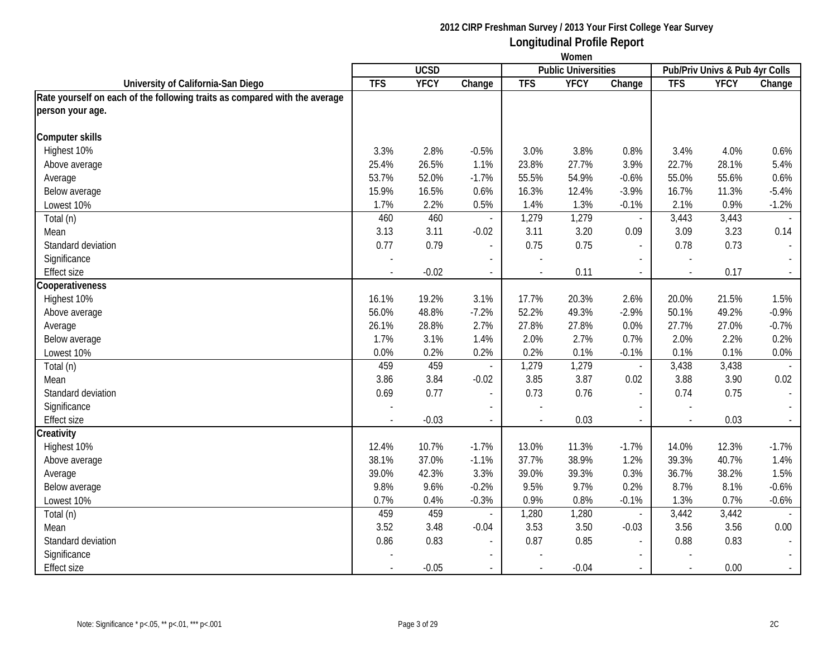|                                                                            | Women      |             |                          |            |                            |                          |                                |             |                          |
|----------------------------------------------------------------------------|------------|-------------|--------------------------|------------|----------------------------|--------------------------|--------------------------------|-------------|--------------------------|
|                                                                            |            | <b>UCSD</b> |                          |            | <b>Public Universities</b> |                          | Pub/Priv Univs & Pub 4yr Colls |             |                          |
| University of California-San Diego                                         | <b>TFS</b> | <b>YFCY</b> | Change                   | <b>TFS</b> | <b>YFCY</b>                | Change                   | <b>TFS</b>                     | <b>YFCY</b> | Change                   |
| Rate yourself on each of the following traits as compared with the average |            |             |                          |            |                            |                          |                                |             |                          |
| person your age.                                                           |            |             |                          |            |                            |                          |                                |             |                          |
| Computer skills                                                            |            |             |                          |            |                            |                          |                                |             |                          |
| Highest 10%                                                                | 3.3%       | 2.8%        | $-0.5%$                  | 3.0%       | 3.8%                       | 0.8%                     | 3.4%                           | 4.0%        | 0.6%                     |
| Above average                                                              | 25.4%      | 26.5%       | 1.1%                     | 23.8%      | 27.7%                      | 3.9%                     | 22.7%                          | 28.1%       | 5.4%                     |
| Average                                                                    | 53.7%      | 52.0%       | $-1.7%$                  | 55.5%      | 54.9%                      | $-0.6%$                  | 55.0%                          | 55.6%       | 0.6%                     |
| Below average                                                              | 15.9%      | 16.5%       | 0.6%                     | 16.3%      | 12.4%                      | $-3.9%$                  | 16.7%                          | 11.3%       | $-5.4%$                  |
| Lowest 10%                                                                 | 1.7%       | 2.2%        | 0.5%                     | 1.4%       | 1.3%                       | $-0.1%$                  | 2.1%                           | 0.9%        | $-1.2%$                  |
| Total (n)                                                                  | 460        | 460         |                          | 1,279      | 1,279                      | $\overline{\phantom{a}}$ | 3,443                          | 3,443       |                          |
| Mean                                                                       | 3.13       | 3.11        | $-0.02$                  | 3.11       | 3.20                       | 0.09                     | 3.09                           | 3.23        | 0.14                     |
| Standard deviation                                                         | 0.77       | 0.79        | $\overline{a}$           | 0.75       | 0.75                       | $\overline{\phantom{a}}$ | 0.78                           | 0.73        | $\overline{\phantom{a}}$ |
| Significance                                                               |            |             | $\overline{a}$           |            |                            | $\overline{\phantom{a}}$ |                                |             |                          |
| <b>Effect size</b>                                                         |            | $-0.02$     | $\overline{\phantom{a}}$ |            | 0.11                       | $\overline{\phantom{a}}$ | $\overline{\phantom{a}}$       | 0.17        | $\sim$                   |
| Cooperativeness                                                            |            |             |                          |            |                            |                          |                                |             |                          |
| Highest 10%                                                                | 16.1%      | 19.2%       | 3.1%                     | 17.7%      | 20.3%                      | 2.6%                     | 20.0%                          | 21.5%       | 1.5%                     |
| Above average                                                              | 56.0%      | 48.8%       | $-7.2%$                  | 52.2%      | 49.3%                      | $-2.9%$                  | 50.1%                          | 49.2%       | $-0.9%$                  |
| Average                                                                    | 26.1%      | 28.8%       | 2.7%                     | 27.8%      | 27.8%                      | 0.0%                     | 27.7%                          | 27.0%       | $-0.7%$                  |
| Below average                                                              | 1.7%       | 3.1%        | 1.4%                     | 2.0%       | 2.7%                       | 0.7%                     | 2.0%                           | 2.2%        | 0.2%                     |
| Lowest 10%                                                                 | 0.0%       | 0.2%        | 0.2%                     | 0.2%       | 0.1%                       | $-0.1%$                  | 0.1%                           | 0.1%        | $0.0\%$                  |
| Total (n)                                                                  | 459        | 459         |                          | 1,279      | 1,279                      | $\blacksquare$           | 3,438                          | 3,438       |                          |
| Mean                                                                       | 3.86       | 3.84        | $-0.02$                  | 3.85       | 3.87                       | 0.02                     | 3.88                           | 3.90        | 0.02                     |
| Standard deviation                                                         | 0.69       | 0.77        |                          | 0.73       | 0.76                       | $\overline{\phantom{a}}$ | 0.74                           | 0.75        |                          |
| Significance                                                               |            |             |                          |            |                            |                          |                                |             |                          |
| <b>Effect size</b>                                                         |            | $-0.03$     | $\mathcal{L}$            |            | 0.03                       | $\blacksquare$           | $\sim$                         | 0.03        |                          |
| Creativity                                                                 |            |             |                          |            |                            |                          |                                |             |                          |
| Highest 10%                                                                | 12.4%      | 10.7%       | $-1.7%$                  | 13.0%      | 11.3%                      | $-1.7%$                  | 14.0%                          | 12.3%       | $-1.7%$                  |
| Above average                                                              | 38.1%      | 37.0%       | $-1.1%$                  | 37.7%      | 38.9%                      | 1.2%                     | 39.3%                          | 40.7%       | 1.4%                     |
| Average                                                                    | 39.0%      | 42.3%       | 3.3%                     | 39.0%      | 39.3%                      | 0.3%                     | 36.7%                          | 38.2%       | 1.5%                     |
| Below average                                                              | 9.8%       | 9.6%        | $-0.2%$                  | 9.5%       | 9.7%                       | 0.2%                     | 8.7%                           | 8.1%        | $-0.6%$                  |
| Lowest 10%                                                                 | 0.7%       | 0.4%        | $-0.3%$                  | 0.9%       | 0.8%                       | $-0.1%$                  | 1.3%                           | 0.7%        | $-0.6%$                  |
| Total (n)                                                                  | 459        | 459         |                          | 1,280      | 1,280                      | $\overline{\phantom{a}}$ | 3,442                          | 3,442       |                          |
| Mean                                                                       | 3.52       | 3.48        | $-0.04$                  | 3.53       | 3.50                       | $-0.03$                  | 3.56                           | 3.56        | 0.00                     |
| Standard deviation                                                         | 0.86       | 0.83        |                          | 0.87       | 0.85                       | $\overline{\phantom{a}}$ | 0.88                           | 0.83        |                          |
| Significance                                                               |            |             |                          |            |                            |                          |                                |             |                          |
| <b>Effect size</b>                                                         |            | $-0.05$     |                          |            | $-0.04$                    |                          | $\sim$                         | 0.00        |                          |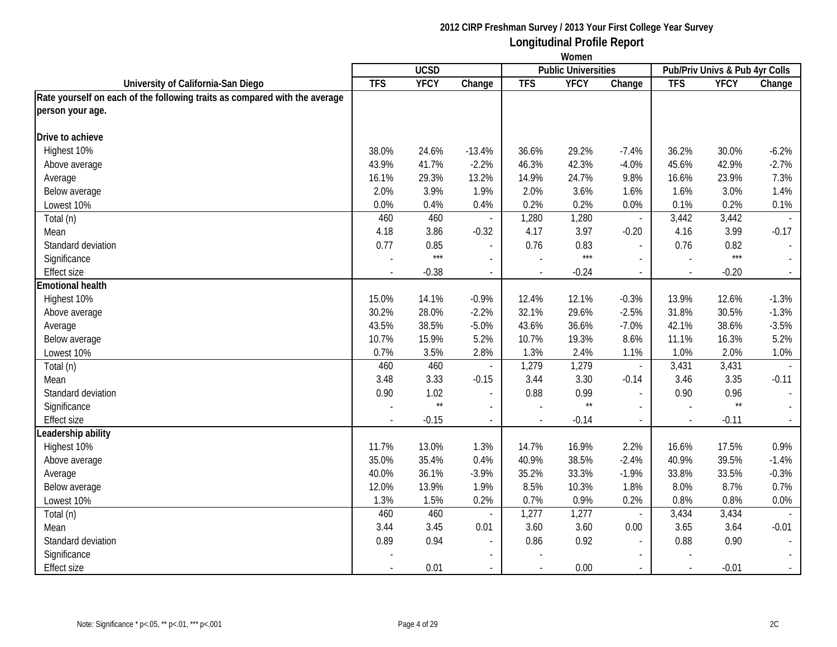|                                                                            | Women      |              |                          |            |                            |                          |                                |              |                             |
|----------------------------------------------------------------------------|------------|--------------|--------------------------|------------|----------------------------|--------------------------|--------------------------------|--------------|-----------------------------|
|                                                                            |            | <b>UCSD</b>  |                          |            | <b>Public Universities</b> |                          | Pub/Priv Univs & Pub 4yr Colls |              |                             |
| University of California-San Diego                                         | <b>TFS</b> | <b>YFCY</b>  | Change                   | <b>TFS</b> | <b>YFCY</b>                | Change                   | <b>TFS</b>                     | <b>YFCY</b>  | Change                      |
| Rate yourself on each of the following traits as compared with the average |            |              |                          |            |                            |                          |                                |              |                             |
| person your age.                                                           |            |              |                          |            |                            |                          |                                |              |                             |
| Drive to achieve                                                           |            |              |                          |            |                            |                          |                                |              |                             |
| Highest 10%                                                                | 38.0%      | 24.6%        | $-13.4%$                 | 36.6%      | 29.2%                      | $-7.4%$                  | 36.2%                          | 30.0%        | $-6.2%$                     |
| Above average                                                              | 43.9%      | 41.7%        | $-2.2%$                  | 46.3%      | 42.3%                      | $-4.0%$                  | 45.6%                          | 42.9%        | $-2.7%$                     |
| Average                                                                    | 16.1%      | 29.3%        | 13.2%                    | 14.9%      | 24.7%                      | 9.8%                     | 16.6%                          | 23.9%        | 7.3%                        |
| Below average                                                              | 2.0%       | 3.9%         | 1.9%                     | 2.0%       | 3.6%                       | 1.6%                     | 1.6%                           | 3.0%         | 1.4%                        |
| Lowest 10%                                                                 | 0.0%       | 0.4%         | 0.4%                     | 0.2%       | 0.2%                       | 0.0%                     | 0.1%                           | 0.2%         | 0.1%                        |
| Total (n)                                                                  | 460        | 460          |                          | 1,280      | 1,280                      | $\overline{\phantom{a}}$ | 3,442                          | 3,442        | $\mathcal{L}$               |
| Mean                                                                       | 4.18       | 3.86         | $-0.32$                  | 4.17       | 3.97                       | $-0.20$                  | 4.16                           | 3.99         | $-0.17$                     |
| Standard deviation                                                         | 0.77       | 0.85         | $\overline{a}$           | 0.76       | 0.83                       | $\overline{\phantom{a}}$ | 0.76                           | 0.82         | $\overline{\phantom{a}}$    |
| Significance                                                               |            | $***$        | $\overline{a}$           |            | $***$                      | $\sim$                   |                                | $***$        | $\mathcal{L}^{\mathcal{A}}$ |
| <b>Effect size</b>                                                         |            | $-0.38$      | $\overline{\phantom{a}}$ | $\sim$     | $-0.24$                    | $\blacksquare$           | $\sim$                         | $-0.20$      | $\sim$                      |
| <b>Emotional health</b>                                                    |            |              |                          |            |                            |                          |                                |              |                             |
| Highest 10%                                                                | 15.0%      | 14.1%        | $-0.9%$                  | 12.4%      | 12.1%                      | $-0.3%$                  | 13.9%                          | 12.6%        | $-1.3%$                     |
| Above average                                                              | 30.2%      | 28.0%        | $-2.2%$                  | 32.1%      | 29.6%                      | $-2.5%$                  | 31.8%                          | 30.5%        | $-1.3%$                     |
| Average                                                                    | 43.5%      | 38.5%        | $-5.0%$                  | 43.6%      | 36.6%                      | $-7.0%$                  | 42.1%                          | 38.6%        | $-3.5%$                     |
| Below average                                                              | 10.7%      | 15.9%        | 5.2%                     | 10.7%      | 19.3%                      | 8.6%                     | 11.1%                          | 16.3%        | 5.2%                        |
| Lowest 10%                                                                 | 0.7%       | 3.5%         | 2.8%                     | 1.3%       | 2.4%                       | 1.1%                     | 1.0%                           | 2.0%         | 1.0%                        |
| Total (n)                                                                  | 460        | 460          |                          | 1,279      | 1,279                      | $\blacksquare$           | 3,431                          | 3,431        |                             |
| Mean                                                                       | 3.48       | 3.33         | $-0.15$                  | 3.44       | 3.30                       | $-0.14$                  | 3.46                           | 3.35         | $-0.11$                     |
| Standard deviation                                                         | 0.90       | 1.02         | $\blacksquare$           | 0.88       | 0.99                       | $\blacksquare$           | 0.90                           | 0.96         | $\sim$                      |
| Significance                                                               |            | $\star\star$ | $\overline{a}$           |            | $^{\star\star}$            | $\overline{a}$           |                                | $\star\star$ |                             |
| Effect size                                                                |            | $-0.15$      |                          |            | $-0.14$                    | $\overline{\phantom{a}}$ |                                | $-0.11$      | $\sim$                      |
| Leadership ability                                                         |            |              |                          |            |                            |                          |                                |              |                             |
| Highest 10%                                                                | 11.7%      | 13.0%        | 1.3%                     | 14.7%      | 16.9%                      | 2.2%                     | 16.6%                          | 17.5%        | 0.9%                        |
| Above average                                                              | 35.0%      | 35.4%        | 0.4%                     | 40.9%      | 38.5%                      | $-2.4%$                  | 40.9%                          | 39.5%        | $-1.4%$                     |
| Average                                                                    | 40.0%      | 36.1%        | $-3.9%$                  | 35.2%      | 33.3%                      | $-1.9%$                  | 33.8%                          | 33.5%        | $-0.3%$                     |
| Below average                                                              | 12.0%      | 13.9%        | 1.9%                     | 8.5%       | 10.3%                      | 1.8%                     | 8.0%                           | 8.7%         | 0.7%                        |
| Lowest 10%                                                                 | 1.3%       | 1.5%         | 0.2%                     | 0.7%       | 0.9%                       | 0.2%                     | 0.8%                           | 0.8%         | 0.0%                        |
| Total (n)                                                                  | 460        | 460          |                          | 1,277      | 1,277                      | $\overline{\phantom{a}}$ | 3,434                          | 3,434        |                             |
| Mean                                                                       | 3.44       | 3.45         | 0.01                     | 3.60       | 3.60                       | 0.00                     | 3.65                           | 3.64         | $-0.01$                     |
| Standard deviation                                                         | 0.89       | 0.94         |                          | 0.86       | 0.92                       | $\overline{\phantom{a}}$ | 0.88                           | 0.90         | $\mathbb{L}$                |
| Significance                                                               |            |              | $\overline{\phantom{0}}$ |            |                            |                          |                                |              |                             |
| <b>Effect size</b>                                                         |            | 0.01         |                          |            | 0.00                       |                          |                                | $-0.01$      | $\omega_{\rm c}$            |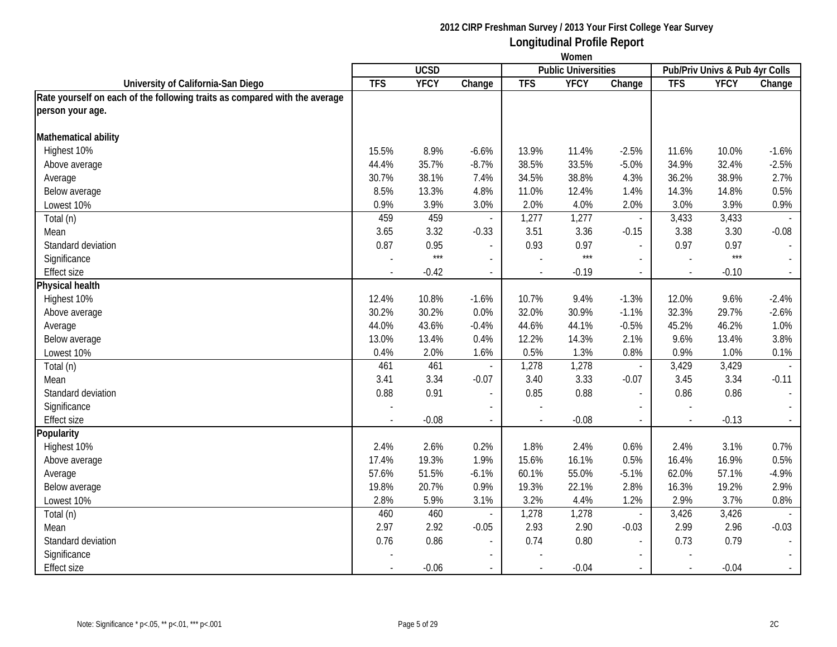|                                                                            | Women          |             |                          |                |                            |                          |                |                                |                             |
|----------------------------------------------------------------------------|----------------|-------------|--------------------------|----------------|----------------------------|--------------------------|----------------|--------------------------------|-----------------------------|
|                                                                            |                | <b>UCSD</b> |                          |                | <b>Public Universities</b> |                          |                | Pub/Priv Univs & Pub 4yr Colls |                             |
| University of California-San Diego                                         | <b>TFS</b>     | <b>YFCY</b> | Change                   | <b>TFS</b>     | <b>YFCY</b>                | Change                   | <b>TFS</b>     | <b>YFCY</b>                    | Change                      |
| Rate yourself on each of the following traits as compared with the average |                |             |                          |                |                            |                          |                |                                |                             |
| person your age.                                                           |                |             |                          |                |                            |                          |                |                                |                             |
| Mathematical ability                                                       |                |             |                          |                |                            |                          |                |                                |                             |
| Highest 10%                                                                | 15.5%          | 8.9%        | $-6.6%$                  | 13.9%          | 11.4%                      | $-2.5%$                  | 11.6%          | 10.0%                          | $-1.6%$                     |
| Above average                                                              | 44.4%          | 35.7%       | $-8.7%$                  | 38.5%          | 33.5%                      | $-5.0%$                  | 34.9%          | 32.4%                          | $-2.5%$                     |
| Average                                                                    | 30.7%          | 38.1%       | 7.4%                     | 34.5%          | 38.8%                      | 4.3%                     | 36.2%          | 38.9%                          | 2.7%                        |
| Below average                                                              | 8.5%           | 13.3%       | 4.8%                     | 11.0%          | 12.4%                      | 1.4%                     | 14.3%          | 14.8%                          | 0.5%                        |
| Lowest 10%                                                                 | 0.9%           | 3.9%        | 3.0%                     | 2.0%           | 4.0%                       | 2.0%                     | 3.0%           | 3.9%                           | 0.9%                        |
| Total (n)                                                                  | 459            | 459         |                          | 1,277          | 1,277                      | $\blacksquare$           | 3,433          | 3,433                          |                             |
| Mean                                                                       | 3.65           | 3.32        | $-0.33$                  | 3.51           | 3.36                       | $-0.15$                  | 3.38           | 3.30                           | $-0.08$                     |
| Standard deviation                                                         | 0.87           | 0.95        | $\sim$                   | 0.93           | 0.97                       | $\mathbb{Z}^2$           | 0.97           | 0.97                           | $\blacksquare$              |
| Significance                                                               |                | $***$       | $\overline{\phantom{a}}$ |                | $***$                      | $\overline{a}$           |                | $***$                          | $\sim$                      |
| <b>Effect size</b>                                                         |                | $-0.42$     | $\sim$                   | $\overline{a}$ | $-0.19$                    | $\sim$                   |                | $-0.10$                        | $\sim$                      |
| Physical health                                                            |                |             |                          |                |                            |                          |                |                                |                             |
| Highest 10%                                                                | 12.4%          | 10.8%       | $-1.6%$                  | 10.7%          | 9.4%                       | $-1.3%$                  | 12.0%          | 9.6%                           | $-2.4%$                     |
| Above average                                                              | 30.2%          | 30.2%       | 0.0%                     | 32.0%          | 30.9%                      | $-1.1%$                  | 32.3%          | 29.7%                          | $-2.6%$                     |
| Average                                                                    | 44.0%          | 43.6%       | $-0.4%$                  | 44.6%          | 44.1%                      | $-0.5%$                  | 45.2%          | 46.2%                          | 1.0%                        |
| Below average                                                              | 13.0%          | 13.4%       | 0.4%                     | 12.2%          | 14.3%                      | 2.1%                     | 9.6%           | 13.4%                          | 3.8%                        |
| Lowest 10%                                                                 | 0.4%           | 2.0%        | 1.6%                     | 0.5%           | 1.3%                       | 0.8%                     | 0.9%           | 1.0%                           | 0.1%                        |
| Total (n)                                                                  | 461            | 461         |                          | 1,278          | 1,278                      | $\overline{\phantom{a}}$ | 3,429          | 3,429                          |                             |
| Mean                                                                       | 3.41           | 3.34        | $-0.07$                  | 3.40           | 3.33                       | $-0.07$                  | 3.45           | 3.34                           | $-0.11$                     |
| Standard deviation                                                         | 0.88           | 0.91        | $\blacksquare$           | 0.85           | 0.88                       | $\overline{a}$           | 0.86           | 0.86                           | $\mathcal{L}_{\mathcal{A}}$ |
| Significance                                                               |                |             |                          |                |                            |                          |                |                                |                             |
| <b>Effect size</b>                                                         | $\overline{a}$ | $-0.08$     | $\blacksquare$           | $\overline{a}$ | $-0.08$                    | $\sim$                   | $\overline{a}$ | $-0.13$                        | $\omega_{\rm{eff}}$         |
| Popularity                                                                 |                |             |                          |                |                            |                          |                |                                |                             |
| Highest 10%                                                                | 2.4%           | 2.6%        | 0.2%                     | 1.8%           | 2.4%                       | 0.6%                     | 2.4%           | 3.1%                           | 0.7%                        |
| Above average                                                              | 17.4%          | 19.3%       | 1.9%                     | 15.6%          | 16.1%                      | 0.5%                     | 16.4%          | 16.9%                          | 0.5%                        |
| Average                                                                    | 57.6%          | 51.5%       | $-6.1%$                  | 60.1%          | 55.0%                      | $-5.1%$                  | 62.0%          | 57.1%                          | $-4.9%$                     |
| Below average                                                              | 19.8%          | 20.7%       | 0.9%                     | 19.3%          | 22.1%                      | 2.8%                     | 16.3%          | 19.2%                          | 2.9%                        |
| Lowest 10%                                                                 | 2.8%           | 5.9%        | 3.1%                     | 3.2%           | 4.4%                       | 1.2%                     | 2.9%           | 3.7%                           | 0.8%                        |
| Total (n)                                                                  | 460            | 460         | $\overline{\phantom{a}}$ | 1,278          | 1,278                      | $\overline{\phantom{a}}$ | 3,426          | 3,426                          |                             |
| Mean                                                                       | 2.97           | 2.92        | $-0.05$                  | 2.93           | 2.90                       | $-0.03$                  | 2.99           | 2.96                           | $-0.03$                     |
| Standard deviation                                                         | 0.76           | 0.86        | $\overline{\phantom{a}}$ | 0.74           | 0.80                       | $\overline{\phantom{a}}$ | 0.73           | 0.79                           | $\sim$                      |
| Significance                                                               |                |             | $\blacksquare$           |                |                            | $\overline{\phantom{a}}$ |                |                                | $\sim$                      |
| Effect size                                                                |                | $-0.06$     |                          |                | $-0.04$                    |                          |                | $-0.04$                        | $\sim$                      |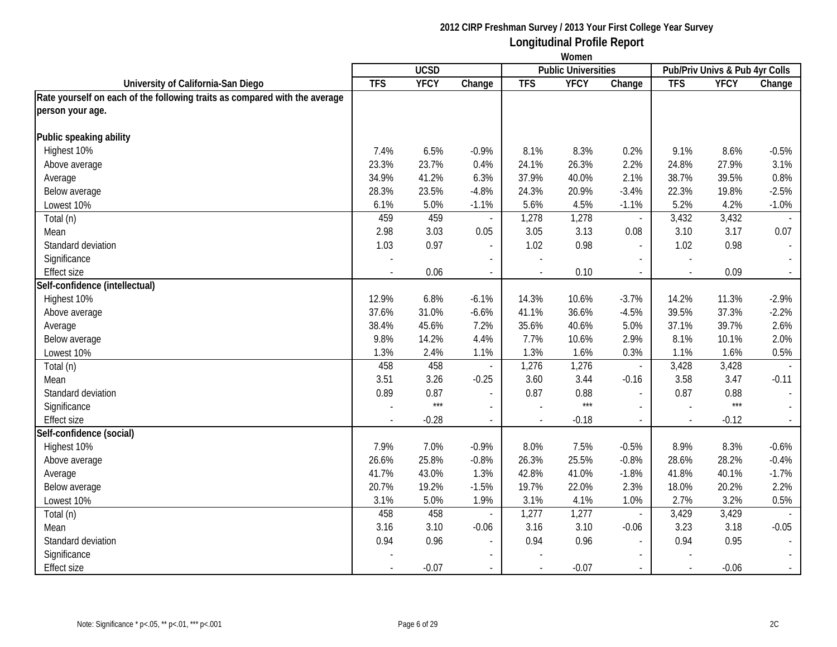|                                                                            | Women                    |             |                          |                |                            |                          |            |                                |                             |
|----------------------------------------------------------------------------|--------------------------|-------------|--------------------------|----------------|----------------------------|--------------------------|------------|--------------------------------|-----------------------------|
|                                                                            |                          | <b>UCSD</b> |                          |                | <b>Public Universities</b> |                          |            | Pub/Priv Univs & Pub 4yr Colls |                             |
| University of California-San Diego                                         | <b>TFS</b>               | <b>YFCY</b> | Change                   | <b>TFS</b>     | <b>YFCY</b>                | Change                   | <b>TFS</b> | <b>YFCY</b>                    | Change                      |
| Rate yourself on each of the following traits as compared with the average |                          |             |                          |                |                            |                          |            |                                |                             |
| person your age.                                                           |                          |             |                          |                |                            |                          |            |                                |                             |
| Public speaking ability                                                    |                          |             |                          |                |                            |                          |            |                                |                             |
| Highest 10%                                                                | 7.4%                     | 6.5%        | $-0.9%$                  | 8.1%           | 8.3%                       | 0.2%                     | 9.1%       | 8.6%                           | $-0.5%$                     |
| Above average                                                              | 23.3%                    | 23.7%       | 0.4%                     | 24.1%          | 26.3%                      | 2.2%                     | 24.8%      | 27.9%                          | 3.1%                        |
| Average                                                                    | 34.9%                    | 41.2%       | 6.3%                     | 37.9%          | 40.0%                      | 2.1%                     | 38.7%      | 39.5%                          | 0.8%                        |
| Below average                                                              | 28.3%                    | 23.5%       | $-4.8%$                  | 24.3%          | 20.9%                      | $-3.4%$                  | 22.3%      | 19.8%                          | $-2.5%$                     |
| Lowest 10%                                                                 | 6.1%                     | 5.0%        | $-1.1%$                  | 5.6%           | 4.5%                       | $-1.1%$                  | 5.2%       | 4.2%                           | $-1.0%$                     |
| Total (n)                                                                  | 459                      | 459         |                          | 1,278          | 1,278                      | $\overline{\phantom{a}}$ | 3,432      | 3,432                          |                             |
| Mean                                                                       | 2.98                     | 3.03        | 0.05                     | 3.05           | 3.13                       | 0.08                     | 3.10       | 3.17                           | 0.07                        |
| Standard deviation                                                         | 1.03                     | 0.97        | $\overline{\phantom{a}}$ | 1.02           | 0.98                       | $\overline{\phantom{a}}$ | 1.02       | 0.98                           | $\overline{\phantom{a}}$    |
| Significance                                                               |                          |             | $\overline{\phantom{a}}$ | $\overline{a}$ |                            | $\overline{a}$           |            |                                |                             |
| <b>Effect size</b>                                                         | $\overline{a}$           | 0.06        | $\sim$                   | $\blacksquare$ | 0.10                       | $\sim$                   |            | 0.09                           | $\sim$                      |
| Self-confidence (intellectual)                                             |                          |             |                          |                |                            |                          |            |                                |                             |
| Highest 10%                                                                | 12.9%                    | 6.8%        | $-6.1%$                  | 14.3%          | 10.6%                      | $-3.7%$                  | 14.2%      | 11.3%                          | $-2.9%$                     |
| Above average                                                              | 37.6%                    | 31.0%       | $-6.6%$                  | 41.1%          | 36.6%                      | $-4.5%$                  | 39.5%      | 37.3%                          | $-2.2%$                     |
| Average                                                                    | 38.4%                    | 45.6%       | 7.2%                     | 35.6%          | 40.6%                      | 5.0%                     | 37.1%      | 39.7%                          | 2.6%                        |
| Below average                                                              | 9.8%                     | 14.2%       | 4.4%                     | 7.7%           | 10.6%                      | 2.9%                     | 8.1%       | 10.1%                          | 2.0%                        |
| Lowest 10%                                                                 | 1.3%                     | 2.4%        | 1.1%                     | 1.3%           | 1.6%                       | 0.3%                     | 1.1%       | 1.6%                           | 0.5%                        |
| Total (n)                                                                  | 458                      | 458         |                          | 1,276          | 1,276                      | $\overline{\phantom{a}}$ | 3,428      | 3,428                          |                             |
| Mean                                                                       | 3.51                     | 3.26        | $-0.25$                  | 3.60           | 3.44                       | $-0.16$                  | 3.58       | 3.47                           | $-0.11$                     |
| Standard deviation                                                         | 0.89                     | 0.87        |                          | 0.87           | 0.88                       | $\overline{a}$           | 0.87       | 0.88                           | $\blacksquare$              |
| Significance                                                               |                          | $***$       |                          |                | $***$                      |                          |            | $***$                          | $\blacksquare$              |
| <b>Effect size</b>                                                         | $\overline{\phantom{0}}$ | $-0.28$     | $\mathcal{L}$            | $\mathbf{r}$   | $-0.18$                    | $\blacksquare$           | $\sim$     | $-0.12$                        | $\mathcal{L}_{\mathcal{A}}$ |
| Self-confidence (social)                                                   |                          |             |                          |                |                            |                          |            |                                |                             |
| Highest 10%                                                                | 7.9%                     | 7.0%        | $-0.9%$                  | 8.0%           | 7.5%                       | $-0.5%$                  | 8.9%       | 8.3%                           | $-0.6%$                     |
| Above average                                                              | 26.6%                    | 25.8%       | $-0.8%$                  | 26.3%          | 25.5%                      | $-0.8%$                  | 28.6%      | 28.2%                          | $-0.4%$                     |
| Average                                                                    | 41.7%                    | 43.0%       | 1.3%                     | 42.8%          | 41.0%                      | $-1.8%$                  | 41.8%      | 40.1%                          | $-1.7%$                     |
| Below average                                                              | 20.7%                    | 19.2%       | $-1.5%$                  | 19.7%          | 22.0%                      | 2.3%                     | 18.0%      | 20.2%                          | 2.2%                        |
| Lowest 10%                                                                 | 3.1%                     | 5.0%        | 1.9%                     | 3.1%           | 4.1%                       | 1.0%                     | 2.7%       | 3.2%                           | 0.5%                        |
| Total (n)                                                                  | 458                      | 458         |                          | 1,277          | 1,277                      | $\overline{\phantom{a}}$ | 3,429      | 3,429                          |                             |
| Mean                                                                       | 3.16                     | 3.10        | $-0.06$                  | 3.16           | 3.10                       | $-0.06$                  | 3.23       | 3.18                           | $-0.05$                     |
| Standard deviation                                                         | 0.94                     | 0.96        |                          | 0.94           | 0.96                       |                          | 0.94       | 0.95                           | $\sim$                      |
| Significance                                                               |                          |             | $\blacksquare$           |                |                            | $\blacksquare$           |            |                                |                             |
| Effect size                                                                |                          | $-0.07$     |                          |                | $-0.07$                    |                          |            | $-0.06$                        | $\sim$                      |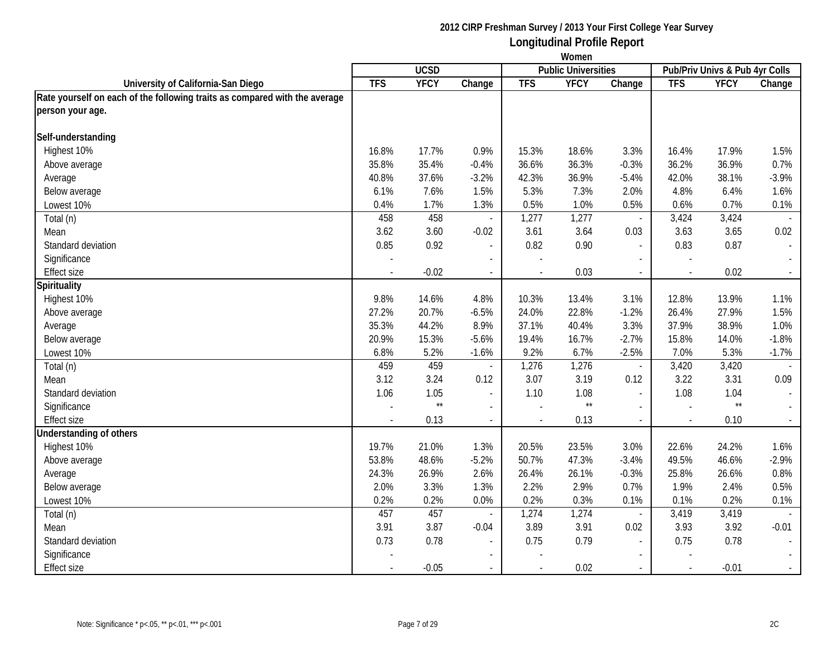|                                                                            | Women      |              |                          |                |                            |                          |                                |              |                             |
|----------------------------------------------------------------------------|------------|--------------|--------------------------|----------------|----------------------------|--------------------------|--------------------------------|--------------|-----------------------------|
|                                                                            |            | <b>UCSD</b>  |                          |                | <b>Public Universities</b> |                          | Pub/Priv Univs & Pub 4yr Colls |              |                             |
| University of California-San Diego                                         | <b>TFS</b> | <b>YFCY</b>  | Change                   | <b>TFS</b>     | <b>YFCY</b>                | Change                   | <b>TFS</b>                     | <b>YFCY</b>  | Change                      |
| Rate yourself on each of the following traits as compared with the average |            |              |                          |                |                            |                          |                                |              |                             |
| person your age.                                                           |            |              |                          |                |                            |                          |                                |              |                             |
| Self-understanding                                                         |            |              |                          |                |                            |                          |                                |              |                             |
| Highest 10%                                                                | 16.8%      | 17.7%        | 0.9%                     | 15.3%          | 18.6%                      | 3.3%                     | 16.4%                          | 17.9%        | 1.5%                        |
| Above average                                                              | 35.8%      | 35.4%        | $-0.4%$                  | 36.6%          | 36.3%                      | $-0.3%$                  | 36.2%                          | 36.9%        | 0.7%                        |
| Average                                                                    | 40.8%      | 37.6%        | $-3.2%$                  | 42.3%          | 36.9%                      | $-5.4%$                  | 42.0%                          | 38.1%        | $-3.9%$                     |
| Below average                                                              | 6.1%       | 7.6%         | 1.5%                     | 5.3%           | 7.3%                       | 2.0%                     | 4.8%                           | 6.4%         | 1.6%                        |
| Lowest 10%                                                                 | 0.4%       | 1.7%         | 1.3%                     | 0.5%           | 1.0%                       | 0.5%                     | 0.6%                           | 0.7%         | 0.1%                        |
| Total (n)                                                                  | 458        | 458          |                          | 1,277          | 1,277                      | $\overline{\phantom{a}}$ | 3,424                          | 3,424        | $\sim$                      |
| Mean                                                                       | 3.62       | 3.60         | $-0.02$                  | 3.61           | 3.64                       | 0.03                     | 3.63                           | 3.65         | 0.02                        |
| Standard deviation                                                         | 0.85       | 0.92         | $\blacksquare$           | 0.82           | 0.90                       | $\blacksquare$           | 0.83                           | 0.87         | $\mathcal{L}_{\mathcal{A}}$ |
| Significance                                                               |            |              | $\overline{a}$           |                |                            | $\overline{\phantom{a}}$ |                                |              |                             |
| <b>Effect size</b>                                                         |            | $-0.02$      | $\sim$                   | $\blacksquare$ | 0.03                       | $\sim$                   | $\blacksquare$                 | 0.02         | $\sim$                      |
| <b>Spirituality</b>                                                        |            |              |                          |                |                            |                          |                                |              |                             |
| Highest 10%                                                                | 9.8%       | 14.6%        | 4.8%                     | 10.3%          | 13.4%                      | 3.1%                     | 12.8%                          | 13.9%        | 1.1%                        |
| Above average                                                              | 27.2%      | 20.7%        | $-6.5%$                  | 24.0%          | 22.8%                      | $-1.2%$                  | 26.4%                          | 27.9%        | 1.5%                        |
| Average                                                                    | 35.3%      | 44.2%        | 8.9%                     | 37.1%          | 40.4%                      | 3.3%                     | 37.9%                          | 38.9%        | 1.0%                        |
| Below average                                                              | 20.9%      | 15.3%        | $-5.6%$                  | 19.4%          | 16.7%                      | $-2.7%$                  | 15.8%                          | 14.0%        | $-1.8%$                     |
| Lowest 10%                                                                 | 6.8%       | 5.2%         | $-1.6%$                  | 9.2%           | 6.7%                       | $-2.5%$                  | 7.0%                           | 5.3%         | $-1.7%$                     |
| Total (n)                                                                  | 459        | 459          |                          | 1,276          | 1,276                      | $\overline{\phantom{a}}$ | 3,420                          | 3,420        |                             |
| Mean                                                                       | 3.12       | 3.24         | 0.12                     | 3.07           | 3.19                       | 0.12                     | 3.22                           | 3.31         | 0.09                        |
| Standard deviation                                                         | 1.06       | 1.05         | $\overline{\phantom{a}}$ | 1.10           | 1.08                       | $\blacksquare$           | 1.08                           | 1.04         | $\overline{\phantom{a}}$    |
| Significance                                                               |            | $\star\star$ |                          |                | $\star\star$               |                          |                                | $\star\star$ |                             |
| <b>Effect size</b>                                                         |            | 0.13         | $\mathcal{L}$            | $\overline{a}$ | 0.13                       | $\blacksquare$           | $\overline{\phantom{a}}$       | 0.10         | $\sim$                      |
| Understanding of others                                                    |            |              |                          |                |                            |                          |                                |              |                             |
| Highest 10%                                                                | 19.7%      | 21.0%        | 1.3%                     | 20.5%          | 23.5%                      | 3.0%                     | 22.6%                          | 24.2%        | 1.6%                        |
| Above average                                                              | 53.8%      | 48.6%        | $-5.2%$                  | 50.7%          | 47.3%                      | $-3.4%$                  | 49.5%                          | 46.6%        | $-2.9%$                     |
| Average                                                                    | 24.3%      | 26.9%        | 2.6%                     | 26.4%          | 26.1%                      | $-0.3%$                  | 25.8%                          | 26.6%        | 0.8%                        |
| Below average                                                              | 2.0%       | 3.3%         | 1.3%                     | 2.2%           | 2.9%                       | 0.7%                     | 1.9%                           | 2.4%         | 0.5%                        |
| Lowest 10%                                                                 | 0.2%       | 0.2%         | 0.0%                     | 0.2%           | 0.3%                       | 0.1%                     | 0.1%                           | 0.2%         | 0.1%                        |
| Total (n)                                                                  | 457        | 457          | $\overline{\phantom{a}}$ | 1,274          | 1,274                      | $\overline{\phantom{a}}$ | 3,419                          | 3,419        |                             |
| Mean                                                                       | 3.91       | 3.87         | $-0.04$                  | 3.89           | 3.91                       | 0.02                     | 3.93                           | 3.92         | $-0.01$                     |
| Standard deviation                                                         | 0.73       | 0.78         | $\overline{\phantom{0}}$ | 0.75           | 0.79                       | $\overline{a}$           | 0.75                           | 0.78         | $\overline{\phantom{a}}$    |
| Significance                                                               |            |              |                          |                |                            |                          |                                |              |                             |
| <b>Effect size</b>                                                         |            | $-0.05$      |                          |                | 0.02                       |                          |                                | $-0.01$      | $\mathcal{L}_{\mathcal{A}}$ |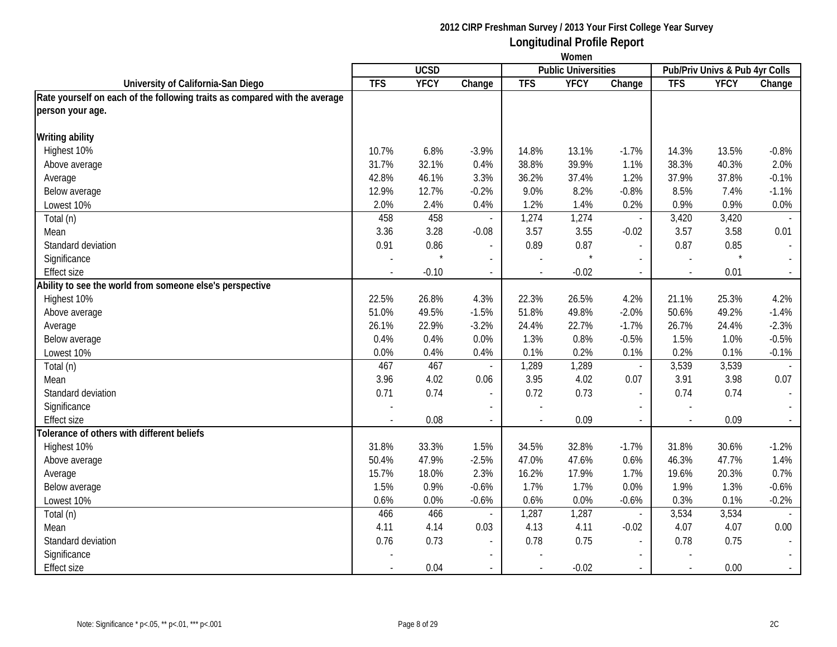|                                                                            | Women      |             |                             |                |                            |                          |                                |             |                          |
|----------------------------------------------------------------------------|------------|-------------|-----------------------------|----------------|----------------------------|--------------------------|--------------------------------|-------------|--------------------------|
|                                                                            |            | <b>UCSD</b> |                             |                | <b>Public Universities</b> |                          | Pub/Priv Univs & Pub 4yr Colls |             |                          |
| University of California-San Diego                                         | <b>TFS</b> | <b>YFCY</b> | Change                      | <b>TFS</b>     | <b>YFCY</b>                | Change                   | <b>TFS</b>                     | <b>YFCY</b> | Change                   |
| Rate yourself on each of the following traits as compared with the average |            |             |                             |                |                            |                          |                                |             |                          |
| person your age.                                                           |            |             |                             |                |                            |                          |                                |             |                          |
| <b>Writing ability</b>                                                     |            |             |                             |                |                            |                          |                                |             |                          |
| Highest 10%                                                                | 10.7%      | 6.8%        | $-3.9%$                     | 14.8%          | 13.1%                      | $-1.7%$                  | 14.3%                          | 13.5%       | $-0.8%$                  |
| Above average                                                              | 31.7%      | 32.1%       | 0.4%                        | 38.8%          | 39.9%                      | 1.1%                     | 38.3%                          | 40.3%       | 2.0%                     |
| Average                                                                    | 42.8%      | 46.1%       | 3.3%                        | 36.2%          | 37.4%                      | 1.2%                     | 37.9%                          | 37.8%       | $-0.1%$                  |
| Below average                                                              | 12.9%      | 12.7%       | $-0.2%$                     | 9.0%           | 8.2%                       | $-0.8%$                  | 8.5%                           | 7.4%        | $-1.1%$                  |
| Lowest 10%                                                                 | 2.0%       | 2.4%        | 0.4%                        | 1.2%           | 1.4%                       | 0.2%                     | 0.9%                           | 0.9%        | 0.0%                     |
| Total (n)                                                                  | 458        | 458         |                             | 1,274          | 1,274                      | $\overline{\phantom{a}}$ | 3,420                          | 3,420       |                          |
| Mean                                                                       | 3.36       | 3.28        | $-0.08$                     | 3.57           | 3.55                       | $-0.02$                  | 3.57                           | 3.58        | 0.01                     |
| Standard deviation                                                         | 0.91       | 0.86        | $\sim$                      | 0.89           | 0.87                       | $\overline{\phantom{a}}$ | 0.87                           | 0.85        | $\overline{\phantom{a}}$ |
| Significance                                                               |            |             | $\sim$                      |                |                            | $\overline{a}$           |                                | $\star$     |                          |
| <b>Effect size</b>                                                         |            | $-0.10$     | $\overline{\phantom{a}}$    | $\blacksquare$ | $-0.02$                    | $\sim$                   |                                | 0.01        | $\sim$                   |
| Ability to see the world from someone else's perspective                   |            |             |                             |                |                            |                          |                                |             |                          |
| Highest 10%                                                                | 22.5%      | 26.8%       | 4.3%                        | 22.3%          | 26.5%                      | 4.2%                     | 21.1%                          | 25.3%       | 4.2%                     |
| Above average                                                              | 51.0%      | 49.5%       | $-1.5%$                     | 51.8%          | 49.8%                      | $-2.0%$                  | 50.6%                          | 49.2%       | $-1.4%$                  |
| Average                                                                    | 26.1%      | 22.9%       | $-3.2%$                     | 24.4%          | 22.7%                      | $-1.7%$                  | 26.7%                          | 24.4%       | $-2.3%$                  |
| Below average                                                              | 0.4%       | 0.4%        | 0.0%                        | 1.3%           | 0.8%                       | $-0.5%$                  | 1.5%                           | 1.0%        | $-0.5%$                  |
| Lowest 10%                                                                 | 0.0%       | 0.4%        | 0.4%                        | 0.1%           | 0.2%                       | 0.1%                     | 0.2%                           | 0.1%        | $-0.1%$                  |
| Total (n)                                                                  | 467        | 467         |                             | 1,289          | 1,289                      | $\overline{\phantom{a}}$ | 3,539                          | 3,539       |                          |
| Mean                                                                       | 3.96       | 4.02        | 0.06                        | 3.95           | 4.02                       | 0.07                     | 3.91                           | 3.98        | 0.07                     |
| Standard deviation                                                         | 0.71       | 0.74        | $\overline{\phantom{a}}$    | 0.72           | 0.73                       | $\overline{a}$           | 0.74                           | 0.74        |                          |
| Significance                                                               |            |             | $\sim$                      |                |                            |                          |                                |             |                          |
| <b>Effect size</b>                                                         |            | 0.08        | $\mathcal{L}_{\mathcal{A}}$ | $\blacksquare$ | 0.09                       | $\omega$                 | $\overline{\phantom{a}}$       | 0.09        | $\sim$                   |
| Tolerance of others with different beliefs                                 |            |             |                             |                |                            |                          |                                |             |                          |
| Highest 10%                                                                | 31.8%      | 33.3%       | 1.5%                        | 34.5%          | 32.8%                      | $-1.7%$                  | 31.8%                          | 30.6%       | $-1.2%$                  |
| Above average                                                              | 50.4%      | 47.9%       | $-2.5%$                     | 47.0%          | 47.6%                      | 0.6%                     | 46.3%                          | 47.7%       | 1.4%                     |
| Average                                                                    | 15.7%      | 18.0%       | 2.3%                        | 16.2%          | 17.9%                      | 1.7%                     | 19.6%                          | 20.3%       | 0.7%                     |
| Below average                                                              | 1.5%       | 0.9%        | $-0.6%$                     | 1.7%           | 1.7%                       | 0.0%                     | 1.9%                           | 1.3%        | $-0.6%$                  |
| Lowest 10%                                                                 | 0.6%       | 0.0%        | $-0.6%$                     | 0.6%           | 0.0%                       | $-0.6%$                  | 0.3%                           | 0.1%        | $-0.2%$                  |
| Total (n)                                                                  | 466        | 466         | $\overline{\phantom{a}}$    | 1,287          | 1,287                      | $\overline{\phantom{a}}$ | 3,534                          | 3,534       |                          |
| Mean                                                                       | 4.11       | 4.14        | 0.03                        | 4.13           | 4.11                       | $-0.02$                  | 4.07                           | 4.07        | 0.00                     |
| Standard deviation                                                         | 0.76       | 0.73        | $\overline{\phantom{a}}$    | 0.78           | 0.75                       | $\blacksquare$           | 0.78                           | 0.75        | $\sim$                   |
| Significance                                                               |            |             | $\blacksquare$              |                |                            | $\blacksquare$           |                                |             | $\sim$                   |
| <b>Effect size</b>                                                         |            | 0.04        |                             |                | $-0.02$                    |                          |                                | 0.00        | $\sim$                   |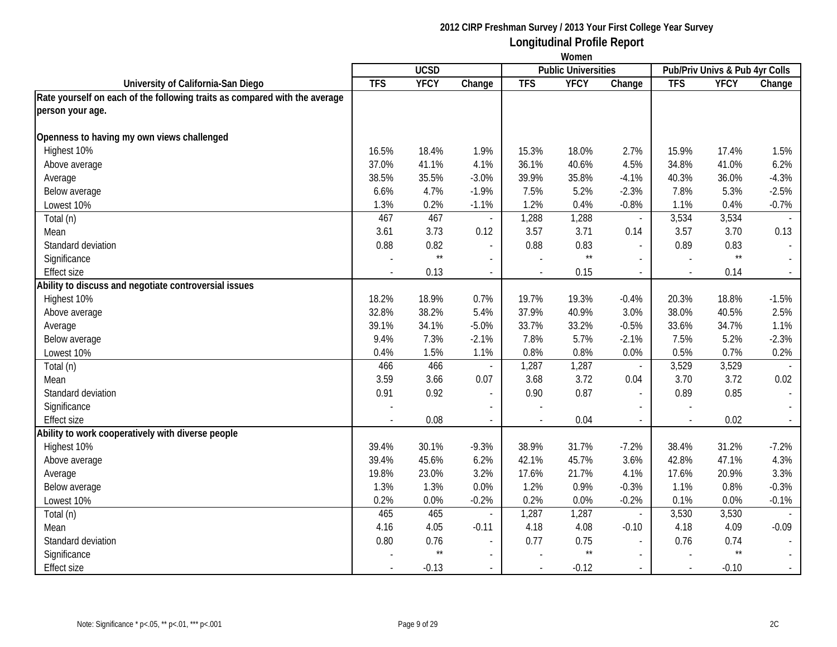|                                                                            | Women      |              |                          |                          |                            |                           |                                |                 |                             |
|----------------------------------------------------------------------------|------------|--------------|--------------------------|--------------------------|----------------------------|---------------------------|--------------------------------|-----------------|-----------------------------|
|                                                                            |            | <b>UCSD</b>  |                          |                          | <b>Public Universities</b> |                           | Pub/Priv Univs & Pub 4yr Colls |                 |                             |
| University of California-San Diego                                         | <b>TFS</b> | <b>YFCY</b>  | Change                   | <b>TFS</b>               | <b>YFCY</b>                | Change                    | <b>TFS</b>                     | <b>YFCY</b>     | Change                      |
| Rate yourself on each of the following traits as compared with the average |            |              |                          |                          |                            |                           |                                |                 |                             |
| person your age.                                                           |            |              |                          |                          |                            |                           |                                |                 |                             |
| Openness to having my own views challenged                                 |            |              |                          |                          |                            |                           |                                |                 |                             |
| Highest 10%                                                                | 16.5%      | 18.4%        | 1.9%                     | 15.3%                    | 18.0%                      | 2.7%                      | 15.9%                          | 17.4%           | 1.5%                        |
| Above average                                                              | 37.0%      | 41.1%        | 4.1%                     | 36.1%                    | 40.6%                      | 4.5%                      | 34.8%                          | 41.0%           | 6.2%                        |
| Average                                                                    | 38.5%      | 35.5%        | $-3.0%$                  | 39.9%                    | 35.8%                      | $-4.1%$                   | 40.3%                          | 36.0%           | $-4.3%$                     |
| Below average                                                              | 6.6%       | 4.7%         | $-1.9%$                  | 7.5%                     | 5.2%                       | $-2.3%$                   | 7.8%                           | 5.3%            | $-2.5%$                     |
| Lowest 10%                                                                 | 1.3%       | 0.2%         | $-1.1%$                  | 1.2%                     | 0.4%                       | $-0.8%$                   | 1.1%                           | 0.4%            | $-0.7%$                     |
| Total (n)                                                                  | 467        | 467          |                          | 1,288                    | 1,288                      | $\overline{\phantom{a}}$  | 3,534                          | 3,534           |                             |
| Mean                                                                       | 3.61       | 3.73         | 0.12                     | 3.57                     | 3.71                       | 0.14                      | 3.57                           | 3.70            | 0.13                        |
| Standard deviation                                                         | 0.88       | 0.82         | $\sim$                   | 0.88                     | 0.83                       | $\overline{\phantom{a}}$  | 0.89                           | 0.83            | $\blacksquare$              |
| Significance                                                               |            | $\star\star$ | $\overline{\phantom{a}}$ |                          | $\star\star$               | $\overline{a}$            |                                | $^{\star\star}$ |                             |
| <b>Effect size</b>                                                         |            | 0.13         | $\sim$                   |                          | 0.15                       | $\sim$                    |                                | 0.14            | $\sim$                      |
| Ability to discuss and negotiate controversial issues                      |            |              |                          |                          |                            |                           |                                |                 |                             |
| Highest 10%                                                                | 18.2%      | 18.9%        | 0.7%                     | 19.7%                    | 19.3%                      | $-0.4%$                   | 20.3%                          | 18.8%           | $-1.5%$                     |
| Above average                                                              | 32.8%      | 38.2%        | 5.4%                     | 37.9%                    | 40.9%                      | 3.0%                      | 38.0%                          | 40.5%           | 2.5%                        |
| Average                                                                    | 39.1%      | 34.1%        | $-5.0%$                  | 33.7%                    | 33.2%                      | $-0.5%$                   | 33.6%                          | 34.7%           | 1.1%                        |
| Below average                                                              | 9.4%       | 7.3%         | $-2.1%$                  | 7.8%                     | 5.7%                       | $-2.1%$                   | 7.5%                           | 5.2%            | $-2.3%$                     |
| Lowest 10%                                                                 | 0.4%       | 1.5%         | 1.1%                     | 0.8%                     | 0.8%                       | 0.0%                      | 0.5%                           | 0.7%            | 0.2%                        |
| Total (n)                                                                  | 466        | 466          |                          | 1,287                    | 1,287                      | $\overline{\phantom{a}}$  | 3,529                          | 3,529           |                             |
| Mean                                                                       | 3.59       | 3.66         | 0.07                     | 3.68                     | 3.72                       | 0.04                      | 3.70                           | 3.72            | 0.02                        |
| Standard deviation                                                         | 0.91       | 0.92         |                          | 0.90                     | 0.87                       | $\overline{\phantom{a}}$  | 0.89                           | 0.85            | $\sim$                      |
| Significance                                                               |            |              |                          |                          |                            |                           |                                |                 |                             |
| <b>Effect size</b>                                                         |            | 0.08         | $\sim$                   | $\overline{\phantom{a}}$ | 0.04                       | $\mathbb{Z}^{\mathbb{Z}}$ | $\sim$                         | 0.02            | $\mathcal{L}_{\mathcal{A}}$ |
| Ability to work cooperatively with diverse people                          |            |              |                          |                          |                            |                           |                                |                 |                             |
| Highest 10%                                                                | 39.4%      | 30.1%        | $-9.3%$                  | 38.9%                    | 31.7%                      | $-7.2%$                   | 38.4%                          | 31.2%           | $-7.2%$                     |
| Above average                                                              | 39.4%      | 45.6%        | 6.2%                     | 42.1%                    | 45.7%                      | 3.6%                      | 42.8%                          | 47.1%           | 4.3%                        |
| Average                                                                    | 19.8%      | 23.0%        | 3.2%                     | 17.6%                    | 21.7%                      | 4.1%                      | 17.6%                          | 20.9%           | 3.3%                        |
| Below average                                                              | 1.3%       | 1.3%         | 0.0%                     | 1.2%                     | 0.9%                       | $-0.3%$                   | 1.1%                           | 0.8%            | $-0.3%$                     |
| Lowest 10%                                                                 | 0.2%       | $0.0\%$      | $-0.2%$                  | 0.2%                     | 0.0%                       | $-0.2%$                   | 0.1%                           | 0.0%            | $-0.1%$                     |
| Total (n)                                                                  | 465        | 465          | $\overline{\phantom{a}}$ | 1,287                    | 1,287                      | $\overline{\phantom{a}}$  | 3,530                          | 3,530           |                             |
| Mean                                                                       | 4.16       | 4.05         | $-0.11$                  | 4.18                     | 4.08                       | $-0.10$                   | 4.18                           | 4.09            | $-0.09$                     |
| Standard deviation                                                         | 0.80       | 0.76         | $\blacksquare$           | 0.77                     | 0.75                       | $\blacksquare$            | 0.76                           | 0.74            | $\blacksquare$              |
| Significance                                                               |            | $\star\star$ | $\blacksquare$           |                          | $^{\star\star}$            | $\blacksquare$            |                                | $\star\star$    | $\mathbb{L}^{\mathbb{N}}$   |
| Effect size                                                                |            | $-0.13$      |                          |                          | $-0.12$                    | $\sim$                    |                                | $-0.10$         | $\sim$                      |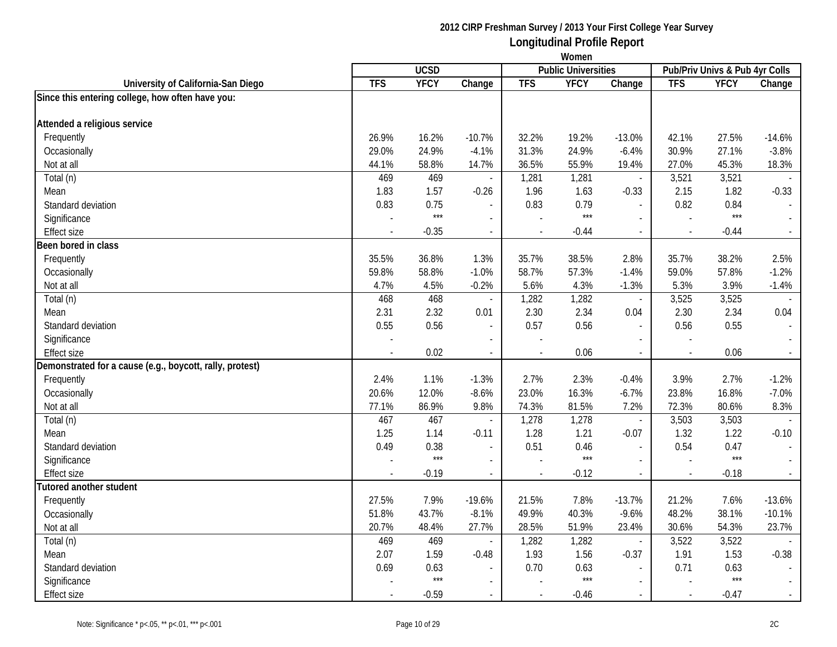|                                                          | Women          |             |                          |            |                            |                          |                |                                |                          |
|----------------------------------------------------------|----------------|-------------|--------------------------|------------|----------------------------|--------------------------|----------------|--------------------------------|--------------------------|
|                                                          |                | <b>UCSD</b> |                          |            | <b>Public Universities</b> |                          |                | Pub/Priv Univs & Pub 4yr Colls |                          |
| University of California-San Diego                       | <b>TFS</b>     | <b>YFCY</b> | Change                   | <b>TFS</b> | <b>YFCY</b>                | Change                   | <b>TFS</b>     | <b>YFCY</b>                    | Change                   |
| Since this entering college, how often have you:         |                |             |                          |            |                            |                          |                |                                |                          |
|                                                          |                |             |                          |            |                            |                          |                |                                |                          |
| Attended a religious service                             |                |             |                          |            |                            |                          |                |                                |                          |
| Frequently                                               | 26.9%          | 16.2%       | $-10.7%$                 | 32.2%      | 19.2%                      | $-13.0%$                 | 42.1%          | 27.5%                          | $-14.6%$                 |
| Occasionally                                             | 29.0%          | 24.9%       | $-4.1%$                  | 31.3%      | 24.9%                      | $-6.4%$                  | 30.9%          | 27.1%                          | $-3.8%$                  |
| Not at all                                               | 44.1%          | 58.8%       | 14.7%                    | 36.5%      | 55.9%                      | 19.4%                    | 27.0%          | 45.3%                          | 18.3%                    |
| Total (n)                                                | 469            | 469         | $\sim$                   | 1,281      | 1,281                      | $\blacksquare$           | 3,521          | 3,521                          |                          |
| Mean                                                     | 1.83           | 1.57        | $-0.26$                  | 1.96       | 1.63                       | $-0.33$                  | 2.15           | 1.82                           | $-0.33$                  |
| Standard deviation                                       | 0.83           | 0.75        |                          | 0.83       | 0.79                       | $\overline{\phantom{a}}$ | 0.82           | 0.84                           |                          |
| Significance                                             |                | $***$       | $\overline{a}$           |            | $***$                      | $\blacksquare$           | $\overline{a}$ | $***$                          | $\overline{\phantom{a}}$ |
| <b>Effect size</b>                                       | $\blacksquare$ | $-0.35$     | $\mathcal{L}$            |            | $-0.44$                    | $\overline{\phantom{a}}$ | $\sim$         | $-0.44$                        | $\sim$                   |
| Been bored in class                                      |                |             |                          |            |                            |                          |                |                                |                          |
| Frequently                                               | 35.5%          | 36.8%       | 1.3%                     | 35.7%      | 38.5%                      | 2.8%                     | 35.7%          | 38.2%                          | 2.5%                     |
| Occasionally                                             | 59.8%          | 58.8%       | $-1.0%$                  | 58.7%      | 57.3%                      | $-1.4%$                  | 59.0%          | 57.8%                          | $-1.2%$                  |
| Not at all                                               | 4.7%           | 4.5%        | $-0.2%$                  | 5.6%       | 4.3%                       | $-1.3%$                  | 5.3%           | 3.9%                           | $-1.4%$                  |
| Total (n)                                                | 468            | 468         | $\blacksquare$           | 1,282      | 1,282                      | $\overline{\phantom{a}}$ | 3,525          | 3,525                          |                          |
| Mean                                                     | 2.31           | 2.32        | 0.01                     | 2.30       | 2.34                       | 0.04                     | 2.30           | 2.34                           | 0.04                     |
| Standard deviation                                       | 0.55           | 0.56        | $\sim$                   | 0.57       | 0.56                       | $\blacksquare$           | 0.56           | 0.55                           | $\blacksquare$           |
| Significance                                             |                |             |                          |            |                            | $\overline{\phantom{a}}$ |                |                                |                          |
| <b>Effect size</b>                                       |                | 0.02        | $\sim$                   |            | 0.06                       | $\overline{a}$           |                | 0.06                           | $\sim$                   |
| Demonstrated for a cause (e.g., boycott, rally, protest) |                |             |                          |            |                            |                          |                |                                |                          |
| Frequently                                               | 2.4%           | 1.1%        | $-1.3%$                  | 2.7%       | 2.3%                       | $-0.4%$                  | 3.9%           | 2.7%                           | $-1.2%$                  |
| Occasionally                                             | 20.6%          | 12.0%       | $-8.6%$                  | 23.0%      | 16.3%                      | $-6.7%$                  | 23.8%          | 16.8%                          | $-7.0%$                  |
| Not at all                                               | 77.1%          | 86.9%       | 9.8%                     | 74.3%      | 81.5%                      | 7.2%                     | 72.3%          | 80.6%                          | 8.3%                     |
| Total (n)                                                | 467            | 467         | $\overline{\phantom{a}}$ | 1,278      | 1,278                      | $\blacksquare$           | 3,503          | 3,503                          | $\overline{\phantom{a}}$ |
| Mean                                                     | 1.25           | 1.14        | $-0.11$                  | 1.28       | 1.21                       | $-0.07$                  | 1.32           | 1.22                           | $-0.10$                  |
| Standard deviation                                       | 0.49           | 0.38        | $\overline{\phantom{a}}$ | 0.51       | 0.46                       | $\overline{a}$           | 0.54           | 0.47                           | $\blacksquare$           |
| Significance                                             |                | $***$       | $\blacksquare$           |            | $***$                      |                          |                | $***$                          | $\sim$                   |
| <b>Effect size</b>                                       | $\blacksquare$ | $-0.19$     | $\mathbf{r}$             | $\sim$     | $-0.12$                    | $\blacksquare$           | $\sim$         | $-0.18$                        | $\sim$                   |
| <b>Tutored another student</b>                           |                |             |                          |            |                            |                          |                |                                |                          |
| Frequently                                               | 27.5%          | 7.9%        | $-19.6%$                 | 21.5%      | 7.8%                       | $-13.7%$                 | 21.2%          | 7.6%                           | $-13.6%$                 |
| Occasionally                                             | 51.8%          | 43.7%       | $-8.1%$                  | 49.9%      | 40.3%                      | $-9.6%$                  | 48.2%          | 38.1%                          | $-10.1%$                 |
| Not at all                                               | 20.7%          | 48.4%       | 27.7%                    | 28.5%      | 51.9%                      | 23.4%                    | 30.6%          | 54.3%                          | 23.7%                    |
| Total (n)                                                | 469            | 469         | $\sim$                   | 1,282      | 1,282                      | $\overline{\phantom{a}}$ | 3,522          | 3,522                          |                          |
| Mean                                                     | 2.07           | 1.59        | $-0.48$                  | 1.93       | 1.56                       | $-0.37$                  | 1.91           | 1.53                           | $-0.38$                  |
| Standard deviation                                       | 0.69           | 0.63        | $\blacksquare$           | 0.70       | 0.63                       | $\mathbf{r}$             | 0.71           | 0.63                           |                          |
| Significance                                             |                | ***         |                          |            | $***$                      | $\blacksquare$           |                | $***$                          |                          |
| Effect size                                              |                | $-0.59$     | $\mathbf{r}$             |            | $-0.46$                    | $\sim$                   | $\sim$         | $-0.47$                        | $\sim$                   |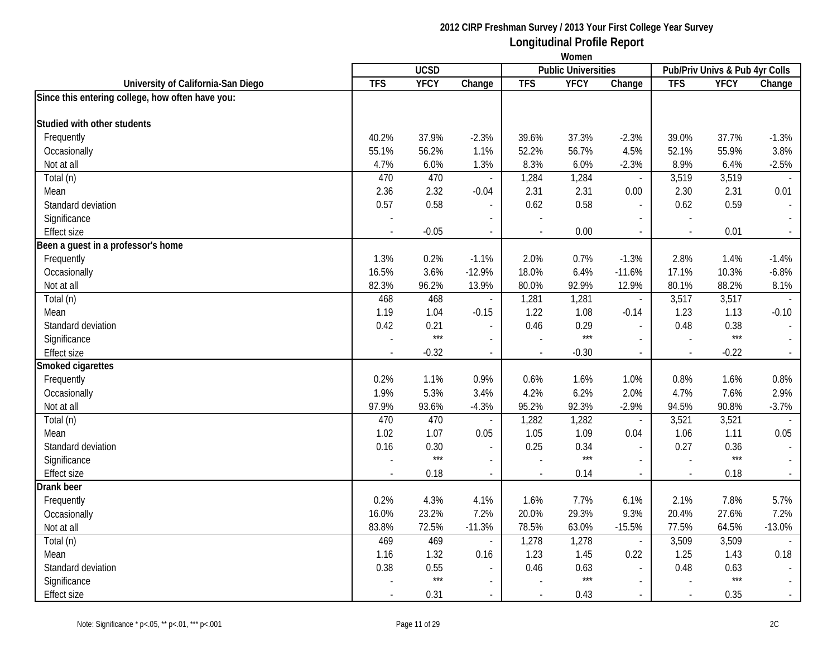|                                                  | Women                    |               |                          |               |                            |                          |                          |                                |          |
|--------------------------------------------------|--------------------------|---------------|--------------------------|---------------|----------------------------|--------------------------|--------------------------|--------------------------------|----------|
|                                                  |                          | <b>UCSD</b>   |                          |               | <b>Public Universities</b> |                          |                          | Pub/Priv Univs & Pub 4yr Colls |          |
| University of California-San Diego               | <b>TFS</b>               | <b>YFCY</b>   | Change                   | <b>TFS</b>    | <b>YFCY</b>                | Change                   | <b>TFS</b>               | <b>YFCY</b>                    | Change   |
| Since this entering college, how often have you: |                          |               |                          |               |                            |                          |                          |                                |          |
| Studied with other students                      |                          |               |                          |               |                            |                          |                          |                                |          |
|                                                  | 40.2%                    | 37.9%         |                          | 39.6%         |                            |                          |                          | 37.7%                          |          |
| Frequently                                       |                          |               | $-2.3%$                  |               | 37.3%                      | $-2.3%$                  | 39.0%                    |                                | $-1.3%$  |
| Occasionally                                     | 55.1%                    | 56.2%<br>6.0% | 1.1%                     | 52.2%<br>8.3% | 56.7%<br>6.0%              | 4.5%                     | 52.1%<br>8.9%            | 55.9%<br>6.4%                  | 3.8%     |
| Not at all                                       | 4.7%<br>470              | 470           | 1.3%                     |               |                            | $-2.3%$                  |                          |                                | $-2.5%$  |
| Total (n)                                        |                          | 2.32          | $\overline{\phantom{a}}$ | 1,284         | 1,284                      | $\overline{\phantom{a}}$ | 3,519<br>2.30            | 3,519                          |          |
| Mean                                             | 2.36                     |               | $-0.04$                  | 2.31          | 2.31                       | 0.00                     |                          | 2.31                           | 0.01     |
| Standard deviation                               | 0.57                     | 0.58          |                          | 0.62          | 0.58                       | $\overline{\phantom{a}}$ | 0.62                     | 0.59                           |          |
| Significance                                     | $\blacksquare$           |               | $\mathbf{r}$             |               |                            | $\sim$                   | $\overline{a}$           |                                |          |
| <b>Effect size</b>                               | $\overline{\phantom{a}}$ | $-0.05$       | $\overline{\phantom{a}}$ |               | 0.00                       | $\overline{\phantom{a}}$ | $\overline{\phantom{a}}$ | 0.01                           |          |
| Been a guest in a professor's home               |                          |               |                          |               |                            |                          |                          |                                |          |
| Frequently                                       | 1.3%                     | 0.2%          | $-1.1%$                  | 2.0%          | 0.7%                       | $-1.3%$                  | 2.8%                     | 1.4%                           | $-1.4%$  |
| Occasionally                                     | 16.5%                    | 3.6%          | $-12.9%$                 | 18.0%         | 6.4%                       | $-11.6%$                 | 17.1%                    | 10.3%                          | $-6.8%$  |
| Not at all                                       | 82.3%                    | 96.2%         | 13.9%                    | 80.0%         | 92.9%                      | 12.9%                    | 80.1%                    | 88.2%                          | 8.1%     |
| Total (n)                                        | 468                      | 468           | $\overline{\phantom{a}}$ | 1,281         | 1,281                      | $\overline{\phantom{a}}$ | 3,517                    | 3,517                          |          |
| Mean                                             | 1.19                     | 1.04          | $-0.15$                  | 1.22          | 1.08                       | $-0.14$                  | 1.23                     | 1.13                           | $-0.10$  |
| Standard deviation                               | 0.42                     | 0.21<br>$***$ | $\overline{\phantom{a}}$ | 0.46          | 0.29<br>$***$              | $\overline{\phantom{a}}$ | 0.48                     | 0.38<br>$***$                  |          |
| Significance                                     | $\sim$                   |               |                          |               |                            |                          | $\overline{\phantom{a}}$ |                                |          |
| Effect size                                      |                          | $-0.32$       | $\overline{\phantom{a}}$ |               | $-0.30$                    | $\overline{\phantom{a}}$ | $\sim$                   | $-0.22$                        |          |
| Smoked cigarettes                                |                          |               |                          |               |                            |                          |                          |                                |          |
| Frequently                                       | 0.2%                     | 1.1%          | 0.9%                     | 0.6%          | 1.6%                       | 1.0%                     | 0.8%                     | 1.6%                           | 0.8%     |
| Occasionally                                     | 1.9%                     | 5.3%          | 3.4%                     | 4.2%          | 6.2%                       | 2.0%                     | 4.7%                     | 7.6%                           | 2.9%     |
| Not at all                                       | 97.9%                    | 93.6%         | $-4.3%$                  | 95.2%         | 92.3%                      | $-2.9%$                  | 94.5%                    | 90.8%                          | $-3.7%$  |
| Total (n)                                        | 470                      | 470           | $\overline{\phantom{a}}$ | 1,282         | 1,282                      | $\overline{\phantom{a}}$ | 3,521                    | 3,521                          |          |
| Mean                                             | 1.02                     | 1.07          | 0.05                     | 1.05          | 1.09                       | 0.04                     | 1.06                     | 1.11                           | 0.05     |
| Standard deviation                               | 0.16                     | 0.30          | $\overline{a}$           | 0.25          | 0.34                       | $\overline{\phantom{a}}$ | 0.27                     | 0.36                           |          |
| Significance                                     |                          | $***$         | $\mathcal{L}$            |               | $***$                      | $\overline{\phantom{a}}$ | $\overline{a}$           | $***$                          | $\sim$   |
| Effect size                                      |                          | 0.18          | $\overline{\phantom{a}}$ |               | 0.14                       | $\overline{\phantom{a}}$ | $\sim$                   | 0.18                           |          |
| Drank beer                                       |                          |               |                          |               |                            |                          |                          |                                |          |
| Frequently                                       | 0.2%                     | 4.3%          | 4.1%                     | 1.6%          | 7.7%                       | 6.1%                     | 2.1%                     | 7.8%                           | 5.7%     |
| Occasionally                                     | 16.0%                    | 23.2%         | 7.2%                     | 20.0%         | 29.3%                      | 9.3%                     | 20.4%                    | 27.6%                          | 7.2%     |
| Not at all                                       | 83.8%                    | 72.5%         | $-11.3%$                 | 78.5%         | 63.0%                      | $-15.5%$                 | 77.5%                    | 64.5%                          | $-13.0%$ |
| Total (n)                                        | 469                      | 469           | $\blacksquare$           | 1,278         | 1,278                      | $\overline{\phantom{a}}$ | 3,509                    | 3,509                          |          |
| Mean                                             | 1.16                     | 1.32          | 0.16                     | 1.23          | 1.45                       | 0.22                     | 1.25                     | 1.43                           | 0.18     |
| Standard deviation                               | 0.38                     | 0.55          |                          | 0.46          | 0.63                       |                          | 0.48                     | 0.63                           |          |
| Significance                                     |                          | $***$         |                          |               | $***$                      | $\sim$                   |                          | $***$                          |          |
| Effect size                                      |                          | 0.31          | $\blacksquare$           |               | 0.43                       | $\blacksquare$           | $\blacksquare$           | 0.35                           |          |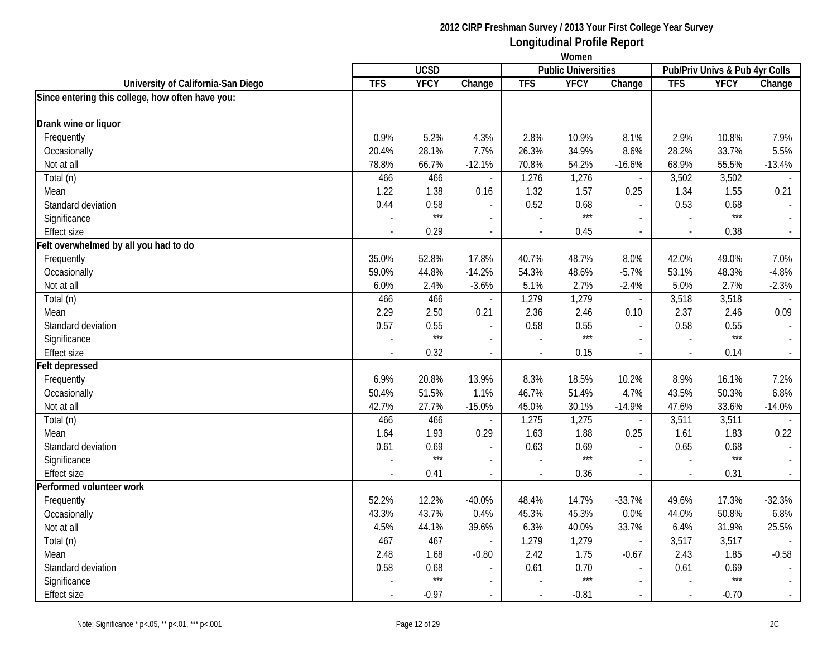|                                                  | Women          |             |                          |            |                            |                          |                          |                                |          |
|--------------------------------------------------|----------------|-------------|--------------------------|------------|----------------------------|--------------------------|--------------------------|--------------------------------|----------|
|                                                  |                | <b>UCSD</b> |                          |            | <b>Public Universities</b> |                          |                          | Pub/Priv Univs & Pub 4yr Colls |          |
| University of California-San Diego               | <b>TFS</b>     | <b>YFCY</b> | Change                   | <b>TFS</b> | <b>YFCY</b>                | Change                   | <b>TFS</b>               | <b>YFCY</b>                    | Change   |
| Since entering this college, how often have you: |                |             |                          |            |                            |                          |                          |                                |          |
| Drank wine or liquor                             |                |             |                          |            |                            |                          |                          |                                |          |
| Frequently                                       | 0.9%           | 5.2%        | 4.3%                     | 2.8%       | 10.9%                      | 8.1%                     | 2.9%                     | 10.8%                          | 7.9%     |
| Occasionally                                     | 20.4%          | 28.1%       | 7.7%                     | 26.3%      | 34.9%                      | 8.6%                     | 28.2%                    | 33.7%                          | 5.5%     |
| Not at all                                       | 78.8%          | 66.7%       | $-12.1%$                 | 70.8%      | 54.2%                      | $-16.6%$                 | 68.9%                    | 55.5%                          | $-13.4%$ |
| Total (n)                                        | 466            | 466         |                          | 1,276      | 1,276                      | $\overline{\phantom{a}}$ | 3,502                    | 3,502                          |          |
| Mean                                             | 1.22           | 1.38        | 0.16                     | 1.32       | 1.57                       | 0.25                     | 1.34                     | 1.55                           | 0.21     |
| Standard deviation                               | 0.44           | 0.58        |                          | 0.52       | 0.68                       | $\overline{a}$           | 0.53                     | 0.68                           |          |
| Significance                                     |                | $***$       | $\overline{a}$           |            | $***$                      | $\overline{a}$           |                          | $***$                          |          |
| <b>Effect size</b>                               |                | 0.29        | $\overline{\phantom{a}}$ |            | 0.45                       | $\overline{\phantom{a}}$ | $\overline{\phantom{a}}$ | 0.38                           |          |
| Felt overwhelmed by all you had to do            |                |             |                          |            |                            |                          |                          |                                |          |
| Frequently                                       | 35.0%          | 52.8%       | 17.8%                    | 40.7%      | 48.7%                      | 8.0%                     | 42.0%                    | 49.0%                          | 7.0%     |
| Occasionally                                     | 59.0%          | 44.8%       | $-14.2%$                 | 54.3%      | 48.6%                      | $-5.7%$                  | 53.1%                    | 48.3%                          | $-4.8%$  |
| Not at all                                       | 6.0%           | 2.4%        | $-3.6%$                  | 5.1%       | 2.7%                       | $-2.4%$                  | 5.0%                     | 2.7%                           | $-2.3%$  |
| Total (n)                                        | 466            | 466         | $\overline{a}$           | 1,279      | 1,279                      | $\blacksquare$           | 3,518                    | 3,518                          |          |
| Mean                                             | 2.29           | 2.50        | 0.21                     | 2.36       | 2.46                       | 0.10                     | 2.37                     | 2.46                           | 0.09     |
| Standard deviation                               | 0.57           | 0.55        | $\sim$                   | 0.58       | 0.55                       | $\overline{\phantom{a}}$ | 0.58                     | 0.55                           |          |
| Significance                                     |                | $***$       |                          |            | $***$                      |                          | $\sim$                   | $***$                          |          |
| Effect size                                      |                | 0.32        | $\mathcal{L}$            |            | 0.15                       | $\blacksquare$           | $\overline{\phantom{a}}$ | 0.14                           |          |
| <b>Felt depressed</b>                            |                |             |                          |            |                            |                          |                          |                                |          |
| Frequently                                       | 6.9%           | 20.8%       | 13.9%                    | 8.3%       | 18.5%                      | 10.2%                    | 8.9%                     | 16.1%                          | 7.2%     |
| Occasionally                                     | 50.4%          | 51.5%       | 1.1%                     | 46.7%      | 51.4%                      | 4.7%                     | 43.5%                    | 50.3%                          | 6.8%     |
| Not at all                                       | 42.7%          | 27.7%       | $-15.0%$                 | 45.0%      | 30.1%                      | $-14.9%$                 | 47.6%                    | 33.6%                          | $-14.0%$ |
| Total (n)                                        | 466            | 466         | $\overline{\phantom{a}}$ | 1,275      | 1,275                      | $\overline{\phantom{a}}$ | 3,511                    | 3,511                          |          |
| Mean                                             | 1.64           | 1.93        | 0.29                     | 1.63       | 1.88                       | 0.25                     | 1.61                     | 1.83                           | 0.22     |
| Standard deviation                               | 0.61           | 0.69        |                          | 0.63       | 0.69                       | $\sim$                   | 0.65                     | 0.68                           |          |
| Significance                                     |                | $***$       | $\blacksquare$           |            | $***$                      | $\overline{a}$           | $\overline{a}$           | $***$                          | $\sim$   |
| <b>Effect size</b>                               | $\overline{a}$ | 0.41        | $\blacksquare$           |            | 0.36                       | $\overline{\phantom{a}}$ | $\sim$                   | 0.31                           | $\sim$   |
| Performed volunteer work                         |                |             |                          |            |                            |                          |                          |                                |          |
| Frequently                                       | 52.2%          | 12.2%       | $-40.0\%$                | 48.4%      | 14.7%                      | $-33.7%$                 | 49.6%                    | 17.3%                          | $-32.3%$ |
| Occasionally                                     | 43.3%          | 43.7%       | 0.4%                     | 45.3%      | 45.3%                      | 0.0%                     | 44.0%                    | 50.8%                          | 6.8%     |
| Not at all                                       | 4.5%           | 44.1%       | 39.6%                    | 6.3%       | 40.0%                      | 33.7%                    | 6.4%                     | 31.9%                          | 25.5%    |
| Total (n)                                        | 467            | 467         | $\sim$                   | 1,279      | 1,279                      | $\overline{\phantom{a}}$ | 3,517                    | 3,517                          |          |
| Mean                                             | 2.48           | 1.68        | $-0.80$                  | 2.42       | 1.75                       | $-0.67$                  | 2.43                     | 1.85                           | $-0.58$  |
| Standard deviation                               | 0.58           | 0.68        |                          | 0.61       | 0.70                       | $\sim$                   | 0.61                     | 0.69                           |          |
| Significance                                     |                | $***$       |                          |            | $***$                      | $\overline{\phantom{a}}$ |                          | $***$                          |          |
| Effect size                                      |                | $-0.97$     | $\blacksquare$           |            | $-0.81$                    | $\blacksquare$           | $\blacksquare$           | $-0.70$                        |          |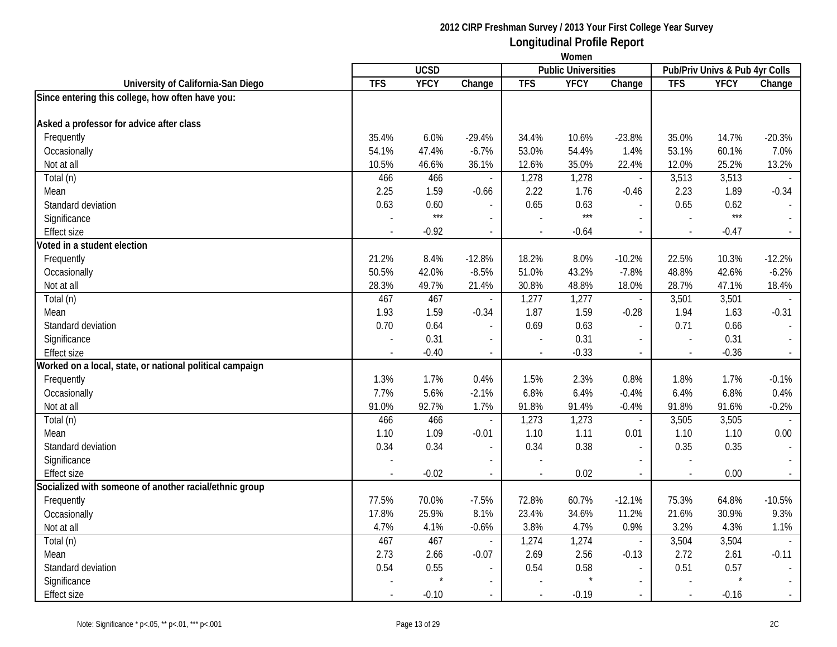| <b>UCSD</b><br><b>Public Universities</b><br>Pub/Priv Univs & Pub 4yr Colls<br><b>TFS</b><br><b>YFCY</b><br><b>TFS</b><br><b>YFCY</b><br><b>TFS</b><br>Change<br><b>YFCY</b><br>University of California-San Diego<br>Change<br>Change<br>Since entering this college, how often have you:<br>Asked a professor for advice after class<br>Frequently<br>35.4%<br>6.0%<br>$-29.4%$<br>10.6%<br>$-23.8%$<br>35.0%<br>14.7%<br>$-20.3%$<br>34.4%<br>Occasionally<br>54.1%<br>47.4%<br>$-6.7%$<br>53.0%<br>54.4%<br>1.4%<br>53.1%<br>60.1%<br>7.0%<br>10.5%<br>46.6%<br>36.1%<br>35.0%<br>22.4%<br>12.0%<br>25.2%<br>13.2%<br>Not at all<br>12.6%<br>466<br>1,278<br>466<br>1,278<br>3,513<br>3,513<br>Total (n)<br>$\blacksquare$<br>$\blacksquare$<br>1.59<br>2.23<br>2.25<br>2.22<br>1.76<br>1.89<br>$-0.34$<br>$-0.66$<br>$-0.46$<br>Mean<br>0.63<br>0.60<br>0.65<br>0.63<br>0.65<br>0.62<br>Standard deviation<br>$\overline{a}$<br>$***$<br>$***$<br>$***$<br>Significance<br>$\blacksquare$<br><b>Effect size</b><br>$-0.92$<br>$-0.64$<br>$-0.47$<br>$\overline{\phantom{a}}$<br>$\overline{\phantom{a}}$<br>$\overline{\phantom{a}}$<br>Voted in a student election<br>8.4%<br>10.3%<br>$-12.2%$<br>Frequently<br>21.2%<br>$-12.8%$<br>18.2%<br>8.0%<br>$-10.2%$<br>22.5%<br>$-8.5%$<br>43.2%<br>48.8%<br>42.6%<br>$-6.2%$<br>Occasionally<br>50.5%<br>42.0%<br>51.0%<br>$-7.8%$<br>28.7%<br>28.3%<br>49.7%<br>21.4%<br>30.8%<br>48.8%<br>18.0%<br>47.1%<br>18.4%<br>Not at all<br>Total (n)<br>467<br>467<br>3,501<br>3,501<br>1,277<br>1,277<br>$\mathbb{L}$<br>$\overline{\phantom{a}}$<br>1.93<br>1.59<br>1.87<br>1.59<br>1.94<br>1.63<br>$-0.31$<br>Mean<br>$-0.34$<br>$-0.28$<br>0.71<br>Standard deviation<br>0.70<br>0.64<br>0.69<br>0.63<br>0.66<br>$\blacksquare$<br>0.31<br>0.31<br>0.31<br>Significance<br>$\sim$<br>$\overline{a}$<br>$\blacksquare$<br>$-0.40$<br>$-0.33$<br>$-0.36$<br><b>Effect size</b><br>$\sim$<br>$\sim$<br>$\overline{\phantom{a}}$<br>Worked on a local, state, or national political campaign<br>1.3%<br>1.7%<br>1.5%<br>2.3%<br>0.8%<br>1.8%<br>1.7%<br>$-0.1%$<br>Frequently<br>0.4%<br>5.6%<br>6.8%<br>Occasionally<br>7.7%<br>$-2.1%$<br>6.8%<br>6.4%<br>6.4%<br>0.4%<br>$-0.4%$<br>91.0%<br>92.7%<br>1.7%<br>91.4%<br>91.8%<br>91.6%<br>$-0.2%$<br>Not at all<br>91.8%<br>$-0.4%$<br>466<br>1,273<br>3,505<br>Total (n)<br>466<br>1,273<br>3,505<br>$\overline{\phantom{a}}$<br>$\overline{\phantom{a}}$<br>1.09<br>1.11<br>1.10<br>1.10<br>Mean<br>1.10<br>$-0.01$<br>1.10<br>0.01<br>0.00<br>0.34<br>0.38<br>0.35<br>Standard deviation<br>0.34<br>0.34<br>0.35<br>$\mathcal{L}_{\mathcal{A}}$<br>$\overline{\phantom{a}}$<br>$\mathbf{r}$<br>Significance<br>$\overline{\phantom{a}}$<br>$\sim$<br>$\overline{\phantom{a}}$<br>$\blacksquare$<br>$-0.02$<br>0.02<br>0.00<br><b>Effect size</b><br>$\sim$<br>$\blacksquare$<br>$\overline{\phantom{a}}$<br>$\sim$<br>$\overline{\phantom{a}}$<br>Socialized with someone of another racial/ethnic group<br>Frequently<br>77.5%<br>70.0%<br>$-7.5%$<br>72.8%<br>60.7%<br>$-12.1%$<br>75.3%<br>64.8%<br>$-10.5%$<br>21.6%<br>9.3%<br>17.8%<br>25.9%<br>8.1%<br>23.4%<br>34.6%<br>11.2%<br>30.9%<br>Occasionally<br>4.7%<br>4.1%<br>$-0.6%$<br>3.8%<br>4.7%<br>0.9%<br>3.2%<br>4.3%<br>1.1%<br>Not at all<br>467<br>3,504<br>467<br>1,274<br>1,274<br>3,504<br>Total (n)<br>$\overline{\phantom{a}}$<br>$\blacksquare$ |      | Women |      |         |      |      |         |      |      |         |
|------------------------------------------------------------------------------------------------------------------------------------------------------------------------------------------------------------------------------------------------------------------------------------------------------------------------------------------------------------------------------------------------------------------------------------------------------------------------------------------------------------------------------------------------------------------------------------------------------------------------------------------------------------------------------------------------------------------------------------------------------------------------------------------------------------------------------------------------------------------------------------------------------------------------------------------------------------------------------------------------------------------------------------------------------------------------------------------------------------------------------------------------------------------------------------------------------------------------------------------------------------------------------------------------------------------------------------------------------------------------------------------------------------------------------------------------------------------------------------------------------------------------------------------------------------------------------------------------------------------------------------------------------------------------------------------------------------------------------------------------------------------------------------------------------------------------------------------------------------------------------------------------------------------------------------------------------------------------------------------------------------------------------------------------------------------------------------------------------------------------------------------------------------------------------------------------------------------------------------------------------------------------------------------------------------------------------------------------------------------------------------------------------------------------------------------------------------------------------------------------------------------------------------------------------------------------------------------------------------------------------------------------------------------------------------------------------------------------------------------------------------------------------------------------------------------------------------------------------------------------------------------------------------------------------------------------------------------------------------------------------------------------------------------------------------------------------------------------------------------------------------------------------------------------------------------------------------------------------------------------------------------------------------------------------------------------------------------------------------------------------------------------------------------------|------|-------|------|---------|------|------|---------|------|------|---------|
|                                                                                                                                                                                                                                                                                                                                                                                                                                                                                                                                                                                                                                                                                                                                                                                                                                                                                                                                                                                                                                                                                                                                                                                                                                                                                                                                                                                                                                                                                                                                                                                                                                                                                                                                                                                                                                                                                                                                                                                                                                                                                                                                                                                                                                                                                                                                                                                                                                                                                                                                                                                                                                                                                                                                                                                                                                                                                                                                                                                                                                                                                                                                                                                                                                                                                                                                                                                                                        |      |       |      |         |      |      |         |      |      |         |
|                                                                                                                                                                                                                                                                                                                                                                                                                                                                                                                                                                                                                                                                                                                                                                                                                                                                                                                                                                                                                                                                                                                                                                                                                                                                                                                                                                                                                                                                                                                                                                                                                                                                                                                                                                                                                                                                                                                                                                                                                                                                                                                                                                                                                                                                                                                                                                                                                                                                                                                                                                                                                                                                                                                                                                                                                                                                                                                                                                                                                                                                                                                                                                                                                                                                                                                                                                                                                        |      |       |      |         |      |      |         |      |      |         |
|                                                                                                                                                                                                                                                                                                                                                                                                                                                                                                                                                                                                                                                                                                                                                                                                                                                                                                                                                                                                                                                                                                                                                                                                                                                                                                                                                                                                                                                                                                                                                                                                                                                                                                                                                                                                                                                                                                                                                                                                                                                                                                                                                                                                                                                                                                                                                                                                                                                                                                                                                                                                                                                                                                                                                                                                                                                                                                                                                                                                                                                                                                                                                                                                                                                                                                                                                                                                                        |      |       |      |         |      |      |         |      |      |         |
|                                                                                                                                                                                                                                                                                                                                                                                                                                                                                                                                                                                                                                                                                                                                                                                                                                                                                                                                                                                                                                                                                                                                                                                                                                                                                                                                                                                                                                                                                                                                                                                                                                                                                                                                                                                                                                                                                                                                                                                                                                                                                                                                                                                                                                                                                                                                                                                                                                                                                                                                                                                                                                                                                                                                                                                                                                                                                                                                                                                                                                                                                                                                                                                                                                                                                                                                                                                                                        |      |       |      |         |      |      |         |      |      |         |
|                                                                                                                                                                                                                                                                                                                                                                                                                                                                                                                                                                                                                                                                                                                                                                                                                                                                                                                                                                                                                                                                                                                                                                                                                                                                                                                                                                                                                                                                                                                                                                                                                                                                                                                                                                                                                                                                                                                                                                                                                                                                                                                                                                                                                                                                                                                                                                                                                                                                                                                                                                                                                                                                                                                                                                                                                                                                                                                                                                                                                                                                                                                                                                                                                                                                                                                                                                                                                        |      |       |      |         |      |      |         |      |      |         |
|                                                                                                                                                                                                                                                                                                                                                                                                                                                                                                                                                                                                                                                                                                                                                                                                                                                                                                                                                                                                                                                                                                                                                                                                                                                                                                                                                                                                                                                                                                                                                                                                                                                                                                                                                                                                                                                                                                                                                                                                                                                                                                                                                                                                                                                                                                                                                                                                                                                                                                                                                                                                                                                                                                                                                                                                                                                                                                                                                                                                                                                                                                                                                                                                                                                                                                                                                                                                                        |      |       |      |         |      |      |         |      |      |         |
|                                                                                                                                                                                                                                                                                                                                                                                                                                                                                                                                                                                                                                                                                                                                                                                                                                                                                                                                                                                                                                                                                                                                                                                                                                                                                                                                                                                                                                                                                                                                                                                                                                                                                                                                                                                                                                                                                                                                                                                                                                                                                                                                                                                                                                                                                                                                                                                                                                                                                                                                                                                                                                                                                                                                                                                                                                                                                                                                                                                                                                                                                                                                                                                                                                                                                                                                                                                                                        |      |       |      |         |      |      |         |      |      |         |
|                                                                                                                                                                                                                                                                                                                                                                                                                                                                                                                                                                                                                                                                                                                                                                                                                                                                                                                                                                                                                                                                                                                                                                                                                                                                                                                                                                                                                                                                                                                                                                                                                                                                                                                                                                                                                                                                                                                                                                                                                                                                                                                                                                                                                                                                                                                                                                                                                                                                                                                                                                                                                                                                                                                                                                                                                                                                                                                                                                                                                                                                                                                                                                                                                                                                                                                                                                                                                        |      |       |      |         |      |      |         |      |      |         |
|                                                                                                                                                                                                                                                                                                                                                                                                                                                                                                                                                                                                                                                                                                                                                                                                                                                                                                                                                                                                                                                                                                                                                                                                                                                                                                                                                                                                                                                                                                                                                                                                                                                                                                                                                                                                                                                                                                                                                                                                                                                                                                                                                                                                                                                                                                                                                                                                                                                                                                                                                                                                                                                                                                                                                                                                                                                                                                                                                                                                                                                                                                                                                                                                                                                                                                                                                                                                                        |      |       |      |         |      |      |         |      |      |         |
|                                                                                                                                                                                                                                                                                                                                                                                                                                                                                                                                                                                                                                                                                                                                                                                                                                                                                                                                                                                                                                                                                                                                                                                                                                                                                                                                                                                                                                                                                                                                                                                                                                                                                                                                                                                                                                                                                                                                                                                                                                                                                                                                                                                                                                                                                                                                                                                                                                                                                                                                                                                                                                                                                                                                                                                                                                                                                                                                                                                                                                                                                                                                                                                                                                                                                                                                                                                                                        |      |       |      |         |      |      |         |      |      |         |
|                                                                                                                                                                                                                                                                                                                                                                                                                                                                                                                                                                                                                                                                                                                                                                                                                                                                                                                                                                                                                                                                                                                                                                                                                                                                                                                                                                                                                                                                                                                                                                                                                                                                                                                                                                                                                                                                                                                                                                                                                                                                                                                                                                                                                                                                                                                                                                                                                                                                                                                                                                                                                                                                                                                                                                                                                                                                                                                                                                                                                                                                                                                                                                                                                                                                                                                                                                                                                        |      |       |      |         |      |      |         |      |      |         |
|                                                                                                                                                                                                                                                                                                                                                                                                                                                                                                                                                                                                                                                                                                                                                                                                                                                                                                                                                                                                                                                                                                                                                                                                                                                                                                                                                                                                                                                                                                                                                                                                                                                                                                                                                                                                                                                                                                                                                                                                                                                                                                                                                                                                                                                                                                                                                                                                                                                                                                                                                                                                                                                                                                                                                                                                                                                                                                                                                                                                                                                                                                                                                                                                                                                                                                                                                                                                                        |      |       |      |         |      |      |         |      |      |         |
|                                                                                                                                                                                                                                                                                                                                                                                                                                                                                                                                                                                                                                                                                                                                                                                                                                                                                                                                                                                                                                                                                                                                                                                                                                                                                                                                                                                                                                                                                                                                                                                                                                                                                                                                                                                                                                                                                                                                                                                                                                                                                                                                                                                                                                                                                                                                                                                                                                                                                                                                                                                                                                                                                                                                                                                                                                                                                                                                                                                                                                                                                                                                                                                                                                                                                                                                                                                                                        |      |       |      |         |      |      |         |      |      |         |
|                                                                                                                                                                                                                                                                                                                                                                                                                                                                                                                                                                                                                                                                                                                                                                                                                                                                                                                                                                                                                                                                                                                                                                                                                                                                                                                                                                                                                                                                                                                                                                                                                                                                                                                                                                                                                                                                                                                                                                                                                                                                                                                                                                                                                                                                                                                                                                                                                                                                                                                                                                                                                                                                                                                                                                                                                                                                                                                                                                                                                                                                                                                                                                                                                                                                                                                                                                                                                        |      |       |      |         |      |      |         |      |      |         |
|                                                                                                                                                                                                                                                                                                                                                                                                                                                                                                                                                                                                                                                                                                                                                                                                                                                                                                                                                                                                                                                                                                                                                                                                                                                                                                                                                                                                                                                                                                                                                                                                                                                                                                                                                                                                                                                                                                                                                                                                                                                                                                                                                                                                                                                                                                                                                                                                                                                                                                                                                                                                                                                                                                                                                                                                                                                                                                                                                                                                                                                                                                                                                                                                                                                                                                                                                                                                                        |      |       |      |         |      |      |         |      |      |         |
|                                                                                                                                                                                                                                                                                                                                                                                                                                                                                                                                                                                                                                                                                                                                                                                                                                                                                                                                                                                                                                                                                                                                                                                                                                                                                                                                                                                                                                                                                                                                                                                                                                                                                                                                                                                                                                                                                                                                                                                                                                                                                                                                                                                                                                                                                                                                                                                                                                                                                                                                                                                                                                                                                                                                                                                                                                                                                                                                                                                                                                                                                                                                                                                                                                                                                                                                                                                                                        |      |       |      |         |      |      |         |      |      |         |
|                                                                                                                                                                                                                                                                                                                                                                                                                                                                                                                                                                                                                                                                                                                                                                                                                                                                                                                                                                                                                                                                                                                                                                                                                                                                                                                                                                                                                                                                                                                                                                                                                                                                                                                                                                                                                                                                                                                                                                                                                                                                                                                                                                                                                                                                                                                                                                                                                                                                                                                                                                                                                                                                                                                                                                                                                                                                                                                                                                                                                                                                                                                                                                                                                                                                                                                                                                                                                        |      |       |      |         |      |      |         |      |      |         |
|                                                                                                                                                                                                                                                                                                                                                                                                                                                                                                                                                                                                                                                                                                                                                                                                                                                                                                                                                                                                                                                                                                                                                                                                                                                                                                                                                                                                                                                                                                                                                                                                                                                                                                                                                                                                                                                                                                                                                                                                                                                                                                                                                                                                                                                                                                                                                                                                                                                                                                                                                                                                                                                                                                                                                                                                                                                                                                                                                                                                                                                                                                                                                                                                                                                                                                                                                                                                                        |      |       |      |         |      |      |         |      |      |         |
|                                                                                                                                                                                                                                                                                                                                                                                                                                                                                                                                                                                                                                                                                                                                                                                                                                                                                                                                                                                                                                                                                                                                                                                                                                                                                                                                                                                                                                                                                                                                                                                                                                                                                                                                                                                                                                                                                                                                                                                                                                                                                                                                                                                                                                                                                                                                                                                                                                                                                                                                                                                                                                                                                                                                                                                                                                                                                                                                                                                                                                                                                                                                                                                                                                                                                                                                                                                                                        |      |       |      |         |      |      |         |      |      |         |
|                                                                                                                                                                                                                                                                                                                                                                                                                                                                                                                                                                                                                                                                                                                                                                                                                                                                                                                                                                                                                                                                                                                                                                                                                                                                                                                                                                                                                                                                                                                                                                                                                                                                                                                                                                                                                                                                                                                                                                                                                                                                                                                                                                                                                                                                                                                                                                                                                                                                                                                                                                                                                                                                                                                                                                                                                                                                                                                                                                                                                                                                                                                                                                                                                                                                                                                                                                                                                        |      |       |      |         |      |      |         |      |      |         |
|                                                                                                                                                                                                                                                                                                                                                                                                                                                                                                                                                                                                                                                                                                                                                                                                                                                                                                                                                                                                                                                                                                                                                                                                                                                                                                                                                                                                                                                                                                                                                                                                                                                                                                                                                                                                                                                                                                                                                                                                                                                                                                                                                                                                                                                                                                                                                                                                                                                                                                                                                                                                                                                                                                                                                                                                                                                                                                                                                                                                                                                                                                                                                                                                                                                                                                                                                                                                                        |      |       |      |         |      |      |         |      |      |         |
|                                                                                                                                                                                                                                                                                                                                                                                                                                                                                                                                                                                                                                                                                                                                                                                                                                                                                                                                                                                                                                                                                                                                                                                                                                                                                                                                                                                                                                                                                                                                                                                                                                                                                                                                                                                                                                                                                                                                                                                                                                                                                                                                                                                                                                                                                                                                                                                                                                                                                                                                                                                                                                                                                                                                                                                                                                                                                                                                                                                                                                                                                                                                                                                                                                                                                                                                                                                                                        |      |       |      |         |      |      |         |      |      |         |
|                                                                                                                                                                                                                                                                                                                                                                                                                                                                                                                                                                                                                                                                                                                                                                                                                                                                                                                                                                                                                                                                                                                                                                                                                                                                                                                                                                                                                                                                                                                                                                                                                                                                                                                                                                                                                                                                                                                                                                                                                                                                                                                                                                                                                                                                                                                                                                                                                                                                                                                                                                                                                                                                                                                                                                                                                                                                                                                                                                                                                                                                                                                                                                                                                                                                                                                                                                                                                        |      |       |      |         |      |      |         |      |      |         |
|                                                                                                                                                                                                                                                                                                                                                                                                                                                                                                                                                                                                                                                                                                                                                                                                                                                                                                                                                                                                                                                                                                                                                                                                                                                                                                                                                                                                                                                                                                                                                                                                                                                                                                                                                                                                                                                                                                                                                                                                                                                                                                                                                                                                                                                                                                                                                                                                                                                                                                                                                                                                                                                                                                                                                                                                                                                                                                                                                                                                                                                                                                                                                                                                                                                                                                                                                                                                                        |      |       |      |         |      |      |         |      |      |         |
|                                                                                                                                                                                                                                                                                                                                                                                                                                                                                                                                                                                                                                                                                                                                                                                                                                                                                                                                                                                                                                                                                                                                                                                                                                                                                                                                                                                                                                                                                                                                                                                                                                                                                                                                                                                                                                                                                                                                                                                                                                                                                                                                                                                                                                                                                                                                                                                                                                                                                                                                                                                                                                                                                                                                                                                                                                                                                                                                                                                                                                                                                                                                                                                                                                                                                                                                                                                                                        |      |       |      |         |      |      |         |      |      |         |
|                                                                                                                                                                                                                                                                                                                                                                                                                                                                                                                                                                                                                                                                                                                                                                                                                                                                                                                                                                                                                                                                                                                                                                                                                                                                                                                                                                                                                                                                                                                                                                                                                                                                                                                                                                                                                                                                                                                                                                                                                                                                                                                                                                                                                                                                                                                                                                                                                                                                                                                                                                                                                                                                                                                                                                                                                                                                                                                                                                                                                                                                                                                                                                                                                                                                                                                                                                                                                        |      |       |      |         |      |      |         |      |      |         |
|                                                                                                                                                                                                                                                                                                                                                                                                                                                                                                                                                                                                                                                                                                                                                                                                                                                                                                                                                                                                                                                                                                                                                                                                                                                                                                                                                                                                                                                                                                                                                                                                                                                                                                                                                                                                                                                                                                                                                                                                                                                                                                                                                                                                                                                                                                                                                                                                                                                                                                                                                                                                                                                                                                                                                                                                                                                                                                                                                                                                                                                                                                                                                                                                                                                                                                                                                                                                                        |      |       |      |         |      |      |         |      |      |         |
|                                                                                                                                                                                                                                                                                                                                                                                                                                                                                                                                                                                                                                                                                                                                                                                                                                                                                                                                                                                                                                                                                                                                                                                                                                                                                                                                                                                                                                                                                                                                                                                                                                                                                                                                                                                                                                                                                                                                                                                                                                                                                                                                                                                                                                                                                                                                                                                                                                                                                                                                                                                                                                                                                                                                                                                                                                                                                                                                                                                                                                                                                                                                                                                                                                                                                                                                                                                                                        |      |       |      |         |      |      |         |      |      |         |
|                                                                                                                                                                                                                                                                                                                                                                                                                                                                                                                                                                                                                                                                                                                                                                                                                                                                                                                                                                                                                                                                                                                                                                                                                                                                                                                                                                                                                                                                                                                                                                                                                                                                                                                                                                                                                                                                                                                                                                                                                                                                                                                                                                                                                                                                                                                                                                                                                                                                                                                                                                                                                                                                                                                                                                                                                                                                                                                                                                                                                                                                                                                                                                                                                                                                                                                                                                                                                        |      |       |      |         |      |      |         |      |      |         |
|                                                                                                                                                                                                                                                                                                                                                                                                                                                                                                                                                                                                                                                                                                                                                                                                                                                                                                                                                                                                                                                                                                                                                                                                                                                                                                                                                                                                                                                                                                                                                                                                                                                                                                                                                                                                                                                                                                                                                                                                                                                                                                                                                                                                                                                                                                                                                                                                                                                                                                                                                                                                                                                                                                                                                                                                                                                                                                                                                                                                                                                                                                                                                                                                                                                                                                                                                                                                                        |      |       |      |         |      |      |         |      |      |         |
|                                                                                                                                                                                                                                                                                                                                                                                                                                                                                                                                                                                                                                                                                                                                                                                                                                                                                                                                                                                                                                                                                                                                                                                                                                                                                                                                                                                                                                                                                                                                                                                                                                                                                                                                                                                                                                                                                                                                                                                                                                                                                                                                                                                                                                                                                                                                                                                                                                                                                                                                                                                                                                                                                                                                                                                                                                                                                                                                                                                                                                                                                                                                                                                                                                                                                                                                                                                                                        |      |       |      |         |      |      |         |      |      |         |
|                                                                                                                                                                                                                                                                                                                                                                                                                                                                                                                                                                                                                                                                                                                                                                                                                                                                                                                                                                                                                                                                                                                                                                                                                                                                                                                                                                                                                                                                                                                                                                                                                                                                                                                                                                                                                                                                                                                                                                                                                                                                                                                                                                                                                                                                                                                                                                                                                                                                                                                                                                                                                                                                                                                                                                                                                                                                                                                                                                                                                                                                                                                                                                                                                                                                                                                                                                                                                        |      |       |      |         |      |      |         |      |      |         |
|                                                                                                                                                                                                                                                                                                                                                                                                                                                                                                                                                                                                                                                                                                                                                                                                                                                                                                                                                                                                                                                                                                                                                                                                                                                                                                                                                                                                                                                                                                                                                                                                                                                                                                                                                                                                                                                                                                                                                                                                                                                                                                                                                                                                                                                                                                                                                                                                                                                                                                                                                                                                                                                                                                                                                                                                                                                                                                                                                                                                                                                                                                                                                                                                                                                                                                                                                                                                                        |      |       |      |         |      |      |         |      |      |         |
|                                                                                                                                                                                                                                                                                                                                                                                                                                                                                                                                                                                                                                                                                                                                                                                                                                                                                                                                                                                                                                                                                                                                                                                                                                                                                                                                                                                                                                                                                                                                                                                                                                                                                                                                                                                                                                                                                                                                                                                                                                                                                                                                                                                                                                                                                                                                                                                                                                                                                                                                                                                                                                                                                                                                                                                                                                                                                                                                                                                                                                                                                                                                                                                                                                                                                                                                                                                                                        |      |       |      |         |      |      |         |      |      |         |
|                                                                                                                                                                                                                                                                                                                                                                                                                                                                                                                                                                                                                                                                                                                                                                                                                                                                                                                                                                                                                                                                                                                                                                                                                                                                                                                                                                                                                                                                                                                                                                                                                                                                                                                                                                                                                                                                                                                                                                                                                                                                                                                                                                                                                                                                                                                                                                                                                                                                                                                                                                                                                                                                                                                                                                                                                                                                                                                                                                                                                                                                                                                                                                                                                                                                                                                                                                                                                        |      |       |      |         |      |      |         |      |      |         |
|                                                                                                                                                                                                                                                                                                                                                                                                                                                                                                                                                                                                                                                                                                                                                                                                                                                                                                                                                                                                                                                                                                                                                                                                                                                                                                                                                                                                                                                                                                                                                                                                                                                                                                                                                                                                                                                                                                                                                                                                                                                                                                                                                                                                                                                                                                                                                                                                                                                                                                                                                                                                                                                                                                                                                                                                                                                                                                                                                                                                                                                                                                                                                                                                                                                                                                                                                                                                                        |      |       |      |         |      |      |         |      |      |         |
|                                                                                                                                                                                                                                                                                                                                                                                                                                                                                                                                                                                                                                                                                                                                                                                                                                                                                                                                                                                                                                                                                                                                                                                                                                                                                                                                                                                                                                                                                                                                                                                                                                                                                                                                                                                                                                                                                                                                                                                                                                                                                                                                                                                                                                                                                                                                                                                                                                                                                                                                                                                                                                                                                                                                                                                                                                                                                                                                                                                                                                                                                                                                                                                                                                                                                                                                                                                                                        | Mean | 2.73  | 2.66 | $-0.07$ | 2.69 | 2.56 | $-0.13$ | 2.72 | 2.61 | $-0.11$ |
| 0.54<br>0.55<br>0.54<br>0.58<br>0.51<br>0.57<br>Standard deviation<br>$\sim$                                                                                                                                                                                                                                                                                                                                                                                                                                                                                                                                                                                                                                                                                                                                                                                                                                                                                                                                                                                                                                                                                                                                                                                                                                                                                                                                                                                                                                                                                                                                                                                                                                                                                                                                                                                                                                                                                                                                                                                                                                                                                                                                                                                                                                                                                                                                                                                                                                                                                                                                                                                                                                                                                                                                                                                                                                                                                                                                                                                                                                                                                                                                                                                                                                                                                                                                           |      |       |      |         |      |      |         |      |      |         |
| Significance<br>$\overline{\phantom{a}}$                                                                                                                                                                                                                                                                                                                                                                                                                                                                                                                                                                                                                                                                                                                                                                                                                                                                                                                                                                                                                                                                                                                                                                                                                                                                                                                                                                                                                                                                                                                                                                                                                                                                                                                                                                                                                                                                                                                                                                                                                                                                                                                                                                                                                                                                                                                                                                                                                                                                                                                                                                                                                                                                                                                                                                                                                                                                                                                                                                                                                                                                                                                                                                                                                                                                                                                                                                               |      |       |      |         |      |      |         |      |      |         |
| <b>Effect size</b><br>$-0.10$<br>$-0.19$<br>$-0.16$<br>$\sim$<br>$\blacksquare$<br>$\overline{\phantom{a}}$                                                                                                                                                                                                                                                                                                                                                                                                                                                                                                                                                                                                                                                                                                                                                                                                                                                                                                                                                                                                                                                                                                                                                                                                                                                                                                                                                                                                                                                                                                                                                                                                                                                                                                                                                                                                                                                                                                                                                                                                                                                                                                                                                                                                                                                                                                                                                                                                                                                                                                                                                                                                                                                                                                                                                                                                                                                                                                                                                                                                                                                                                                                                                                                                                                                                                                            |      |       |      |         |      |      |         |      |      |         |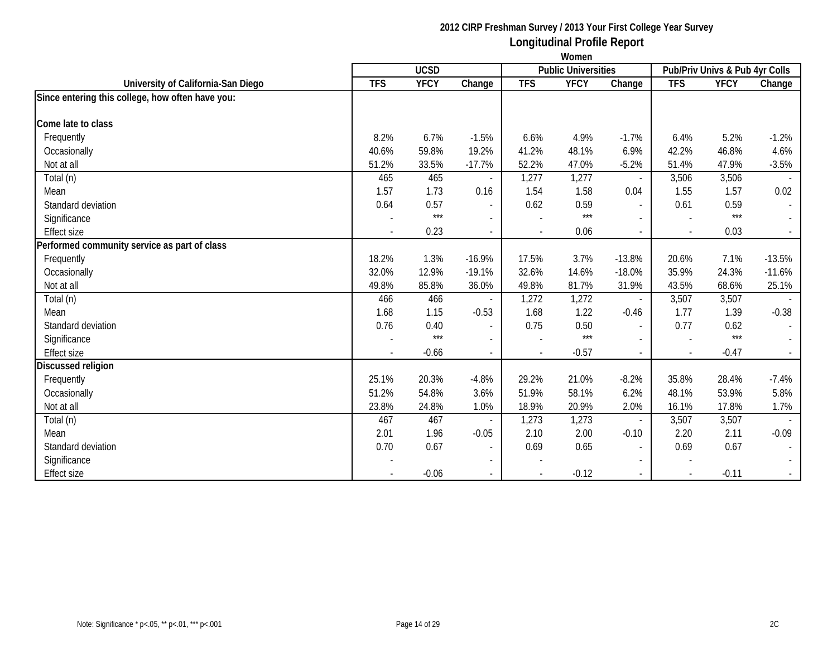|                                                  | Women          |             |                          |                |                            |                          |            |                                |                  |
|--------------------------------------------------|----------------|-------------|--------------------------|----------------|----------------------------|--------------------------|------------|--------------------------------|------------------|
|                                                  |                | <b>UCSD</b> |                          |                | <b>Public Universities</b> |                          |            | Pub/Priv Univs & Pub 4yr Colls |                  |
| University of California-San Diego               | <b>TFS</b>     | <b>YFCY</b> | Change                   | <b>TFS</b>     | <b>YFCY</b>                | Change                   | <b>TFS</b> | <b>YFCY</b>                    | Change           |
| Since entering this college, how often have you: |                |             |                          |                |                            |                          |            |                                |                  |
| Come late to class                               |                |             |                          |                |                            |                          |            |                                |                  |
| Frequently                                       | 8.2%           | 6.7%        | $-1.5%$                  | 6.6%           | 4.9%                       | $-1.7%$                  | 6.4%       | 5.2%                           | $-1.2%$          |
| Occasionally                                     | 40.6%          | 59.8%       | 19.2%                    | 41.2%          | 48.1%                      | 6.9%                     | 42.2%      | 46.8%                          | 4.6%             |
| Not at all                                       | 51.2%          | 33.5%       | $-17.7%$                 | 52.2%          | 47.0%                      | $-5.2%$                  | 51.4%      | 47.9%                          | $-3.5%$          |
| Total (n)                                        | 465            | 465         |                          | 1,277          | 1,277                      | $\blacksquare$           | 3,506      | 3,506                          |                  |
| Mean                                             | 1.57           | 1.73        | 0.16                     | 1.54           | 1.58                       | 0.04                     | 1.55       | 1.57                           | 0.02             |
| Standard deviation                               | 0.64           | 0.57        | $\overline{\phantom{a}}$ | 0.62           | 0.59                       | $\blacksquare$           | 0.61       | 0.59                           | $\sim$           |
| Significance                                     |                | $***$       |                          |                | $***$                      |                          |            | $***$                          |                  |
| <b>Effect size</b>                               |                | 0.23        | $\blacksquare$           |                | 0.06                       | $\overline{\phantom{a}}$ |            | 0.03                           | $\omega_{\rm c}$ |
| Performed community service as part of class     |                |             |                          |                |                            |                          |            |                                |                  |
| Frequently                                       | 18.2%          | 1.3%        | $-16.9%$                 | 17.5%          | 3.7%                       | $-13.8%$                 | 20.6%      | 7.1%                           | $-13.5%$         |
| Occasionally                                     | 32.0%          | 12.9%       | $-19.1%$                 | 32.6%          | 14.6%                      | $-18.0%$                 | 35.9%      | 24.3%                          | $-11.6%$         |
| Not at all                                       | 49.8%          | 85.8%       | 36.0%                    | 49.8%          | 81.7%                      | 31.9%                    | 43.5%      | 68.6%                          | 25.1%            |
| Total (n)                                        | 466            | 466         |                          | 1,272          | 1,272                      | $\blacksquare$           | 3,507      | 3,507                          |                  |
| Mean                                             | 1.68           | 1.15        | $-0.53$                  | 1.68           | 1.22                       | $-0.46$                  | 1.77       | 1.39                           | $-0.38$          |
| Standard deviation                               | 0.76           | 0.40        | $\overline{\phantom{a}}$ | 0.75           | 0.50                       | $\overline{a}$           | 0.77       | 0.62                           | $\sim$           |
| Significance                                     |                | $***$       | $\overline{\phantom{a}}$ |                | $***$                      | $\overline{\phantom{a}}$ |            | $***$                          |                  |
| <b>Effect size</b>                               | $\blacksquare$ | $-0.66$     | $\blacksquare$           | $\blacksquare$ | $-0.57$                    | $\overline{\phantom{a}}$ | $\sim$     | $-0.47$                        | $\sim$           |
| <b>Discussed religion</b>                        |                |             |                          |                |                            |                          |            |                                |                  |
| Frequently                                       | 25.1%          | 20.3%       | $-4.8%$                  | 29.2%          | 21.0%                      | $-8.2%$                  | 35.8%      | 28.4%                          | $-7.4%$          |
| Occasionally                                     | 51.2%          | 54.8%       | 3.6%                     | 51.9%          | 58.1%                      | 6.2%                     | 48.1%      | 53.9%                          | 5.8%             |
| Not at all                                       | 23.8%          | 24.8%       | 1.0%                     | 18.9%          | 20.9%                      | 2.0%                     | 16.1%      | 17.8%                          | 1.7%             |
| Total (n)                                        | 467            | 467         |                          | 1,273          | 1,273                      | $\overline{\phantom{a}}$ | 3,507      | 3,507                          |                  |
| Mean                                             | 2.01           | 1.96        | $-0.05$                  | 2.10           | 2.00                       | $-0.10$                  | 2.20       | 2.11                           | $-0.09$          |
| Standard deviation                               | 0.70           | 0.67        | $\blacksquare$           | 0.69           | 0.65                       | $\overline{\phantom{a}}$ | 0.69       | 0.67                           | $\sim$           |
| Significance                                     |                |             |                          |                |                            |                          |            |                                |                  |
| <b>Effect size</b>                               |                | $-0.06$     | $\overline{\phantom{0}}$ |                | $-0.12$                    | $\sim$                   |            | $-0.11$                        | $\sim$           |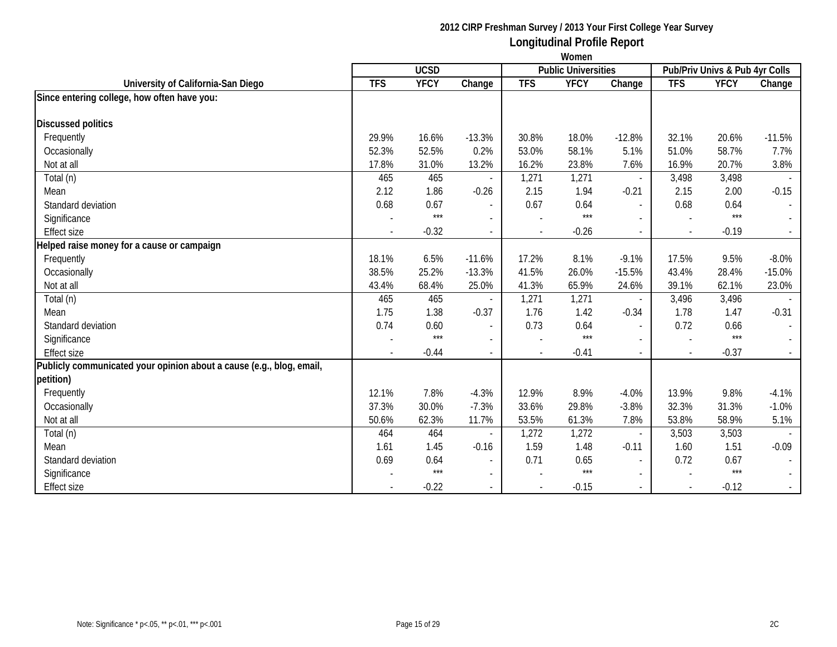|                                                                      | Women                    |             |                          |                |                            |                          |              |                                |          |
|----------------------------------------------------------------------|--------------------------|-------------|--------------------------|----------------|----------------------------|--------------------------|--------------|--------------------------------|----------|
|                                                                      |                          | <b>UCSD</b> |                          |                | <b>Public Universities</b> |                          |              | Pub/Priv Univs & Pub 4yr Colls |          |
| University of California-San Diego                                   | <b>TFS</b>               | <b>YFCY</b> | Change                   | <b>TFS</b>     | <b>YFCY</b>                | Change                   | <b>TFS</b>   | <b>YFCY</b>                    | Change   |
| Since entering college, how often have you:                          |                          |             |                          |                |                            |                          |              |                                |          |
| <b>Discussed politics</b>                                            |                          |             |                          |                |                            |                          |              |                                |          |
| Frequently                                                           | 29.9%                    | 16.6%       | $-13.3%$                 | 30.8%          | 18.0%                      | $-12.8%$                 | 32.1%        | 20.6%                          | $-11.5%$ |
| Occasionally                                                         | 52.3%                    | 52.5%       | 0.2%                     | 53.0%          | 58.1%                      | 5.1%                     | 51.0%        | 58.7%                          | 7.7%     |
| Not at all                                                           | 17.8%                    | 31.0%       | 13.2%                    | 16.2%          | 23.8%                      | 7.6%                     | 16.9%        | 20.7%                          | 3.8%     |
| Total (n)                                                            | 465                      | 465         |                          | 1,271          | 1,271                      | $\overline{\phantom{a}}$ | 3,498        | 3,498                          |          |
| Mean                                                                 | 2.12                     | 1.86        | $-0.26$                  | 2.15           | 1.94                       | $-0.21$                  | 2.15         | 2.00                           | $-0.15$  |
| Standard deviation                                                   | 0.68                     | 0.67        | $\blacksquare$           | 0.67           | 0.64                       | $\blacksquare$           | 0.68         | 0.64                           |          |
| Significance                                                         |                          | $***$       |                          |                | $***$                      |                          |              | $***$                          |          |
| <b>Effect size</b>                                                   | $\overline{\phantom{a}}$ | $-0.32$     | $\overline{\phantom{a}}$ | $\blacksquare$ | $-0.26$                    | $\overline{\phantom{a}}$ | $\sim$       | $-0.19$                        |          |
| Helped raise money for a cause or campaign                           |                          |             |                          |                |                            |                          |              |                                |          |
| Frequently                                                           | 18.1%                    | 6.5%        | $-11.6%$                 | 17.2%          | 8.1%                       | $-9.1%$                  | 17.5%        | 9.5%                           | $-8.0%$  |
| Occasionally                                                         | 38.5%                    | 25.2%       | $-13.3%$                 | 41.5%          | 26.0%                      | $-15.5%$                 | 43.4%        | 28.4%                          | $-15.0%$ |
| Not at all                                                           | 43.4%                    | 68.4%       | 25.0%                    | 41.3%          | 65.9%                      | 24.6%                    | 39.1%        | 62.1%                          | 23.0%    |
| Total (n)                                                            | 465                      | 465         |                          | 1,271          | 1,271                      | $\overline{\phantom{a}}$ | 3,496        | 3,496                          |          |
| Mean                                                                 | 1.75                     | 1.38        | $-0.37$                  | 1.76           | 1.42                       | $-0.34$                  | 1.78         | 1.47                           | $-0.31$  |
| Standard deviation                                                   | 0.74                     | 0.60        | $\blacksquare$           | 0.73           | 0.64                       | $\blacksquare$           | 0.72         | 0.66                           |          |
| Significance                                                         |                          | $***$       | $\overline{\phantom{0}}$ |                | $***$                      |                          |              | $***$                          |          |
| <b>Effect size</b>                                                   |                          | $-0.44$     |                          |                | $-0.41$                    | $\overline{\phantom{a}}$ | $\mathbf{r}$ | $-0.37$                        |          |
| Publicly communicated your opinion about a cause (e.g., blog, email, |                          |             |                          |                |                            |                          |              |                                |          |
| petition)                                                            |                          |             |                          |                |                            |                          |              |                                |          |
| Frequently                                                           | 12.1%                    | 7.8%        | $-4.3%$                  | 12.9%          | 8.9%                       | $-4.0%$                  | 13.9%        | 9.8%                           | $-4.1%$  |
| Occasionally                                                         | 37.3%                    | 30.0%       | $-7.3%$                  | 33.6%          | 29.8%                      | $-3.8%$                  | 32.3%        | 31.3%                          | $-1.0%$  |
| Not at all                                                           | 50.6%                    | 62.3%       | 11.7%                    | 53.5%          | 61.3%                      | 7.8%                     | 53.8%        | 58.9%                          | 5.1%     |
| Total (n)                                                            | 464                      | 464         |                          | 1,272          | 1,272                      | $\overline{\phantom{a}}$ | 3,503        | 3,503                          |          |
| Mean                                                                 | 1.61                     | 1.45        | $-0.16$                  | 1.59           | 1.48                       | $-0.11$                  | 1.60         | 1.51                           | $-0.09$  |
| Standard deviation                                                   | 0.69                     | 0.64        | $\overline{\phantom{a}}$ | 0.71           | 0.65                       | $\blacksquare$           | 0.72         | 0.67                           |          |
| Significance                                                         |                          | $***$       | $\mathbf{r}$             |                | $***$                      | $\sim$                   |              | $***$                          |          |
| <b>Effect size</b>                                                   |                          | $-0.22$     |                          |                | $-0.15$                    |                          | $\mathbf{r}$ | $-0.12$                        |          |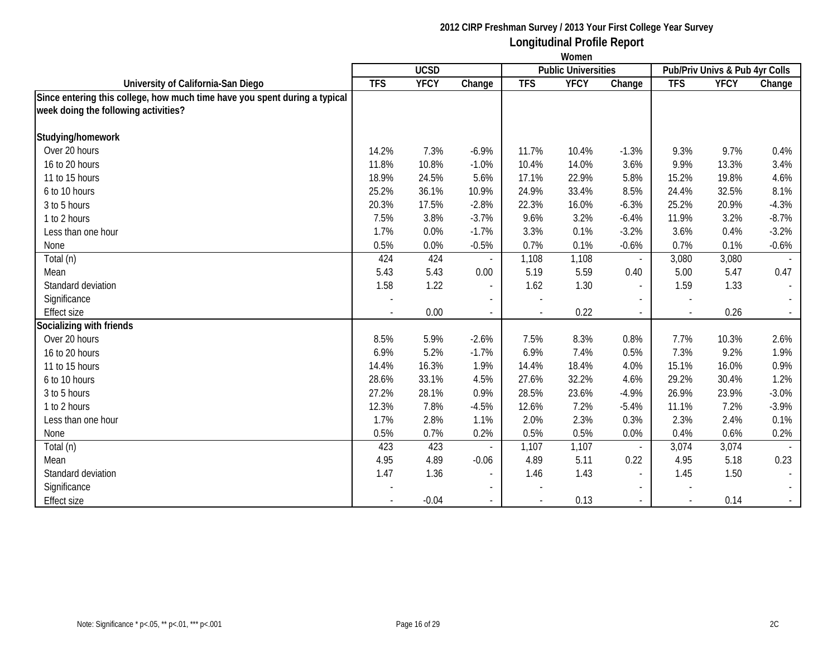|                                                                            | Women      |             |                          |            |                            |                          |            |                                |                |
|----------------------------------------------------------------------------|------------|-------------|--------------------------|------------|----------------------------|--------------------------|------------|--------------------------------|----------------|
|                                                                            |            | <b>UCSD</b> |                          |            | <b>Public Universities</b> |                          |            | Pub/Priv Univs & Pub 4yr Colls |                |
| University of California-San Diego                                         | <b>TFS</b> | <b>YFCY</b> | Change                   | <b>TFS</b> | <b>YFCY</b>                | Change                   | <b>TFS</b> | <b>YFCY</b>                    | Change         |
| Since entering this college, how much time have you spent during a typical |            |             |                          |            |                            |                          |            |                                |                |
| week doing the following activities?                                       |            |             |                          |            |                            |                          |            |                                |                |
| Studying/homework                                                          |            |             |                          |            |                            |                          |            |                                |                |
| Over 20 hours                                                              | 14.2%      | 7.3%        | $-6.9%$                  | 11.7%      | 10.4%                      | $-1.3%$                  | 9.3%       | 9.7%                           | 0.4%           |
| 16 to 20 hours                                                             | 11.8%      | 10.8%       | $-1.0%$                  | 10.4%      | 14.0%                      | 3.6%                     | 9.9%       | 13.3%                          | 3.4%           |
| 11 to 15 hours                                                             | 18.9%      | 24.5%       | 5.6%                     | 17.1%      | 22.9%                      | 5.8%                     | 15.2%      | 19.8%                          | 4.6%           |
| 6 to 10 hours                                                              | 25.2%      | 36.1%       | 10.9%                    | 24.9%      | 33.4%                      | 8.5%                     | 24.4%      | 32.5%                          | 8.1%           |
| 3 to 5 hours                                                               | 20.3%      | 17.5%       | $-2.8%$                  | 22.3%      | 16.0%                      | $-6.3%$                  | 25.2%      | 20.9%                          | $-4.3%$        |
| 1 to 2 hours                                                               | 7.5%       | 3.8%        | $-3.7%$                  | 9.6%       | 3.2%                       | $-6.4%$                  | 11.9%      | 3.2%                           | $-8.7%$        |
| Less than one hour                                                         | 1.7%       | 0.0%        | $-1.7%$                  | 3.3%       | 0.1%                       | $-3.2%$                  | 3.6%       | 0.4%                           | $-3.2%$        |
| None                                                                       | 0.5%       | 0.0%        | $-0.5%$                  | 0.7%       | 0.1%                       | $-0.6%$                  | 0.7%       | 0.1%                           | $-0.6%$        |
| Total (n)                                                                  | 424        | 424         |                          | 1,108      | 1,108                      | $\overline{\phantom{a}}$ | 3,080      | 3,080                          |                |
| Mean                                                                       | 5.43       | 5.43        | 0.00                     | 5.19       | 5.59                       | 0.40                     | 5.00       | 5.47                           | 0.47           |
| Standard deviation                                                         | 1.58       | 1.22        | $\overline{\phantom{a}}$ | 1.62       | 1.30                       | $\overline{a}$           | 1.59       | 1.33                           | $\blacksquare$ |
| Significance                                                               |            |             | $\blacksquare$           |            |                            |                          |            |                                |                |
| <b>Effect size</b>                                                         |            | 0.00        | $\sim$                   |            | 0.22                       |                          |            | 0.26                           |                |
| Socializing with friends                                                   |            |             |                          |            |                            |                          |            |                                |                |
| Over 20 hours                                                              | 8.5%       | 5.9%        | $-2.6%$                  | 7.5%       | 8.3%                       | 0.8%                     | 7.7%       | 10.3%                          | 2.6%           |
| 16 to 20 hours                                                             | 6.9%       | 5.2%        | $-1.7%$                  | 6.9%       | 7.4%                       | 0.5%                     | 7.3%       | 9.2%                           | 1.9%           |
| 11 to 15 hours                                                             | 14.4%      | 16.3%       | 1.9%                     | 14.4%      | 18.4%                      | 4.0%                     | 15.1%      | 16.0%                          | 0.9%           |
| 6 to 10 hours                                                              | 28.6%      | 33.1%       | 4.5%                     | 27.6%      | 32.2%                      | 4.6%                     | 29.2%      | 30.4%                          | 1.2%           |
| 3 to 5 hours                                                               | 27.2%      | 28.1%       | 0.9%                     | 28.5%      | 23.6%                      | $-4.9%$                  | 26.9%      | 23.9%                          | $-3.0%$        |
| 1 to 2 hours                                                               | 12.3%      | 7.8%        | $-4.5%$                  | 12.6%      | 7.2%                       | $-5.4%$                  | 11.1%      | 7.2%                           | $-3.9%$        |
| Less than one hour                                                         | 1.7%       | 2.8%        | 1.1%                     | 2.0%       | 2.3%                       | 0.3%                     | 2.3%       | 2.4%                           | 0.1%           |
| None                                                                       | 0.5%       | 0.7%        | 0.2%                     | 0.5%       | 0.5%                       | 0.0%                     | 0.4%       | 0.6%                           | 0.2%           |
| Total (n)                                                                  | 423        | 423         |                          | 1,107      | 1,107                      | $\overline{\phantom{a}}$ | 3,074      | 3,074                          |                |
| Mean                                                                       | 4.95       | 4.89        | $-0.06$                  | 4.89       | 5.11                       | 0.22                     | 4.95       | 5.18                           | 0.23           |
| Standard deviation                                                         | 1.47       | 1.36        | $\overline{\phantom{a}}$ | 1.46       | 1.43                       |                          | 1.45       | 1.50                           |                |
| Significance                                                               |            |             | $\sim$                   |            |                            |                          |            |                                |                |
| <b>Effect size</b>                                                         |            | $-0.04$     | $\sim$                   |            | 0.13                       | $\overline{\phantom{a}}$ |            | 0.14                           | $\sim$         |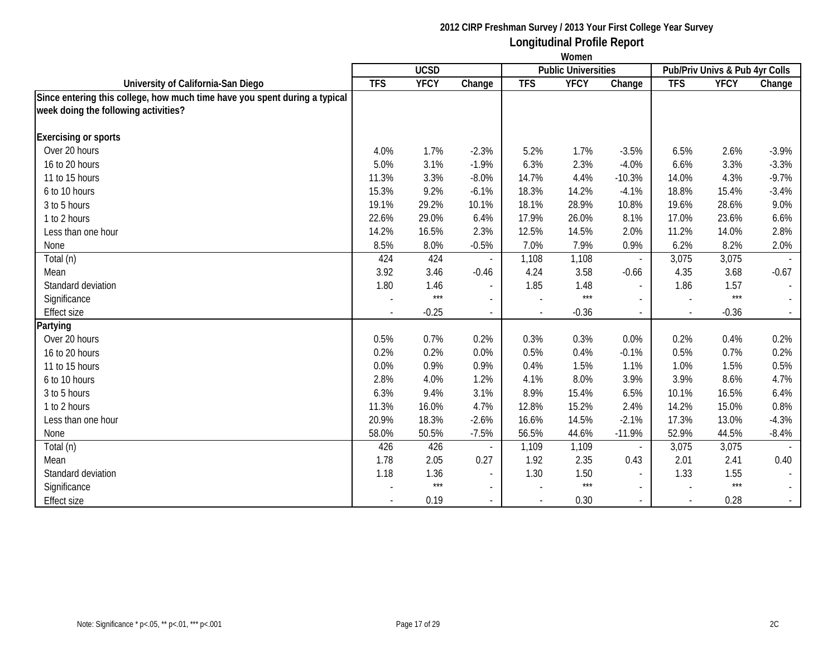|                                                                            | Women      |             |                          |            |                            |                          |            |                                |         |
|----------------------------------------------------------------------------|------------|-------------|--------------------------|------------|----------------------------|--------------------------|------------|--------------------------------|---------|
|                                                                            |            | <b>UCSD</b> |                          |            | <b>Public Universities</b> |                          |            | Pub/Priv Univs & Pub 4yr Colls |         |
| University of California-San Diego                                         | <b>TFS</b> | <b>YFCY</b> | Change                   | <b>TFS</b> | <b>YFCY</b>                | Change                   | <b>TFS</b> | <b>YFCY</b>                    | Change  |
| Since entering this college, how much time have you spent during a typical |            |             |                          |            |                            |                          |            |                                |         |
| week doing the following activities?                                       |            |             |                          |            |                            |                          |            |                                |         |
| <b>Exercising or sports</b>                                                |            |             |                          |            |                            |                          |            |                                |         |
| Over 20 hours                                                              | 4.0%       | 1.7%        | $-2.3%$                  | 5.2%       | 1.7%                       | $-3.5%$                  | 6.5%       | 2.6%                           | $-3.9%$ |
| 16 to 20 hours                                                             | 5.0%       | 3.1%        | $-1.9%$                  | 6.3%       | 2.3%                       | $-4.0%$                  | 6.6%       | 3.3%                           | $-3.3%$ |
| 11 to 15 hours                                                             | 11.3%      | 3.3%        | $-8.0%$                  | 14.7%      | 4.4%                       | $-10.3%$                 | 14.0%      | 4.3%                           | $-9.7%$ |
| 6 to 10 hours                                                              | 15.3%      | 9.2%        | $-6.1%$                  | 18.3%      | 14.2%                      | $-4.1%$                  | 18.8%      | 15.4%                          | $-3.4%$ |
| 3 to 5 hours                                                               | 19.1%      | 29.2%       | 10.1%                    | 18.1%      | 28.9%                      | 10.8%                    | 19.6%      | 28.6%                          | 9.0%    |
| 1 to 2 hours                                                               | 22.6%      | 29.0%       | 6.4%                     | 17.9%      | 26.0%                      | 8.1%                     | 17.0%      | 23.6%                          | 6.6%    |
| Less than one hour                                                         | 14.2%      | 16.5%       | 2.3%                     | 12.5%      | 14.5%                      | 2.0%                     | 11.2%      | 14.0%                          | 2.8%    |
| None                                                                       | 8.5%       | 8.0%        | $-0.5%$                  | 7.0%       | 7.9%                       | 0.9%                     | 6.2%       | 8.2%                           | 2.0%    |
| Total (n)                                                                  | 424        | 424         |                          | 1,108      | 1,108                      | $\overline{\phantom{a}}$ | 3,075      | 3,075                          |         |
| Mean                                                                       | 3.92       | 3.46        | $-0.46$                  | 4.24       | 3.58                       | $-0.66$                  | 4.35       | 3.68                           | $-0.67$ |
| Standard deviation                                                         | 1.80       | 1.46        | $\overline{\phantom{a}}$ | 1.85       | 1.48                       | $\overline{\phantom{a}}$ | 1.86       | 1.57                           |         |
| Significance                                                               |            | $***$       | $\overline{a}$           |            | $***$                      | $\overline{a}$           |            | $***$                          |         |
| <b>Effect size</b>                                                         |            | $-0.25$     |                          |            | $-0.36$                    |                          |            | $-0.36$                        |         |
| Partying                                                                   |            |             |                          |            |                            |                          |            |                                |         |
| Over 20 hours                                                              | 0.5%       | 0.7%        | 0.2%                     | 0.3%       | 0.3%                       | 0.0%                     | 0.2%       | 0.4%                           | 0.2%    |
| 16 to 20 hours                                                             | 0.2%       | 0.2%        | 0.0%                     | 0.5%       | 0.4%                       | $-0.1%$                  | 0.5%       | 0.7%                           | 0.2%    |
| 11 to 15 hours                                                             | 0.0%       | 0.9%        | 0.9%                     | 0.4%       | 1.5%                       | 1.1%                     | 1.0%       | 1.5%                           | 0.5%    |
| 6 to 10 hours                                                              | 2.8%       | 4.0%        | 1.2%                     | 4.1%       | 8.0%                       | 3.9%                     | 3.9%       | 8.6%                           | 4.7%    |
| 3 to 5 hours                                                               | 6.3%       | 9.4%        | 3.1%                     | 8.9%       | 15.4%                      | 6.5%                     | 10.1%      | 16.5%                          | 6.4%    |
| 1 to 2 hours                                                               | 11.3%      | 16.0%       | 4.7%                     | 12.8%      | 15.2%                      | 2.4%                     | 14.2%      | 15.0%                          | 0.8%    |
| Less than one hour                                                         | 20.9%      | 18.3%       | $-2.6%$                  | 16.6%      | 14.5%                      | $-2.1%$                  | 17.3%      | 13.0%                          | $-4.3%$ |
| None                                                                       | 58.0%      | 50.5%       | $-7.5%$                  | 56.5%      | 44.6%                      | $-11.9%$                 | 52.9%      | 44.5%                          | $-8.4%$ |
| Total (n)                                                                  | 426        | 426         |                          | 1,109      | 1,109                      | $\overline{\phantom{a}}$ | 3,075      | 3,075                          |         |
| Mean                                                                       | 1.78       | 2.05        | 0.27                     | 1.92       | 2.35                       | 0.43                     | 2.01       | 2.41                           | 0.40    |
| Standard deviation                                                         | 1.18       | 1.36        |                          | 1.30       | 1.50                       | $\blacksquare$           | 1.33       | 1.55                           |         |
| Significance                                                               |            | $***$       | $\sim$                   |            | $***$                      | $\blacksquare$           |            | $***$                          | $\sim$  |
| <b>Effect size</b>                                                         |            | 0.19        |                          |            | 0.30                       | $\overline{\phantom{a}}$ |            | 0.28                           | $\sim$  |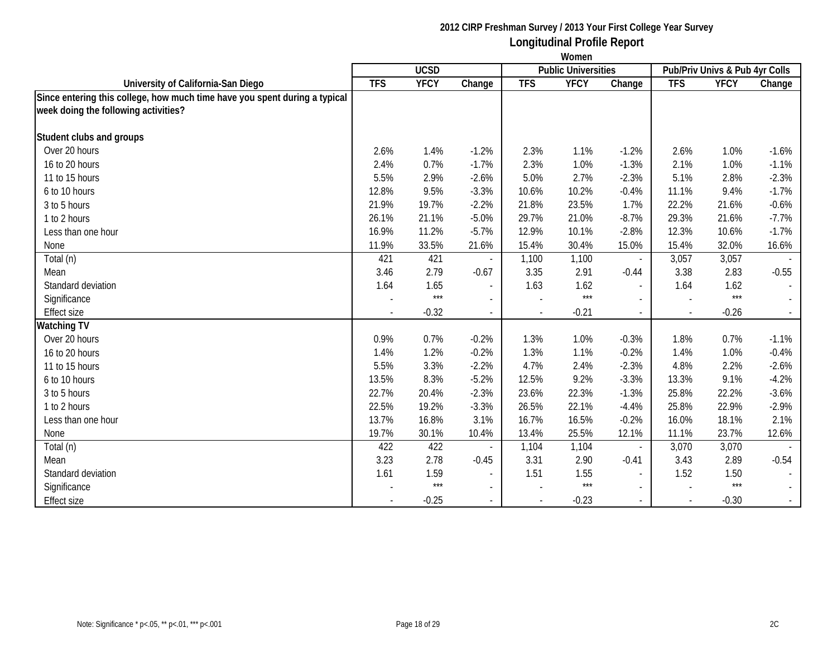|                                                                            | Women      |             |                          |            |                            |                          |            |                                |                             |
|----------------------------------------------------------------------------|------------|-------------|--------------------------|------------|----------------------------|--------------------------|------------|--------------------------------|-----------------------------|
|                                                                            |            | <b>UCSD</b> |                          |            | <b>Public Universities</b> |                          |            | Pub/Priv Univs & Pub 4yr Colls |                             |
| University of California-San Diego                                         | <b>TFS</b> | <b>YFCY</b> | Change                   | <b>TFS</b> | <b>YFCY</b>                | Change                   | <b>TFS</b> | <b>YFCY</b>                    | Change                      |
| Since entering this college, how much time have you spent during a typical |            |             |                          |            |                            |                          |            |                                |                             |
| week doing the following activities?                                       |            |             |                          |            |                            |                          |            |                                |                             |
| Student clubs and groups                                                   |            |             |                          |            |                            |                          |            |                                |                             |
| Over 20 hours                                                              |            |             |                          |            |                            |                          |            |                                |                             |
|                                                                            | 2.6%       | 1.4%        | $-1.2%$                  | 2.3%       | 1.1%                       | $-1.2%$                  | 2.6%       | 1.0%                           | $-1.6%$                     |
| 16 to 20 hours                                                             | 2.4%       | 0.7%        | $-1.7%$                  | 2.3%       | 1.0%                       | $-1.3%$                  | 2.1%       | 1.0%                           | $-1.1%$                     |
| 11 to 15 hours                                                             | 5.5%       | 2.9%        | $-2.6%$                  | 5.0%       | 2.7%                       | $-2.3%$                  | 5.1%       | 2.8%                           | $-2.3%$                     |
| 6 to 10 hours                                                              | 12.8%      | 9.5%        | $-3.3%$                  | 10.6%      | 10.2%                      | $-0.4%$                  | 11.1%      | 9.4%                           | $-1.7%$                     |
| 3 to 5 hours                                                               | 21.9%      | 19.7%       | $-2.2%$                  | 21.8%      | 23.5%                      | 1.7%                     | 22.2%      | 21.6%                          | $-0.6%$                     |
| 1 to 2 hours                                                               | 26.1%      | 21.1%       | $-5.0%$                  | 29.7%      | 21.0%                      | $-8.7%$                  | 29.3%      | 21.6%                          | $-7.7%$                     |
| Less than one hour                                                         | 16.9%      | 11.2%       | $-5.7%$                  | 12.9%      | 10.1%                      | $-2.8%$                  | 12.3%      | 10.6%                          | $-1.7%$                     |
| None                                                                       | 11.9%      | 33.5%       | 21.6%                    | 15.4%      | 30.4%                      | 15.0%                    | 15.4%      | 32.0%                          | 16.6%                       |
| Total (n)                                                                  | 421        | 421         |                          | 1,100      | 1,100                      | $\overline{\phantom{a}}$ | 3,057      | 3,057                          |                             |
| Mean                                                                       | 3.46       | 2.79        | $-0.67$                  | 3.35       | 2.91                       | $-0.44$                  | 3.38       | 2.83                           | $-0.55$                     |
| Standard deviation                                                         | 1.64       | 1.65        | $\overline{\phantom{a}}$ | 1.63       | 1.62                       | $\blacksquare$           | 1.64       | 1.62                           | $\mathcal{L}_{\mathcal{A}}$ |
| Significance                                                               |            | $***$       | $\blacksquare$           |            | $***$                      | $\overline{\phantom{0}}$ |            | $***$                          |                             |
| <b>Effect size</b>                                                         |            | $-0.32$     | $\sim$                   |            | $-0.21$                    |                          |            | $-0.26$                        |                             |
| Watching TV                                                                |            |             |                          |            |                            |                          |            |                                |                             |
| Over 20 hours                                                              | 0.9%       | 0.7%        | $-0.2%$                  | 1.3%       | 1.0%                       | $-0.3%$                  | 1.8%       | 0.7%                           | $-1.1%$                     |
| 16 to 20 hours                                                             | 1.4%       | 1.2%        | $-0.2%$                  | 1.3%       | 1.1%                       | $-0.2%$                  | 1.4%       | 1.0%                           | $-0.4%$                     |
| 11 to 15 hours                                                             | 5.5%       | 3.3%        | $-2.2%$                  | 4.7%       | 2.4%                       | $-2.3%$                  | 4.8%       | 2.2%                           | $-2.6%$                     |
| 6 to 10 hours                                                              | 13.5%      | 8.3%        | $-5.2%$                  | 12.5%      | 9.2%                       | $-3.3%$                  | 13.3%      | 9.1%                           | $-4.2%$                     |
| 3 to 5 hours                                                               | 22.7%      | 20.4%       | $-2.3%$                  | 23.6%      | 22.3%                      | $-1.3%$                  | 25.8%      | 22.2%                          | $-3.6%$                     |
| 1 to 2 hours                                                               | 22.5%      | 19.2%       | $-3.3%$                  | 26.5%      | 22.1%                      | $-4.4%$                  | 25.8%      | 22.9%                          | $-2.9%$                     |
| Less than one hour                                                         | 13.7%      | 16.8%       | 3.1%                     | 16.7%      | 16.5%                      | $-0.2%$                  | 16.0%      | 18.1%                          | 2.1%                        |
| None                                                                       | 19.7%      | 30.1%       | 10.4%                    | 13.4%      | 25.5%                      | 12.1%                    | 11.1%      | 23.7%                          | 12.6%                       |
| Total (n)                                                                  | 422        | 422         |                          | 1,104      | 1,104                      | $\blacksquare$           | 3,070      | 3,070                          |                             |
| Mean                                                                       | 3.23       | 2.78        | $-0.45$                  | 3.31       | 2.90                       | $-0.41$                  | 3.43       | 2.89                           | $-0.54$                     |
| Standard deviation                                                         | 1.61       | 1.59        | $\sim$                   | 1.51       | 1.55                       | $\overline{a}$           | 1.52       | 1.50                           |                             |
| Significance                                                               |            | $***$       | $\sim$                   |            | $***$                      | $\overline{\phantom{0}}$ |            | $***$                          | $\mathcal{L}^{\pm}$         |
| <b>Effect size</b>                                                         |            | $-0.25$     |                          |            | $-0.23$                    |                          |            | $-0.30$                        |                             |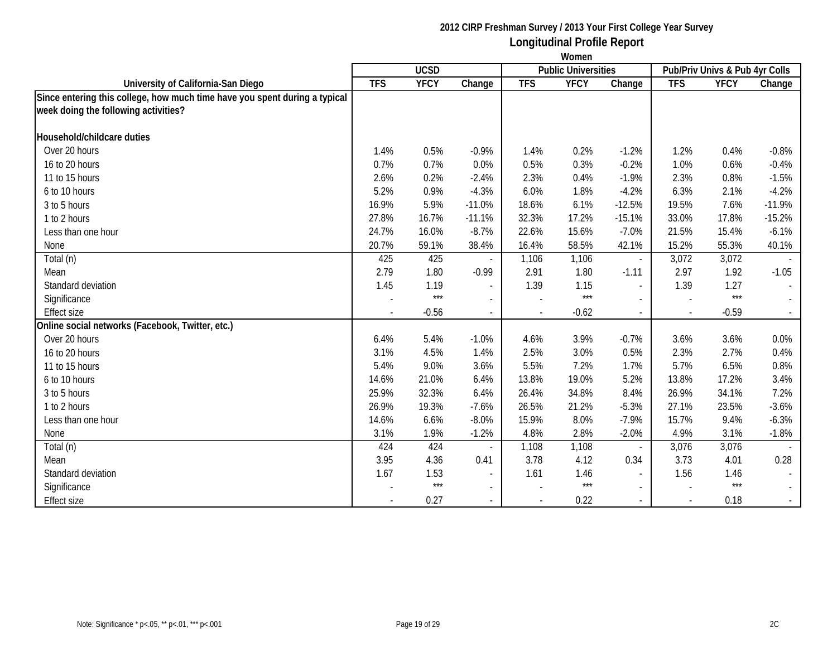|                                                                            | Women      |             |                          |            |                            |                          |            |                                |          |
|----------------------------------------------------------------------------|------------|-------------|--------------------------|------------|----------------------------|--------------------------|------------|--------------------------------|----------|
|                                                                            |            | <b>UCSD</b> |                          |            | <b>Public Universities</b> |                          |            | Pub/Priv Univs & Pub 4yr Colls |          |
| University of California-San Diego                                         | <b>TFS</b> | <b>YFCY</b> | Change                   | <b>TFS</b> | <b>YFCY</b>                | Change                   | <b>TFS</b> | <b>YFCY</b>                    | Change   |
| Since entering this college, how much time have you spent during a typical |            |             |                          |            |                            |                          |            |                                |          |
| week doing the following activities?                                       |            |             |                          |            |                            |                          |            |                                |          |
| Household/childcare duties                                                 |            |             |                          |            |                            |                          |            |                                |          |
| Over 20 hours                                                              | 1.4%       | 0.5%        | $-0.9%$                  | 1.4%       | 0.2%                       | $-1.2%$                  | 1.2%       | 0.4%                           | $-0.8%$  |
| 16 to 20 hours                                                             | 0.7%       | 0.7%        | 0.0%                     | 0.5%       | 0.3%                       | $-0.2%$                  | 1.0%       | 0.6%                           | $-0.4%$  |
| 11 to 15 hours                                                             | 2.6%       | 0.2%        | $-2.4%$                  | 2.3%       | 0.4%                       | $-1.9%$                  | 2.3%       | 0.8%                           | $-1.5%$  |
| 6 to 10 hours                                                              | 5.2%       | 0.9%        | $-4.3%$                  | 6.0%       | 1.8%                       | $-4.2%$                  | 6.3%       | 2.1%                           | $-4.2%$  |
| 3 to 5 hours                                                               | 16.9%      | 5.9%        | $-11.0%$                 | 18.6%      | 6.1%                       | $-12.5%$                 | 19.5%      | 7.6%                           | $-11.9%$ |
| 1 to 2 hours                                                               | 27.8%      | 16.7%       | $-11.1%$                 | 32.3%      | 17.2%                      | $-15.1%$                 | 33.0%      | 17.8%                          | $-15.2%$ |
| Less than one hour                                                         | 24.7%      | 16.0%       | $-8.7%$                  | 22.6%      | 15.6%                      | $-7.0%$                  | 21.5%      | 15.4%                          | $-6.1%$  |
| None                                                                       | 20.7%      | 59.1%       | 38.4%                    | 16.4%      | 58.5%                      | 42.1%                    | 15.2%      | 55.3%                          | 40.1%    |
| Total (n)                                                                  | 425        | 425         |                          | 1,106      | 1,106                      | $\overline{\phantom{a}}$ | 3,072      | 3,072                          |          |
| Mean                                                                       | 2.79       | 1.80        | $-0.99$                  | 2.91       | 1.80                       | $-1.11$                  | 2.97       | 1.92                           | $-1.05$  |
| Standard deviation                                                         | 1.45       | 1.19        | $\overline{\phantom{a}}$ | 1.39       | 1.15                       | $\blacksquare$           | 1.39       | 1.27                           |          |
| Significance                                                               |            | $***$       | $\sim$                   |            | $***$                      | $\sim$                   |            | $***$                          |          |
| <b>Effect size</b>                                                         |            | $-0.56$     |                          |            | $-0.62$                    |                          |            | $-0.59$                        |          |
| Online social networks (Facebook, Twitter, etc.)                           |            |             |                          |            |                            |                          |            |                                |          |
| Over 20 hours                                                              | 6.4%       | 5.4%        | $-1.0%$                  | 4.6%       | 3.9%                       | $-0.7%$                  | 3.6%       | 3.6%                           | 0.0%     |
| 16 to 20 hours                                                             | 3.1%       | 4.5%        | 1.4%                     | 2.5%       | 3.0%                       | 0.5%                     | 2.3%       | 2.7%                           | 0.4%     |
| 11 to 15 hours                                                             | 5.4%       | 9.0%        | 3.6%                     | 5.5%       | 7.2%                       | 1.7%                     | 5.7%       | 6.5%                           | 0.8%     |
| 6 to 10 hours                                                              | 14.6%      | 21.0%       | 6.4%                     | 13.8%      | 19.0%                      | 5.2%                     | 13.8%      | 17.2%                          | 3.4%     |
| 3 to 5 hours                                                               | 25.9%      | 32.3%       | 6.4%                     | 26.4%      | 34.8%                      | 8.4%                     | 26.9%      | 34.1%                          | 7.2%     |
| 1 to 2 hours                                                               | 26.9%      | 19.3%       | $-7.6%$                  | 26.5%      | 21.2%                      | $-5.3%$                  | 27.1%      | 23.5%                          | $-3.6%$  |
| Less than one hour                                                         | 14.6%      | 6.6%        | $-8.0%$                  | 15.9%      | 8.0%                       | $-7.9%$                  | 15.7%      | 9.4%                           | $-6.3%$  |
| None                                                                       | 3.1%       | 1.9%        | $-1.2%$                  | 4.8%       | 2.8%                       | $-2.0%$                  | 4.9%       | 3.1%                           | $-1.8%$  |
| Total (n)                                                                  | 424        | 424         |                          | 1,108      | 1,108                      | $\overline{\phantom{a}}$ | 3,076      | 3,076                          |          |
| Mean                                                                       | 3.95       | 4.36        | 0.41                     | 3.78       | 4.12                       | 0.34                     | 3.73       | 4.01                           | 0.28     |
| Standard deviation                                                         | 1.67       | 1.53        | $\blacksquare$           | 1.61       | 1.46                       | $\overline{\phantom{a}}$ | 1.56       | 1.46                           |          |
| Significance                                                               |            | $***$       | $\mathbf{r}$             |            | $***$                      |                          |            | $***$                          | $\sim$   |
| <b>Effect size</b>                                                         |            | 0.27        |                          |            | 0.22                       |                          |            | 0.18                           |          |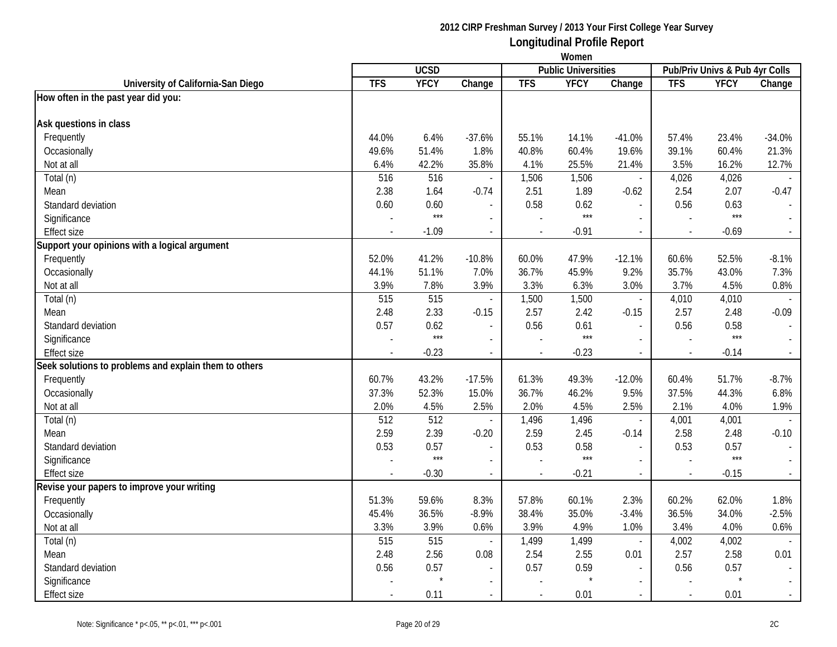|                                                       | Women      |                  |                          |            |                            |                          |                          |                                |              |
|-------------------------------------------------------|------------|------------------|--------------------------|------------|----------------------------|--------------------------|--------------------------|--------------------------------|--------------|
|                                                       |            | <b>UCSD</b>      |                          |            | <b>Public Universities</b> |                          |                          | Pub/Priv Univs & Pub 4yr Colls |              |
| University of California-San Diego                    | <b>TFS</b> | <b>YFCY</b>      | Change                   | <b>TFS</b> | <b>YFCY</b>                | Change                   | <b>TFS</b>               | <b>YFCY</b>                    | Change       |
| How often in the past year did you:                   |            |                  |                          |            |                            |                          |                          |                                |              |
| Ask questions in class                                |            |                  |                          |            |                            |                          |                          |                                |              |
| Frequently                                            | 44.0%      | 6.4%             | $-37.6%$                 | 55.1%      | 14.1%                      | $-41.0%$                 | 57.4%                    | 23.4%                          | $-34.0%$     |
| Occasionally                                          | 49.6%      | 51.4%            | 1.8%                     | 40.8%      | 60.4%                      | 19.6%                    | 39.1%                    | 60.4%                          | 21.3%        |
| Not at all                                            | 6.4%       | 42.2%            | 35.8%                    | 4.1%       | 25.5%                      | 21.4%                    | 3.5%                     | 16.2%                          | 12.7%        |
| Total (n)                                             | 516        | $\overline{516}$ |                          | 1,506      | 1,506                      | $\blacksquare$           | 4,026                    | 4,026                          |              |
| Mean                                                  | 2.38       | 1.64             | $-0.74$                  | 2.51       | 1.89                       | $-0.62$                  | 2.54                     | 2.07                           | $-0.47$      |
| Standard deviation                                    | 0.60       | 0.60             |                          | 0.58       | 0.62                       | $\overline{\phantom{a}}$ | 0.56                     | 0.63                           |              |
| Significance                                          |            | $***$            | $\overline{a}$           |            | $***$                      | $\sim$                   | $\overline{a}$           | $***$                          |              |
| <b>Effect size</b>                                    |            | $-1.09$          | $\mathcal{L}$            |            | $-0.91$                    | $\overline{\phantom{a}}$ | $\sim$                   | $-0.69$                        |              |
| Support your opinions with a logical argument         |            |                  |                          |            |                            |                          |                          |                                |              |
| Frequently                                            | 52.0%      | 41.2%            | $-10.8%$                 | 60.0%      | 47.9%                      | $-12.1%$                 | 60.6%                    | 52.5%                          | $-8.1%$      |
| Occasionally                                          | 44.1%      | 51.1%            | 7.0%                     | 36.7%      | 45.9%                      | 9.2%                     | 35.7%                    | 43.0%                          | 7.3%         |
| Not at all                                            | 3.9%       | 7.8%             | 3.9%                     | 3.3%       | 6.3%                       | 3.0%                     | 3.7%                     | 4.5%                           | 0.8%         |
| Total (n)                                             | 515        | 515              |                          | 1,500      | 1,500                      | $\overline{\phantom{a}}$ | 4,010                    | 4,010                          |              |
| Mean                                                  | 2.48       | 2.33             | $-0.15$                  | 2.57       | 2.42                       | $-0.15$                  | 2.57                     | 2.48                           | $-0.09$      |
| Standard deviation                                    | 0.57       | 0.62             | $\sim$                   | 0.56       | 0.61                       | $\overline{a}$           | 0.56                     | 0.58                           |              |
| Significance                                          |            | $***$            |                          |            | $***$                      |                          |                          | $***$                          |              |
| <b>Effect size</b>                                    |            | $-0.23$          | $\overline{\phantom{a}}$ |            | $-0.23$                    | $\overline{\phantom{a}}$ | $\overline{\phantom{a}}$ | $-0.14$                        |              |
| Seek solutions to problems and explain them to others |            |                  |                          |            |                            |                          |                          |                                |              |
| Frequently                                            | 60.7%      | 43.2%            | $-17.5%$                 | 61.3%      | 49.3%                      | $-12.0%$                 | 60.4%                    | 51.7%                          | $-8.7%$      |
| Occasionally                                          | 37.3%      | 52.3%            | 15.0%                    | 36.7%      | 46.2%                      | 9.5%                     | 37.5%                    | 44.3%                          | 6.8%         |
| Not at all                                            | 2.0%       | 4.5%             | 2.5%                     | 2.0%       | 4.5%                       | 2.5%                     | 2.1%                     | 4.0%                           | 1.9%         |
| Total (n)                                             | 512        | 512              |                          | 1,496      | 1,496                      | $\overline{\phantom{a}}$ | 4,001                    | 4,001                          |              |
| Mean                                                  | 2.59       | 2.39             | $-0.20$                  | 2.59       | 2.45                       | $-0.14$                  | 2.58                     | 2.48                           | $-0.10$      |
| Standard deviation                                    | 0.53       | 0.57             |                          | 0.53       | 0.58                       | $\overline{\phantom{a}}$ | 0.53                     | 0.57                           |              |
| Significance                                          |            | $***$            |                          |            | $***$                      |                          |                          | $***$                          |              |
| <b>Effect size</b>                                    |            | $-0.30$          | $\blacksquare$           | $\sim$     | $-0.21$                    | $\overline{\phantom{a}}$ | $\blacksquare$           | $-0.15$                        | $\sim$       |
| Revise your papers to improve your writing            |            |                  |                          |            |                            |                          |                          |                                |              |
| Frequently                                            | 51.3%      | 59.6%            | 8.3%                     | 57.8%      | 60.1%                      | 2.3%                     | 60.2%                    | 62.0%                          | 1.8%         |
| Occasionally                                          | 45.4%      | 36.5%            | $-8.9%$                  | 38.4%      | 35.0%                      | $-3.4%$                  | 36.5%                    | 34.0%                          | $-2.5%$      |
| Not at all                                            | 3.3%       | 3.9%             | 0.6%                     | 3.9%       | 4.9%                       | 1.0%                     | 3.4%                     | 4.0%                           | 0.6%         |
| Total (n)                                             | 515        | 515              | $\sim$                   | 1,499      | 1,499                      | $\overline{\phantom{a}}$ | 4,002                    | 4,002                          |              |
| Mean                                                  | 2.48       | 2.56             | 0.08                     | 2.54       | 2.55                       | 0.01                     | 2.57                     | 2.58                           | 0.01         |
| Standard deviation                                    | 0.56       | 0.57             | $\sim$                   | 0.57       | 0.59                       | $\sim$                   | 0.56                     | 0.57                           |              |
| Significance                                          |            |                  |                          |            |                            | $\sim$                   |                          |                                |              |
| Effect size                                           |            | 0.11             | $\sim$                   |            | 0.01                       | $\overline{\phantom{a}}$ | $\sim$                   | 0.01                           | $\mathbb{L}$ |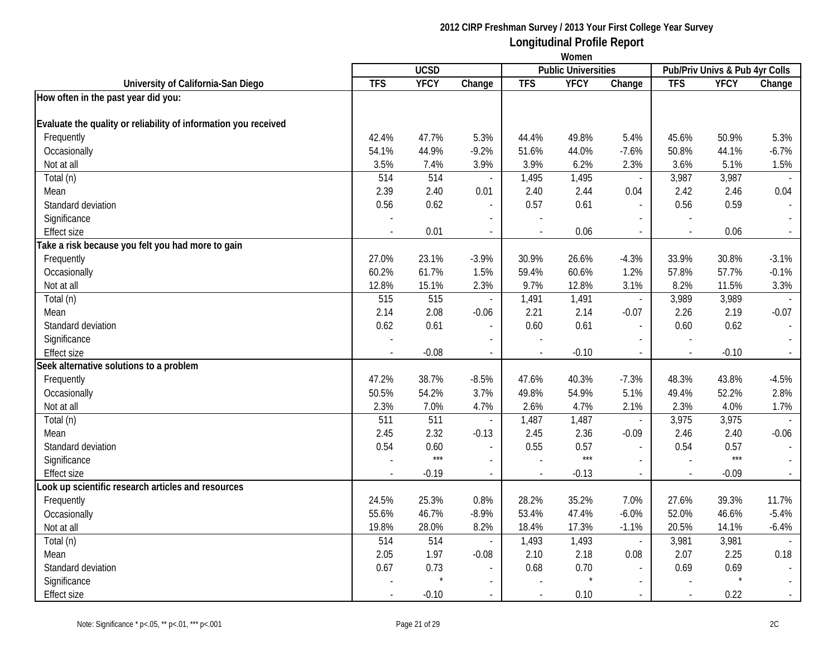|                                                                 | Women      |             |                          |                          |                            |                          |            |                                |                          |
|-----------------------------------------------------------------|------------|-------------|--------------------------|--------------------------|----------------------------|--------------------------|------------|--------------------------------|--------------------------|
|                                                                 |            | <b>UCSD</b> |                          |                          | <b>Public Universities</b> |                          |            | Pub/Priv Univs & Pub 4yr Colls |                          |
| University of California-San Diego                              | <b>TFS</b> | <b>YFCY</b> | Change                   | <b>TFS</b>               | <b>YFCY</b>                | Change                   | <b>TFS</b> | <b>YFCY</b>                    | Change                   |
| How often in the past year did you:                             |            |             |                          |                          |                            |                          |            |                                |                          |
| Evaluate the quality or reliability of information you received |            |             |                          |                          |                            |                          |            |                                |                          |
| Frequently                                                      | 42.4%      | 47.7%       | 5.3%                     | 44.4%                    | 49.8%                      | 5.4%                     | 45.6%      | 50.9%                          | 5.3%                     |
| Occasionally                                                    | 54.1%      | 44.9%       | $-9.2%$                  | 51.6%                    | 44.0%                      | $-7.6%$                  | 50.8%      | 44.1%                          | $-6.7%$                  |
| Not at all                                                      | 3.5%       | 7.4%        | 3.9%                     | 3.9%                     | 6.2%                       | 2.3%                     | 3.6%       | 5.1%                           | 1.5%                     |
| Total (n)                                                       | 514        | 514         | $\blacksquare$           | 1,495                    | 1,495                      | $\blacksquare$           | 3,987      | 3,987                          |                          |
| Mean                                                            | 2.39       | 2.40        | 0.01                     | 2.40                     | 2.44                       | 0.04                     | 2.42       | 2.46                           | 0.04                     |
| Standard deviation                                              | 0.56       | 0.62        |                          | 0.57                     | 0.61                       | $\overline{a}$           | 0.56       | 0.59                           | $\overline{\phantom{a}}$ |
| Significance                                                    |            |             | $\overline{\phantom{a}}$ | $\overline{a}$           |                            | $\overline{\phantom{a}}$ |            |                                |                          |
| <b>Effect size</b>                                              |            | 0.01        | $\overline{\phantom{a}}$ | $\overline{\phantom{a}}$ | 0.06                       | $\blacksquare$           |            | 0.06                           | $\overline{\phantom{a}}$ |
| Take a risk because you felt you had more to gain               |            |             |                          |                          |                            |                          |            |                                |                          |
| Frequently                                                      | 27.0%      | 23.1%       | $-3.9%$                  | 30.9%                    | 26.6%                      | $-4.3%$                  | 33.9%      | 30.8%                          | $-3.1%$                  |
| Occasionally                                                    | 60.2%      | 61.7%       | 1.5%                     | 59.4%                    | 60.6%                      | 1.2%                     | 57.8%      | 57.7%                          | $-0.1%$                  |
| Not at all                                                      | 12.8%      | 15.1%       | 2.3%                     | 9.7%                     | 12.8%                      | 3.1%                     | 8.2%       | 11.5%                          | 3.3%                     |
| Total (n)                                                       | 515        | 515         | $\overline{\phantom{a}}$ | 1,491                    | 1,491                      | $\overline{\phantom{a}}$ | 3,989      | 3,989                          |                          |
| Mean                                                            | 2.14       | 2.08        | $-0.06$                  | 2.21                     | 2.14                       | $-0.07$                  | 2.26       | 2.19                           | $-0.07$                  |
| Standard deviation                                              | 0.62       | 0.61        | $\sim$                   | 0.60                     | 0.61                       | $\blacksquare$           | 0.60       | 0.62                           | $\omega$                 |
| Significance                                                    |            |             |                          |                          |                            |                          |            |                                |                          |
| Effect size                                                     |            | $-0.08$     |                          |                          | $-0.10$                    |                          |            | $-0.10$                        | $\sim$                   |
| Seek alternative solutions to a problem                         |            |             |                          |                          |                            |                          |            |                                |                          |
| Frequently                                                      | 47.2%      | 38.7%       | $-8.5%$                  | 47.6%                    | 40.3%                      | $-7.3%$                  | 48.3%      | 43.8%                          | $-4.5%$                  |
| Occasionally                                                    | 50.5%      | 54.2%       | 3.7%                     | 49.8%                    | 54.9%                      | 5.1%                     | 49.4%      | 52.2%                          | 2.8%                     |
| Not at all                                                      | 2.3%       | 7.0%        | 4.7%                     | 2.6%                     | 4.7%                       | 2.1%                     | 2.3%       | 4.0%                           | 1.7%                     |
| Total (n)                                                       | 511        | 511         | $\overline{\phantom{a}}$ | 1,487                    | 1,487                      | $\overline{\phantom{a}}$ | 3,975      | 3,975                          | $\sim$                   |
| Mean                                                            | 2.45       | 2.32        | $-0.13$                  | 2.45                     | 2.36                       | $-0.09$                  | 2.46       | 2.40                           | $-0.06$                  |
| Standard deviation                                              | 0.54       | 0.60        | $\blacksquare$           | 0.55                     | 0.57                       | $\overline{a}$           | 0.54       | 0.57                           | $\mathbb{L}^2$           |
| Significance                                                    |            | $***$       | $\overline{\phantom{a}}$ |                          | $***$                      | $\overline{a}$           |            | $***$                          | $\sim$                   |
| <b>Effect size</b>                                              |            | $-0.19$     | $\overline{\phantom{a}}$ | $\blacksquare$           | $-0.13$                    | $\blacksquare$           |            | $-0.09$                        | $\sim$                   |
| Look up scientific research articles and resources              |            |             |                          |                          |                            |                          |            |                                |                          |
| Frequently                                                      | 24.5%      | 25.3%       | 0.8%                     | 28.2%                    | 35.2%                      | 7.0%                     | 27.6%      | 39.3%                          | 11.7%                    |
| Occasionally                                                    | 55.6%      | 46.7%       | $-8.9%$                  | 53.4%                    | 47.4%                      | $-6.0%$                  | 52.0%      | 46.6%                          | $-5.4%$                  |
| Not at all                                                      | 19.8%      | 28.0%       | 8.2%                     | 18.4%                    | 17.3%                      | $-1.1%$                  | 20.5%      | 14.1%                          | $-6.4%$                  |
| Total (n)                                                       | 514        | 514         | $\mathbf{r}$             | 1,493                    | 1,493                      | $\overline{\phantom{a}}$ | 3,981      | 3,981                          |                          |
| Mean                                                            | 2.05       | 1.97        | $-0.08$                  | 2.10                     | 2.18                       | 0.08                     | 2.07       | 2.25                           | 0.18                     |
| Standard deviation                                              | 0.67       | 0.73        |                          | 0.68                     | 0.70                       |                          | 0.69       | 0.69                           |                          |
| Significance                                                    |            |             |                          |                          |                            | $\overline{\phantom{a}}$ |            | $\star$                        |                          |
| Effect size                                                     |            | $-0.10$     | $\blacksquare$           |                          | 0.10                       |                          |            | 0.22                           | $\sim$                   |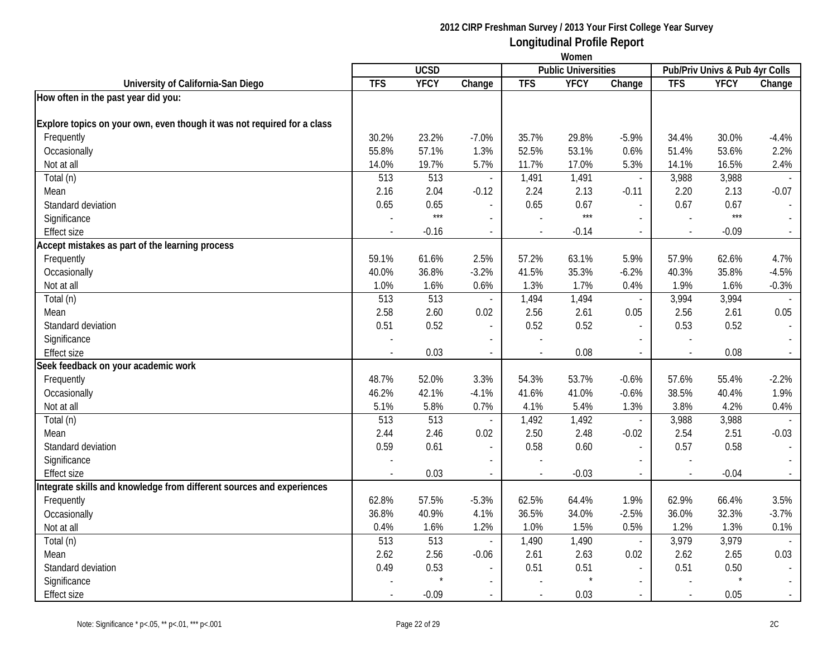|                                                                         | Women          |             |                          |                |                            |                          |            |                                |                          |
|-------------------------------------------------------------------------|----------------|-------------|--------------------------|----------------|----------------------------|--------------------------|------------|--------------------------------|--------------------------|
|                                                                         |                | <b>UCSD</b> |                          |                | <b>Public Universities</b> |                          |            | Pub/Priv Univs & Pub 4yr Colls |                          |
| University of California-San Diego                                      | <b>TFS</b>     | <b>YFCY</b> | Change                   | <b>TFS</b>     | <b>YFCY</b>                | Change                   | <b>TFS</b> | <b>YFCY</b>                    | Change                   |
| How often in the past year did you:                                     |                |             |                          |                |                            |                          |            |                                |                          |
| Explore topics on your own, even though it was not required for a class |                |             |                          |                |                            |                          |            |                                |                          |
| Frequently                                                              | 30.2%          | 23.2%       | $-7.0%$                  | 35.7%          | 29.8%                      | $-5.9%$                  | 34.4%      | 30.0%                          | $-4.4%$                  |
| Occasionally                                                            | 55.8%          | 57.1%       | 1.3%                     | 52.5%          | 53.1%                      | 0.6%                     | 51.4%      | 53.6%                          | 2.2%                     |
| Not at all                                                              | 14.0%          | 19.7%       | 5.7%                     | 11.7%          | 17.0%                      | 5.3%                     | 14.1%      | 16.5%                          | 2.4%                     |
| Total (n)                                                               | 513            | 513         | $\overline{\phantom{a}}$ | 1,491          | 1,491                      | $\blacksquare$           | 3,988      | 3,988                          |                          |
| Mean                                                                    | 2.16           | 2.04        | $-0.12$                  | 2.24           | 2.13                       | $-0.11$                  | 2.20       | 2.13                           | $-0.07$                  |
| Standard deviation                                                      | 0.65           | 0.65        |                          | 0.65           | 0.67                       | $\overline{a}$           | 0.67       | 0.67                           | $\overline{\phantom{a}}$ |
| Significance                                                            |                | $***$       | $\blacksquare$           |                | $***$                      | $\overline{\phantom{a}}$ |            | $***$                          |                          |
| <b>Effect size</b>                                                      |                | $-0.16$     | $\overline{\phantom{a}}$ |                | $-0.14$                    | $\blacksquare$           |            | $-0.09$                        | $\blacksquare$           |
| Accept mistakes as part of the learning process                         |                |             |                          |                |                            |                          |            |                                |                          |
| Frequently                                                              | 59.1%          | 61.6%       | 2.5%                     | 57.2%          | 63.1%                      | 5.9%                     | 57.9%      | 62.6%                          | 4.7%                     |
| Occasionally                                                            | 40.0%          | 36.8%       | $-3.2%$                  | 41.5%          | 35.3%                      | $-6.2%$                  | 40.3%      | 35.8%                          | $-4.5%$                  |
| Not at all                                                              | 1.0%           | 1.6%        | 0.6%                     | 1.3%           | 1.7%                       | 0.4%                     | 1.9%       | 1.6%                           | $-0.3%$                  |
| Total (n)                                                               | 513            | 513         | $\overline{\phantom{a}}$ | 1,494          | 1,494                      | $\overline{\phantom{a}}$ | 3,994      | 3,994                          |                          |
| Mean                                                                    | 2.58           | 2.60        | 0.02                     | 2.56           | 2.61                       | 0.05                     | 2.56       | 2.61                           | 0.05                     |
| Standard deviation                                                      | 0.51           | 0.52        | $\sim$                   | 0.52           | 0.52                       | $\blacksquare$           | 0.53       | 0.52                           |                          |
| Significance                                                            |                |             |                          |                |                            |                          |            |                                |                          |
| <b>Effect size</b>                                                      |                | 0.03        |                          |                | 0.08                       |                          |            | 0.08                           | $\sim$                   |
| Seek feedback on your academic work                                     |                |             |                          |                |                            |                          |            |                                |                          |
| Frequently                                                              | 48.7%          | 52.0%       | 3.3%                     | 54.3%          | 53.7%                      | $-0.6%$                  | 57.6%      | 55.4%                          | $-2.2%$                  |
| Occasionally                                                            | 46.2%          | 42.1%       | $-4.1%$                  | 41.6%          | 41.0%                      | $-0.6%$                  | 38.5%      | 40.4%                          | 1.9%                     |
| Not at all                                                              | 5.1%           | 5.8%        | 0.7%                     | 4.1%           | 5.4%                       | 1.3%                     | 3.8%       | 4.2%                           | 0.4%                     |
| Total (n)                                                               | 513            | 513         | $\overline{\phantom{a}}$ | 1,492          | 1,492                      | $\overline{\phantom{a}}$ | 3,988      | 3,988                          | $\mathbb{L}$             |
| Mean                                                                    | 2.44           | 2.46        | 0.02                     | 2.50           | 2.48                       | $-0.02$                  | 2.54       | 2.51                           | $-0.03$                  |
| Standard deviation                                                      | 0.59           | 0.61        | $\blacksquare$           | 0.58           | 0.60                       | $\overline{a}$           | 0.57       | 0.58                           | $\sim$                   |
| Significance                                                            |                |             | $\overline{a}$           |                |                            | $\overline{a}$           |            |                                | $\sim$                   |
| <b>Effect size</b>                                                      | $\overline{a}$ | 0.03        | $\blacksquare$           | $\blacksquare$ | $-0.03$                    | $\blacksquare$           |            | $-0.04$                        | $\sim$                   |
| Integrate skills and knowledge from different sources and experiences   |                |             |                          |                |                            |                          |            |                                |                          |
| Frequently                                                              | 62.8%          | 57.5%       | $-5.3%$                  | 62.5%          | 64.4%                      | 1.9%                     | 62.9%      | 66.4%                          | 3.5%                     |
| Occasionally                                                            | 36.8%          | 40.9%       | 4.1%                     | 36.5%          | 34.0%                      | $-2.5%$                  | 36.0%      | 32.3%                          | $-3.7%$                  |
| Not at all                                                              | 0.4%           | 1.6%        | 1.2%                     | 1.0%           | 1.5%                       | 0.5%                     | 1.2%       | 1.3%                           | 0.1%                     |
| Total (n)                                                               | 513            | 513         | $\blacksquare$           | 1,490          | 1,490                      | $\overline{\phantom{a}}$ | 3,979      | 3,979                          |                          |
| Mean                                                                    | 2.62           | 2.56        | $-0.06$                  | 2.61           | 2.63                       | 0.02                     | 2.62       | 2.65                           | 0.03                     |
| Standard deviation                                                      | 0.49           | 0.53        |                          | 0.51           | 0.51                       |                          | 0.51       | 0.50                           |                          |
| Significance                                                            |                |             |                          |                |                            | $\overline{\phantom{a}}$ |            |                                |                          |
| Effect size                                                             |                | $-0.09$     | $\blacksquare$           |                | 0.03                       | $\sim$                   |            | 0.05                           | $\sim$                   |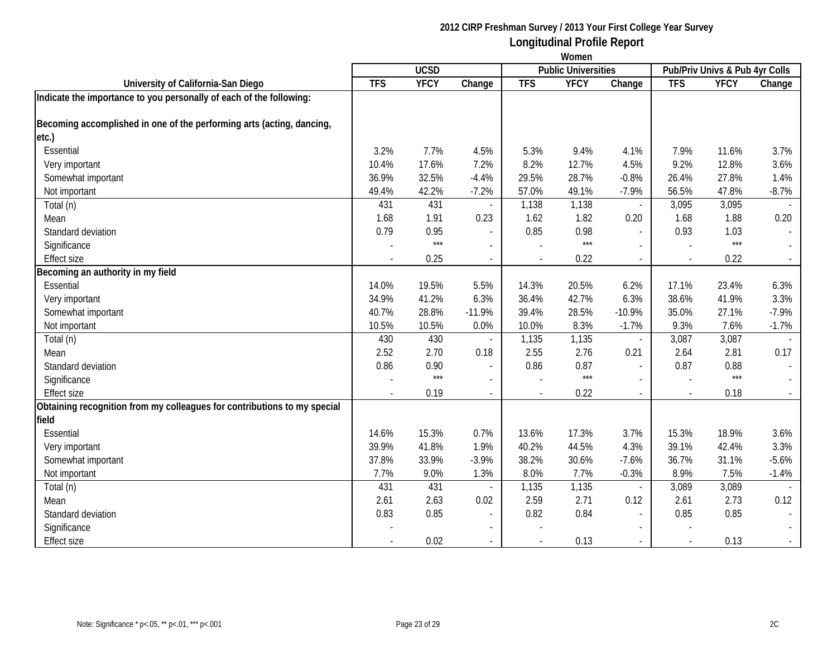|                                                                          | Women      |             |                          |            |                            |                          |            |                                |         |
|--------------------------------------------------------------------------|------------|-------------|--------------------------|------------|----------------------------|--------------------------|------------|--------------------------------|---------|
|                                                                          |            | <b>UCSD</b> |                          |            | <b>Public Universities</b> |                          |            | Pub/Priv Univs & Pub 4yr Colls |         |
| University of California-San Diego                                       | <b>TFS</b> | <b>YFCY</b> | Change                   | <b>TFS</b> | <b>YFCY</b>                | Change                   | <b>TFS</b> | <b>YFCY</b>                    | Change  |
| Indicate the importance to you personally of each of the following:      |            |             |                          |            |                            |                          |            |                                |         |
| Becoming accomplished in one of the performing arts (acting, dancing,    |            |             |                          |            |                            |                          |            |                                |         |
| etc.)                                                                    |            |             |                          |            |                            |                          |            |                                |         |
| Essential                                                                | 3.2%       | 7.7%        | 4.5%                     | 5.3%       | 9.4%                       | 4.1%                     | 7.9%       | 11.6%                          | 3.7%    |
| Very important                                                           | 10.4%      | 17.6%       | 7.2%                     | 8.2%       | 12.7%                      | 4.5%                     | 9.2%       | 12.8%                          | 3.6%    |
| Somewhat important                                                       | 36.9%      | 32.5%       | $-4.4%$                  | 29.5%      | 28.7%                      | $-0.8%$                  | 26.4%      | 27.8%                          | 1.4%    |
| Not important                                                            | 49.4%      | 42.2%       | $-7.2%$                  | 57.0%      | 49.1%                      | $-7.9%$                  | 56.5%      | 47.8%                          | $-8.7%$ |
| Total (n)                                                                | 431        | 431         |                          | 1,138      | 1,138                      | $\sim$                   | 3,095      | 3,095                          |         |
| Mean                                                                     | 1.68       | 1.91        | 0.23                     | 1.62       | 1.82                       | 0.20                     | 1.68       | 1.88                           | 0.20    |
| Standard deviation                                                       | 0.79       | 0.95        | $\sim$                   | 0.85       | 0.98                       | $\overline{\phantom{a}}$ | 0.93       | 1.03                           | $\sim$  |
| Significance                                                             |            | $***$       | $\sim$                   |            | ***                        | $\overline{a}$           |            | $***$                          | $\sim$  |
| <b>Effect size</b>                                                       |            | 0.25        | $\sim$                   |            | 0.22                       | $\overline{a}$           |            | 0.22                           |         |
| Becoming an authority in my field                                        |            |             |                          |            |                            |                          |            |                                |         |
| Essential                                                                | 14.0%      | 19.5%       | 5.5%                     | 14.3%      | 20.5%                      | 6.2%                     | 17.1%      | 23.4%                          | 6.3%    |
| Very important                                                           | 34.9%      | 41.2%       | 6.3%                     | 36.4%      | 42.7%                      | 6.3%                     | 38.6%      | 41.9%                          | 3.3%    |
| Somewhat important                                                       | 40.7%      | 28.8%       | $-11.9%$                 | 39.4%      | 28.5%                      | $-10.9%$                 | 35.0%      | 27.1%                          | $-7.9%$ |
| Not important                                                            | 10.5%      | 10.5%       | 0.0%                     | 10.0%      | 8.3%                       | $-1.7%$                  | 9.3%       | 7.6%                           | $-1.7%$ |
| Total (n)                                                                | 430        | 430         |                          | 1,135      | 1,135                      | $\overline{\phantom{a}}$ | 3,087      | 3,087                          |         |
| Mean                                                                     | 2.52       | 2.70        | 0.18                     | 2.55       | 2.76                       | 0.21                     | 2.64       | 2.81                           | 0.17    |
| Standard deviation                                                       | 0.86       | 0.90        | $\sim$                   | 0.86       | 0.87                       | $\sim$                   | 0.87       | 0.88                           |         |
| Significance                                                             |            | $***$       | $\overline{\phantom{a}}$ |            | $***$                      |                          |            | $***$                          |         |
| <b>Effect size</b>                                                       |            | 0.19        | $\sim$                   |            | 0.22                       |                          |            | 0.18                           | $\sim$  |
| Obtaining recognition from my colleagues for contributions to my special |            |             |                          |            |                            |                          |            |                                |         |
| field                                                                    |            |             |                          |            |                            |                          |            |                                |         |
| Essential                                                                | 14.6%      | 15.3%       | 0.7%                     | 13.6%      | 17.3%                      | 3.7%                     | 15.3%      | 18.9%                          | 3.6%    |
| Very important                                                           | 39.9%      | 41.8%       | 1.9%                     | 40.2%      | 44.5%                      | 4.3%                     | 39.1%      | 42.4%                          | 3.3%    |
| Somewhat important                                                       | 37.8%      | 33.9%       | $-3.9%$                  | 38.2%      | 30.6%                      | $-7.6%$                  | 36.7%      | 31.1%                          | $-5.6%$ |
| Not important                                                            | 7.7%       | 9.0%        | 1.3%                     | 8.0%       | 7.7%                       | $-0.3%$                  | 8.9%       | 7.5%                           | $-1.4%$ |
| Total (n)                                                                | 431        | 431         |                          | 1,135      | 1,135                      | $\blacksquare$           | 3,089      | 3,089                          |         |
| Mean                                                                     | 2.61       | 2.63        | 0.02                     | 2.59       | 2.71                       | 0.12                     | 2.61       | 2.73                           | 0.12    |
| Standard deviation                                                       | 0.83       | 0.85        | $\overline{\phantom{a}}$ | 0.82       | 0.84                       |                          | 0.85       | 0.85                           |         |
| Significance                                                             |            |             | $\overline{\phantom{a}}$ |            |                            |                          |            |                                |         |
| <b>Effect size</b>                                                       |            | 0.02        |                          |            | 0.13                       |                          |            | 0.13                           | $\sim$  |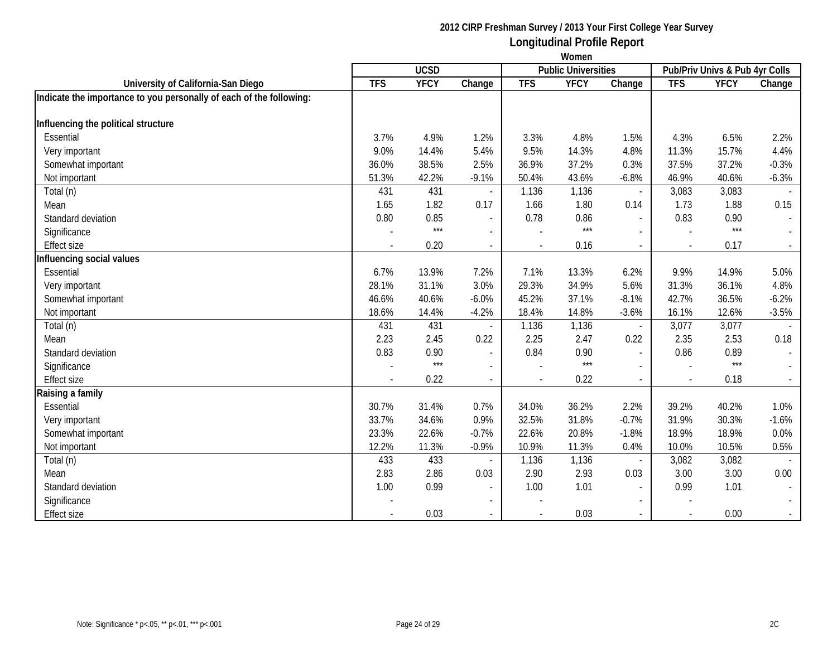|                                                                     | Women      |             |                          |                            |             |                                |            |             |              |
|---------------------------------------------------------------------|------------|-------------|--------------------------|----------------------------|-------------|--------------------------------|------------|-------------|--------------|
|                                                                     |            | <b>UCSD</b> |                          | <b>Public Universities</b> |             | Pub/Priv Univs & Pub 4yr Colls |            |             |              |
| University of California-San Diego                                  | <b>TFS</b> | <b>YFCY</b> | Change                   | <b>TFS</b>                 | <b>YFCY</b> | Change                         | <b>TFS</b> | <b>YFCY</b> | Change       |
| Indicate the importance to you personally of each of the following: |            |             |                          |                            |             |                                |            |             |              |
| Influencing the political structure                                 |            |             |                          |                            |             |                                |            |             |              |
| Essential                                                           | 3.7%       | 4.9%        | 1.2%                     | 3.3%                       | 4.8%        | 1.5%                           | 4.3%       | 6.5%        | 2.2%         |
| Very important                                                      | 9.0%       | 14.4%       | 5.4%                     | 9.5%                       | 14.3%       | 4.8%                           | 11.3%      | 15.7%       | 4.4%         |
| Somewhat important                                                  | 36.0%      | 38.5%       | 2.5%                     | 36.9%                      | 37.2%       | 0.3%                           | 37.5%      | 37.2%       | $-0.3%$      |
| Not important                                                       | 51.3%      | 42.2%       | $-9.1%$                  | 50.4%                      | 43.6%       | $-6.8%$                        | 46.9%      | 40.6%       | $-6.3%$      |
| Total (n)                                                           | 431        | 431         |                          | 1,136                      | 1,136       | $\overline{a}$                 | 3,083      | 3,083       |              |
| Mean                                                                | 1.65       | 1.82        | 0.17                     | 1.66                       | 1.80        | 0.14                           | 1.73       | 1.88        | 0.15         |
| Standard deviation                                                  | 0.80       | 0.85        | $\sim$                   | 0.78                       | 0.86        | $\overline{a}$                 | 0.83       | 0.90        | $\mathbb{L}$ |
| Significance                                                        |            | $***$       | $\blacksquare$           |                            | $***$       | $\sim$                         |            | $***$       | $\sim$       |
| <b>Effect size</b>                                                  |            | 0.20        | $\blacksquare$           |                            | 0.16        | $\overline{\phantom{a}}$       |            | 0.17        |              |
| Influencing social values                                           |            |             |                          |                            |             |                                |            |             |              |
| Essential                                                           | 6.7%       | 13.9%       | 7.2%                     | 7.1%                       | 13.3%       | 6.2%                           | 9.9%       | 14.9%       | 5.0%         |
| Very important                                                      | 28.1%      | 31.1%       | 3.0%                     | 29.3%                      | 34.9%       | 5.6%                           | 31.3%      | 36.1%       | 4.8%         |
| Somewhat important                                                  | 46.6%      | 40.6%       | $-6.0%$                  | 45.2%                      | 37.1%       | $-8.1%$                        | 42.7%      | 36.5%       | $-6.2%$      |
| Not important                                                       | 18.6%      | 14.4%       | $-4.2%$                  | 18.4%                      | 14.8%       | $-3.6%$                        | 16.1%      | 12.6%       | $-3.5%$      |
| Total (n)                                                           | 431        | 431         |                          | 1,136                      | 1,136       | $\sim$                         | 3,077      | 3,077       |              |
| Mean                                                                | 2.23       | 2.45        | 0.22                     | 2.25                       | 2.47        | 0.22                           | 2.35       | 2.53        | 0.18         |
| Standard deviation                                                  | 0.83       | 0.90        | $\overline{\phantom{a}}$ | 0.84                       | 0.90        | $\blacksquare$                 | 0.86       | 0.89        | $\sim$       |
| Significance                                                        |            | $***$       |                          |                            | $***$       |                                |            | $***$       |              |
| <b>Effect size</b>                                                  |            | 0.22        | $\blacksquare$           |                            | 0.22        | $\overline{\phantom{a}}$       |            | 0.18        | $\sim$       |
| Raising a family                                                    |            |             |                          |                            |             |                                |            |             |              |
| Essential                                                           | 30.7%      | 31.4%       | 0.7%                     | 34.0%                      | 36.2%       | 2.2%                           | 39.2%      | 40.2%       | 1.0%         |
| Very important                                                      | 33.7%      | 34.6%       | 0.9%                     | 32.5%                      | 31.8%       | $-0.7%$                        | 31.9%      | 30.3%       | $-1.6%$      |
| Somewhat important                                                  | 23.3%      | 22.6%       | $-0.7%$                  | 22.6%                      | 20.8%       | $-1.8%$                        | 18.9%      | 18.9%       | 0.0%         |
| Not important                                                       | 12.2%      | 11.3%       | $-0.9%$                  | 10.9%                      | 11.3%       | 0.4%                           | 10.0%      | 10.5%       | 0.5%         |
| Total (n)                                                           | 433        | 433         |                          | 1,136                      | 1,136       |                                | 3,082      | 3,082       |              |
| Mean                                                                | 2.83       | 2.86        | 0.03                     | 2.90                       | 2.93        | 0.03                           | 3.00       | 3.00        | 0.00         |
| Standard deviation                                                  | 1.00       | 0.99        | $\overline{\phantom{a}}$ | 1.00                       | 1.01        | $\overline{\phantom{a}}$       | 0.99       | 1.01        |              |
| Significance                                                        |            |             | $\overline{\phantom{a}}$ |                            |             |                                |            |             |              |
| <b>Effect size</b>                                                  |            | 0.03        | $\blacksquare$           |                            | 0.03        | $\overline{a}$                 |            | 0.00        | $\sim$       |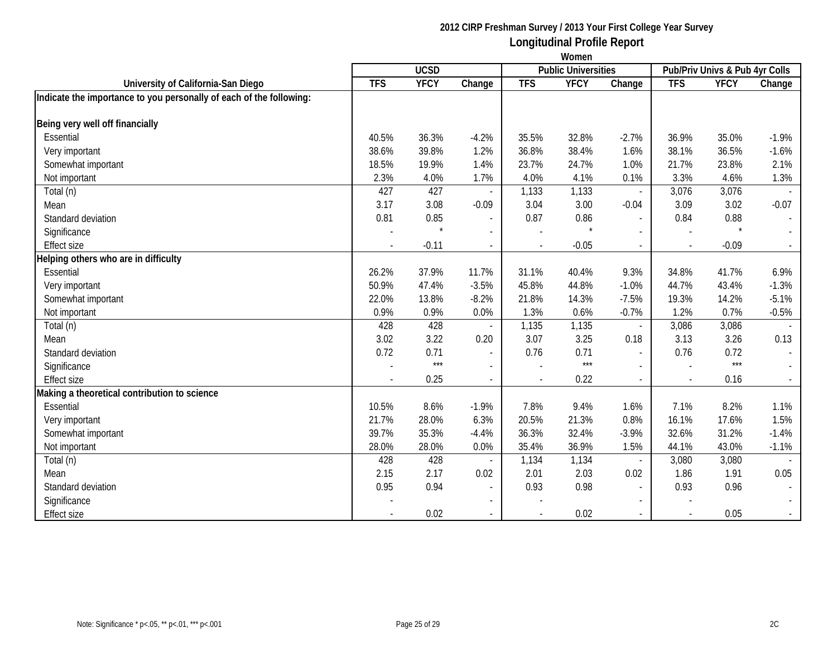|                                                                     | Women                                     |             |                          |                |             |                          |                                |             |                |  |
|---------------------------------------------------------------------|-------------------------------------------|-------------|--------------------------|----------------|-------------|--------------------------|--------------------------------|-------------|----------------|--|
|                                                                     | <b>UCSD</b><br><b>Public Universities</b> |             |                          |                |             |                          | Pub/Priv Univs & Pub 4yr Colls |             |                |  |
| University of California-San Diego                                  | <b>TFS</b>                                | <b>YFCY</b> | Change                   | <b>TFS</b>     | <b>YFCY</b> | Change                   | <b>TFS</b>                     | <b>YFCY</b> | Change         |  |
| Indicate the importance to you personally of each of the following: |                                           |             |                          |                |             |                          |                                |             |                |  |
| Being very well off financially                                     |                                           |             |                          |                |             |                          |                                |             |                |  |
| Essential                                                           | 40.5%                                     | 36.3%       | $-4.2%$                  | 35.5%          | 32.8%       | $-2.7%$                  | 36.9%                          | 35.0%       | $-1.9%$        |  |
| Very important                                                      | 38.6%                                     | 39.8%       | 1.2%                     | 36.8%          | 38.4%       | 1.6%                     | 38.1%                          | 36.5%       | $-1.6%$        |  |
| Somewhat important                                                  | 18.5%                                     | 19.9%       | 1.4%                     | 23.7%          | 24.7%       | 1.0%                     | 21.7%                          | 23.8%       | 2.1%           |  |
| Not important                                                       | 2.3%                                      | 4.0%        | 1.7%                     | 4.0%           | 4.1%        | 0.1%                     | 3.3%                           | 4.6%        | 1.3%           |  |
| Total (n)                                                           | 427                                       | 427         |                          | 1,133          | 1,133       |                          | 3,076                          | 3,076       |                |  |
| Mean                                                                | 3.17                                      | 3.08        | $-0.09$                  | 3.04           | 3.00        | $-0.04$                  | 3.09                           | 3.02        | $-0.07$        |  |
| Standard deviation                                                  | 0.81                                      | 0.85        | $\sim$                   | 0.87           | 0.86        | $\overline{a}$           | 0.84                           | 0.88        | $\blacksquare$ |  |
| Significance                                                        |                                           | $\star$     | $\overline{a}$           |                |             | $\overline{a}$           |                                | $\star$     |                |  |
| <b>Effect size</b>                                                  |                                           | $-0.11$     | $\blacksquare$           |                | $-0.05$     | $\overline{a}$           |                                | $-0.09$     |                |  |
| Helping others who are in difficulty                                |                                           |             |                          |                |             |                          |                                |             |                |  |
| Essential                                                           | 26.2%                                     | 37.9%       | 11.7%                    | 31.1%          | 40.4%       | 9.3%                     | 34.8%                          | 41.7%       | 6.9%           |  |
| Very important                                                      | 50.9%                                     | 47.4%       | $-3.5%$                  | 45.8%          | 44.8%       | $-1.0%$                  | 44.7%                          | 43.4%       | $-1.3%$        |  |
| Somewhat important                                                  | 22.0%                                     | 13.8%       | $-8.2%$                  | 21.8%          | 14.3%       | $-7.5%$                  | 19.3%                          | 14.2%       | $-5.1%$        |  |
| Not important                                                       | 0.9%                                      | 0.9%        | 0.0%                     | 1.3%           | 0.6%        | $-0.7%$                  | 1.2%                           | 0.7%        | $-0.5%$        |  |
| Total (n)                                                           | 428                                       | 428         |                          | 1,135          | 1,135       | $\overline{\phantom{a}}$ | 3,086                          | 3,086       |                |  |
| Mean                                                                | 3.02                                      | 3.22        | 0.20                     | 3.07           | 3.25        | 0.18                     | 3.13                           | 3.26        | 0.13           |  |
| Standard deviation                                                  | 0.72                                      | 0.71        | $\overline{\phantom{a}}$ | 0.76           | 0.71        | $\blacksquare$           | 0.76                           | 0.72        | $\sim$         |  |
| Significance                                                        |                                           | $***$       |                          |                | $***$       |                          |                                | $***$       |                |  |
| <b>Effect size</b>                                                  |                                           | 0.25        | $\blacksquare$           | $\overline{a}$ | 0.22        | $\overline{a}$           |                                | 0.16        | $\sim$         |  |
| Making a theoretical contribution to science                        |                                           |             |                          |                |             |                          |                                |             |                |  |
| Essential                                                           | 10.5%                                     | 8.6%        | $-1.9%$                  | 7.8%           | 9.4%        | 1.6%                     | 7.1%                           | 8.2%        | 1.1%           |  |
| Very important                                                      | 21.7%                                     | 28.0%       | 6.3%                     | 20.5%          | 21.3%       | 0.8%                     | 16.1%                          | 17.6%       | 1.5%           |  |
| Somewhat important                                                  | 39.7%                                     | 35.3%       | $-4.4%$                  | 36.3%          | 32.4%       | $-3.9%$                  | 32.6%                          | 31.2%       | $-1.4%$        |  |
| Not important                                                       | 28.0%                                     | 28.0%       | 0.0%                     | 35.4%          | 36.9%       | 1.5%                     | 44.1%                          | 43.0%       | $-1.1%$        |  |
| Total (n)                                                           | 428                                       | 428         |                          | 1,134          | 1,134       | $\overline{\phantom{a}}$ | 3,080                          | 3,080       |                |  |
| Mean                                                                | 2.15                                      | 2.17        | 0.02                     | 2.01           | 2.03        | 0.02                     | 1.86                           | 1.91        | 0.05           |  |
| Standard deviation                                                  | 0.95                                      | 0.94        | $\overline{\phantom{a}}$ | 0.93           | 0.98        |                          | 0.93                           | 0.96        |                |  |
| Significance                                                        |                                           |             | $\overline{\phantom{a}}$ |                |             |                          |                                |             |                |  |
| <b>Effect size</b>                                                  |                                           | 0.02        | $\blacksquare$           |                | 0.02        | $\overline{a}$           |                                | 0.05        | $\sim$         |  |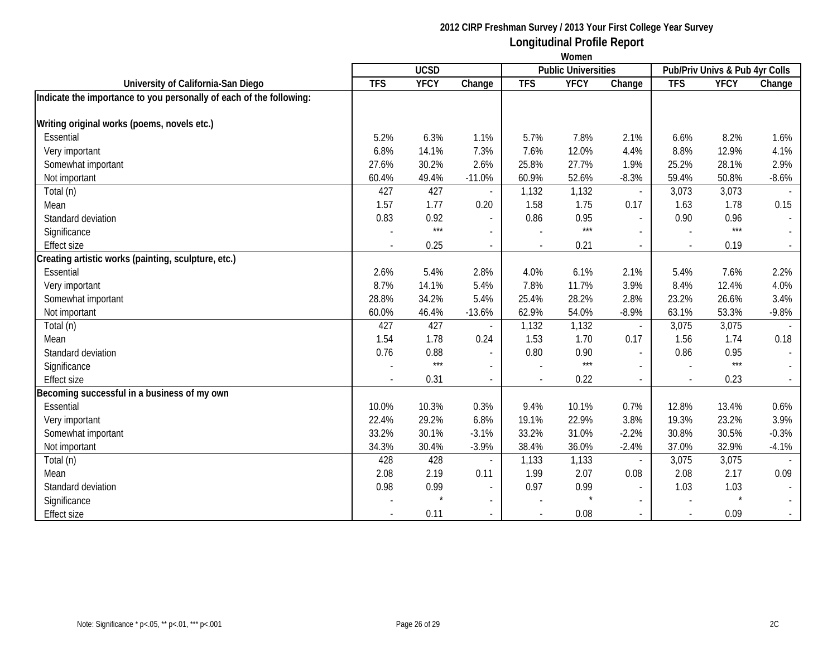|                                                                     | Women       |             |                          |            |                            |                          |            |                                |                             |  |  |
|---------------------------------------------------------------------|-------------|-------------|--------------------------|------------|----------------------------|--------------------------|------------|--------------------------------|-----------------------------|--|--|
|                                                                     | <b>UCSD</b> |             |                          |            | <b>Public Universities</b> |                          |            | Pub/Priv Univs & Pub 4yr Colls |                             |  |  |
| University of California-San Diego                                  | <b>TFS</b>  | <b>YFCY</b> | Change                   | <b>TFS</b> | <b>YFCY</b>                | Change                   | <b>TFS</b> | <b>YFCY</b>                    | Change                      |  |  |
| Indicate the importance to you personally of each of the following: |             |             |                          |            |                            |                          |            |                                |                             |  |  |
| Writing original works (poems, novels etc.)                         |             |             |                          |            |                            |                          |            |                                |                             |  |  |
| Essential                                                           | 5.2%        | 6.3%        | 1.1%                     | 5.7%       | 7.8%                       | 2.1%                     | 6.6%       | 8.2%                           | 1.6%                        |  |  |
| Very important                                                      | 6.8%        | 14.1%       | 7.3%                     | 7.6%       | 12.0%                      | 4.4%                     | 8.8%       | 12.9%                          | 4.1%                        |  |  |
| Somewhat important                                                  | 27.6%       | 30.2%       | 2.6%                     | 25.8%      | 27.7%                      | 1.9%                     | 25.2%      | 28.1%                          | 2.9%                        |  |  |
| Not important                                                       | 60.4%       | 49.4%       | $-11.0%$                 | 60.9%      | 52.6%                      | $-8.3%$                  | 59.4%      | 50.8%                          | $-8.6%$                     |  |  |
| Total (n)                                                           | 427         | 427         |                          | 1,132      | 1,132                      | $\overline{\phantom{a}}$ | 3,073      | 3,073                          |                             |  |  |
| Mean                                                                | 1.57        | 1.77        | 0.20                     | 1.58       | 1.75                       | 0.17                     | 1.63       | 1.78                           | 0.15                        |  |  |
| Standard deviation                                                  | 0.83        | 0.92        | $\overline{\phantom{a}}$ | 0.86       | 0.95                       | $\overline{a}$           | 0.90       | 0.96                           | $\overline{\phantom{a}}$    |  |  |
| Significance                                                        |             | $***$       |                          |            | $***$                      |                          |            | $***$                          |                             |  |  |
| <b>Effect size</b>                                                  |             | 0.25        | $\overline{\phantom{a}}$ |            | 0.21                       |                          |            | 0.19                           | $\mathcal{L}_{\mathcal{A}}$ |  |  |
| Creating artistic works (painting, sculpture, etc.)                 |             |             |                          |            |                            |                          |            |                                |                             |  |  |
| Essential                                                           | 2.6%        | 5.4%        | 2.8%                     | 4.0%       | 6.1%                       | 2.1%                     | 5.4%       | 7.6%                           | 2.2%                        |  |  |
| Very important                                                      | 8.7%        | 14.1%       | 5.4%                     | 7.8%       | 11.7%                      | 3.9%                     | 8.4%       | 12.4%                          | 4.0%                        |  |  |
| Somewhat important                                                  | 28.8%       | 34.2%       | 5.4%                     | 25.4%      | 28.2%                      | 2.8%                     | 23.2%      | 26.6%                          | 3.4%                        |  |  |
| Not important                                                       | 60.0%       | 46.4%       | $-13.6%$                 | 62.9%      | 54.0%                      | $-8.9%$                  | 63.1%      | 53.3%                          | $-9.8%$                     |  |  |
| Total (n)                                                           | 427         | 427         |                          | 1,132      | 1,132                      | $\overline{\phantom{a}}$ | 3,075      | 3,075                          |                             |  |  |
| Mean                                                                | 1.54        | 1.78        | 0.24                     | 1.53       | 1.70                       | 0.17                     | 1.56       | 1.74                           | 0.18                        |  |  |
| Standard deviation                                                  | 0.76        | 0.88        | $\sim$                   | 0.80       | 0.90                       | $\overline{a}$           | 0.86       | 0.95                           | $\sim$                      |  |  |
| Significance                                                        |             | $***$       | $\overline{\phantom{a}}$ |            | $***$                      |                          |            | $***$                          | $\sim$                      |  |  |
| <b>Effect size</b>                                                  |             | 0.31        | $\overline{\phantom{a}}$ |            | 0.22                       |                          |            | 0.23                           | $\sim$                      |  |  |
| Becoming successful in a business of my own                         |             |             |                          |            |                            |                          |            |                                |                             |  |  |
| Essential                                                           | 10.0%       | 10.3%       | 0.3%                     | 9.4%       | 10.1%                      | 0.7%                     | 12.8%      | 13.4%                          | 0.6%                        |  |  |
| Very important                                                      | 22.4%       | 29.2%       | 6.8%                     | 19.1%      | 22.9%                      | 3.8%                     | 19.3%      | 23.2%                          | 3.9%                        |  |  |
| Somewhat important                                                  | 33.2%       | 30.1%       | $-3.1%$                  | 33.2%      | 31.0%                      | $-2.2%$                  | 30.8%      | 30.5%                          | $-0.3%$                     |  |  |
| Not important                                                       | 34.3%       | 30.4%       | $-3.9%$                  | 38.4%      | 36.0%                      | $-2.4%$                  | 37.0%      | 32.9%                          | $-4.1%$                     |  |  |
| Total (n)                                                           | 428         | 428         |                          | 1,133      | 1,133                      |                          | 3,075      | 3,075                          |                             |  |  |
| Mean                                                                | 2.08        | 2.19        | 0.11                     | 1.99       | 2.07                       | 0.08                     | 2.08       | 2.17                           | 0.09                        |  |  |
| Standard deviation                                                  | 0.98        | 0.99        | $\sim$                   | 0.97       | 0.99                       | $\overline{\phantom{a}}$ | 1.03       | 1.03                           |                             |  |  |
| Significance                                                        |             | $\star$     | $\sim$                   |            |                            |                          |            | $\star$                        | $\mathcal{L}^{\mathcal{A}}$ |  |  |
| <b>Effect size</b>                                                  |             | 0.11        |                          |            | 0.08                       |                          |            | 0.09                           |                             |  |  |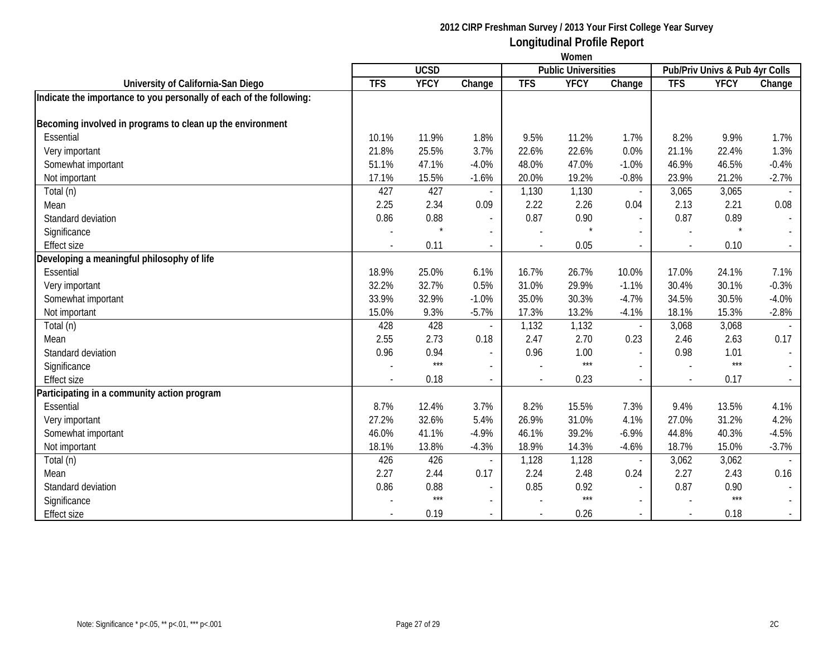|                                                                     | Women       |             |                          |                |                            |                          |                                |             |                             |  |  |
|---------------------------------------------------------------------|-------------|-------------|--------------------------|----------------|----------------------------|--------------------------|--------------------------------|-------------|-----------------------------|--|--|
|                                                                     | <b>UCSD</b> |             |                          |                | <b>Public Universities</b> |                          | Pub/Priv Univs & Pub 4yr Colls |             |                             |  |  |
| University of California-San Diego                                  | <b>TFS</b>  | <b>YFCY</b> | Change                   | <b>TFS</b>     | <b>YFCY</b>                | Change                   | <b>TFS</b>                     | <b>YFCY</b> | Change                      |  |  |
| Indicate the importance to you personally of each of the following: |             |             |                          |                |                            |                          |                                |             |                             |  |  |
| Becoming involved in programs to clean up the environment           |             |             |                          |                |                            |                          |                                |             |                             |  |  |
| Essential                                                           | 10.1%       | 11.9%       | 1.8%                     | 9.5%           | 11.2%                      | 1.7%                     | 8.2%                           | 9.9%        | 1.7%                        |  |  |
| Very important                                                      | 21.8%       | 25.5%       | 3.7%                     | 22.6%          | 22.6%                      | 0.0%                     | 21.1%                          | 22.4%       | 1.3%                        |  |  |
| Somewhat important                                                  | 51.1%       | 47.1%       | $-4.0%$                  | 48.0%          | 47.0%                      | $-1.0%$                  | 46.9%                          | 46.5%       | $-0.4%$                     |  |  |
| Not important                                                       | 17.1%       | 15.5%       | $-1.6%$                  | 20.0%          | 19.2%                      | $-0.8%$                  | 23.9%                          | 21.2%       | $-2.7%$                     |  |  |
| Total (n)                                                           | 427         | 427         |                          | 1,130          | 1,130                      | $\overline{\phantom{a}}$ | 3,065                          | 3,065       |                             |  |  |
| Mean                                                                | 2.25        | 2.34        | 0.09                     | 2.22           | 2.26                       | 0.04                     | 2.13                           | 2.21        | 0.08                        |  |  |
| Standard deviation                                                  | 0.86        | 0.88        | $\overline{\phantom{a}}$ | 0.87           | 0.90                       | $\overline{a}$           | 0.87                           | 0.89        | $\overline{\phantom{a}}$    |  |  |
| Significance                                                        |             |             |                          |                |                            |                          |                                | $\star$     |                             |  |  |
| <b>Effect size</b>                                                  |             | 0.11        | $\overline{\phantom{a}}$ |                | 0.05                       | $\blacksquare$           |                                | 0.10        | $\sim$                      |  |  |
| Developing a meaningful philosophy of life                          |             |             |                          |                |                            |                          |                                |             |                             |  |  |
| Essential                                                           | 18.9%       | 25.0%       | 6.1%                     | 16.7%          | 26.7%                      | 10.0%                    | 17.0%                          | 24.1%       | 7.1%                        |  |  |
| Very important                                                      | 32.2%       | 32.7%       | 0.5%                     | 31.0%          | 29.9%                      | $-1.1%$                  | 30.4%                          | 30.1%       | $-0.3%$                     |  |  |
| Somewhat important                                                  | 33.9%       | 32.9%       | $-1.0%$                  | 35.0%          | 30.3%                      | $-4.7%$                  | 34.5%                          | 30.5%       | $-4.0%$                     |  |  |
| Not important                                                       | 15.0%       | 9.3%        | $-5.7%$                  | 17.3%          | 13.2%                      | $-4.1%$                  | 18.1%                          | 15.3%       | $-2.8%$                     |  |  |
| Total (n)                                                           | 428         | 428         |                          | 1,132          | 1,132                      |                          | 3,068                          | 3,068       |                             |  |  |
| Mean                                                                | 2.55        | 2.73        | 0.18                     | 2.47           | 2.70                       | 0.23                     | 2.46                           | 2.63        | 0.17                        |  |  |
| Standard deviation                                                  | 0.96        | 0.94        | $\blacksquare$           | 0.96           | 1.00                       |                          | 0.98                           | 1.01        | $\sim$                      |  |  |
| Significance                                                        |             | $***$       | $\overline{\phantom{a}}$ |                | $***$                      |                          |                                | $***$       | $\sim$                      |  |  |
| <b>Effect size</b>                                                  |             | 0.18        | $\overline{a}$           | $\blacksquare$ | 0.23                       |                          |                                | 0.17        | $\sim$                      |  |  |
| Participating in a community action program                         |             |             |                          |                |                            |                          |                                |             |                             |  |  |
| Essential                                                           | 8.7%        | 12.4%       | 3.7%                     | 8.2%           | 15.5%                      | 7.3%                     | 9.4%                           | 13.5%       | 4.1%                        |  |  |
| Very important                                                      | 27.2%       | 32.6%       | 5.4%                     | 26.9%          | 31.0%                      | 4.1%                     | 27.0%                          | 31.2%       | 4.2%                        |  |  |
| Somewhat important                                                  | 46.0%       | 41.1%       | $-4.9%$                  | 46.1%          | 39.2%                      | $-6.9%$                  | 44.8%                          | 40.3%       | $-4.5%$                     |  |  |
| Not important                                                       | 18.1%       | 13.8%       | $-4.3%$                  | 18.9%          | 14.3%                      | $-4.6%$                  | 18.7%                          | 15.0%       | $-3.7%$                     |  |  |
| Total (n)                                                           | 426         | 426         |                          | 1,128          | 1,128                      |                          | 3,062                          | 3,062       |                             |  |  |
| Mean                                                                | 2.27        | 2.44        | 0.17                     | 2.24           | 2.48                       | 0.24                     | 2.27                           | 2.43        | 0.16                        |  |  |
| Standard deviation                                                  | 0.86        | 0.88        | $\overline{\phantom{a}}$ | 0.85           | 0.92                       | $\overline{\phantom{a}}$ | 0.87                           | 0.90        |                             |  |  |
| Significance                                                        |             | $***$       | $\blacksquare$           |                | $***$                      |                          |                                | $***$       | $\mathcal{L}^{\mathcal{L}}$ |  |  |
| <b>Effect size</b>                                                  |             | 0.19        |                          |                | 0.26                       |                          |                                | 0.18        |                             |  |  |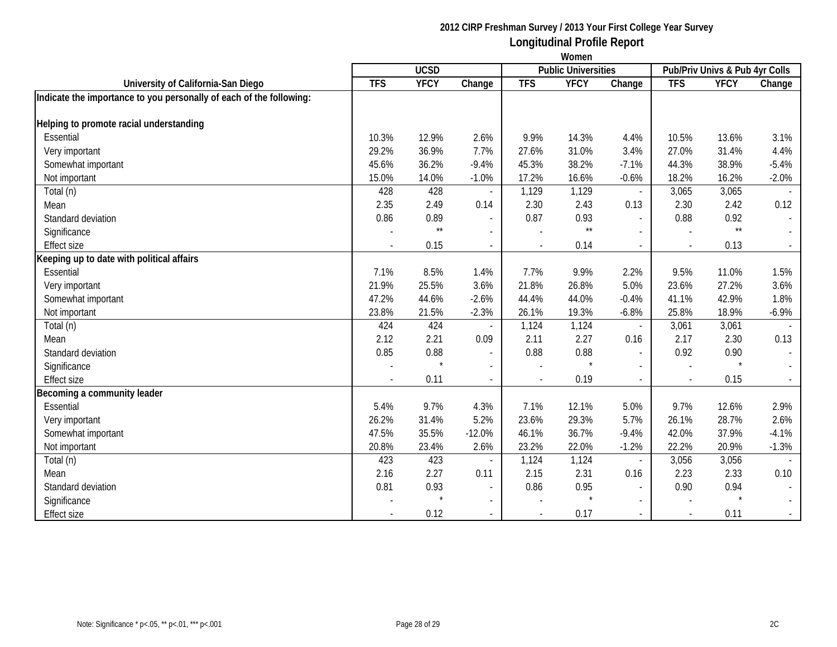|                                                                     | Women                                     |              |                          |            |              |                          |                                |              |                     |  |
|---------------------------------------------------------------------|-------------------------------------------|--------------|--------------------------|------------|--------------|--------------------------|--------------------------------|--------------|---------------------|--|
|                                                                     | <b>UCSD</b><br><b>Public Universities</b> |              |                          |            |              |                          | Pub/Priv Univs & Pub 4yr Colls |              |                     |  |
| University of California-San Diego                                  | <b>TFS</b>                                | <b>YFCY</b>  | Change                   | <b>TFS</b> | <b>YFCY</b>  | Change                   | <b>TFS</b>                     | <b>YFCY</b>  | Change              |  |
| Indicate the importance to you personally of each of the following: |                                           |              |                          |            |              |                          |                                |              |                     |  |
|                                                                     |                                           |              |                          |            |              |                          |                                |              |                     |  |
| Helping to promote racial understanding                             |                                           |              |                          |            |              |                          |                                |              |                     |  |
| Essential                                                           | 10.3%                                     | 12.9%        | 2.6%                     | 9.9%       | 14.3%        | 4.4%                     | 10.5%                          | 13.6%        | 3.1%                |  |
| Very important                                                      | 29.2%                                     | 36.9%        | 7.7%                     | 27.6%      | 31.0%        | 3.4%                     | 27.0%                          | 31.4%        | 4.4%                |  |
| Somewhat important                                                  | 45.6%                                     | 36.2%        | $-9.4%$                  | 45.3%      | 38.2%        | $-7.1%$                  | 44.3%                          | 38.9%        | $-5.4%$             |  |
| Not important                                                       | 15.0%                                     | 14.0%        | $-1.0%$                  | 17.2%      | 16.6%        | $-0.6%$                  | 18.2%                          | 16.2%        | $-2.0%$             |  |
| Total (n)                                                           | 428                                       | 428          |                          | 1,129      | 1,129        | $\blacksquare$           | 3,065                          | 3,065        |                     |  |
| Mean                                                                | 2.35                                      | 2.49         | 0.14                     | 2.30       | 2.43         | 0.13                     | 2.30                           | 2.42         | 0.12                |  |
| Standard deviation                                                  | 0.86                                      | 0.89         | $\sim$                   | 0.87       | 0.93         | $\overline{a}$           | 0.88                           | 0.92         | $\sim$              |  |
| Significance                                                        |                                           | $\star\star$ | $\sim$                   |            | $\star\star$ | $\overline{\phantom{0}}$ |                                | $\star\star$ |                     |  |
| <b>Effect size</b>                                                  |                                           | 0.15         | $\overline{a}$           |            | 0.14         | $\sim$                   |                                | 0.13         | $\mathcal{L}^{\pm}$ |  |
| Keeping up to date with political affairs                           |                                           |              |                          |            |              |                          |                                |              |                     |  |
| Essential                                                           | 7.1%                                      | 8.5%         | 1.4%                     | 7.7%       | 9.9%         | 2.2%                     | 9.5%                           | 11.0%        | 1.5%                |  |
| Very important                                                      | 21.9%                                     | 25.5%        | 3.6%                     | 21.8%      | 26.8%        | 5.0%                     | 23.6%                          | 27.2%        | 3.6%                |  |
| Somewhat important                                                  | 47.2%                                     | 44.6%        | $-2.6%$                  | 44.4%      | 44.0%        | $-0.4%$                  | 41.1%                          | 42.9%        | 1.8%                |  |
| Not important                                                       | 23.8%                                     | 21.5%        | $-2.3%$                  | 26.1%      | 19.3%        | $-6.8%$                  | 25.8%                          | 18.9%        | $-6.9\%$            |  |
| Total (n)                                                           | 424                                       | 424          | $\sim$                   | 1,124      | 1,124        | $\blacksquare$           | 3,061                          | 3,061        |                     |  |
| Mean                                                                | 2.12                                      | 2.21         | 0.09                     | 2.11       | 2.27         | 0.16                     | 2.17                           | 2.30         | 0.13                |  |
| Standard deviation                                                  | 0.85                                      | 0.88         | $\overline{\phantom{a}}$ | 0.88       | 0.88         | $\blacksquare$           | 0.92                           | 0.90         | $\sim$              |  |
| Significance                                                        |                                           |              | $\blacksquare$           |            |              | $\overline{\phantom{a}}$ |                                |              |                     |  |
| <b>Effect size</b>                                                  |                                           | 0.11         | $\blacksquare$           |            | 0.19         | $\overline{\phantom{0}}$ |                                | 0.15         | $\sim$              |  |
| Becoming a community leader                                         |                                           |              |                          |            |              |                          |                                |              |                     |  |
| Essential                                                           | 5.4%                                      | 9.7%         | 4.3%                     | 7.1%       | 12.1%        | 5.0%                     | 9.7%                           | 12.6%        | 2.9%                |  |
| Very important                                                      | 26.2%                                     | 31.4%        | 5.2%                     | 23.6%      | 29.3%        | 5.7%                     | 26.1%                          | 28.7%        | 2.6%                |  |
| Somewhat important                                                  | 47.5%                                     | 35.5%        | $-12.0%$                 | 46.1%      | 36.7%        | $-9.4%$                  | 42.0%                          | 37.9%        | $-4.1%$             |  |
| Not important                                                       | 20.8%                                     | 23.4%        | 2.6%                     | 23.2%      | 22.0%        | $-1.2%$                  | 22.2%                          | 20.9%        | $-1.3%$             |  |
| Total (n)                                                           | 423                                       | 423          |                          | 1,124      | 1,124        | $\overline{\phantom{a}}$ | 3,056                          | 3,056        |                     |  |
| Mean                                                                | 2.16                                      | 2.27         | 0.11                     | 2.15       | 2.31         | 0.16                     | 2.23                           | 2.33         | 0.10                |  |
| Standard deviation                                                  | 0.81                                      | 0.93         | $\overline{\phantom{a}}$ | 0.86       | 0.95         | $\blacksquare$           | 0.90                           | 0.94         |                     |  |
| Significance                                                        |                                           |              | $\overline{\phantom{a}}$ |            |              | $\overline{\phantom{0}}$ |                                |              | $\mathcal{L}^{\pm}$ |  |
| <b>Effect size</b>                                                  |                                           | 0.12         | $\overline{\phantom{a}}$ |            | 0.17         | $\overline{\phantom{a}}$ |                                | 0.11         | $\omega_{\rm{eff}}$ |  |